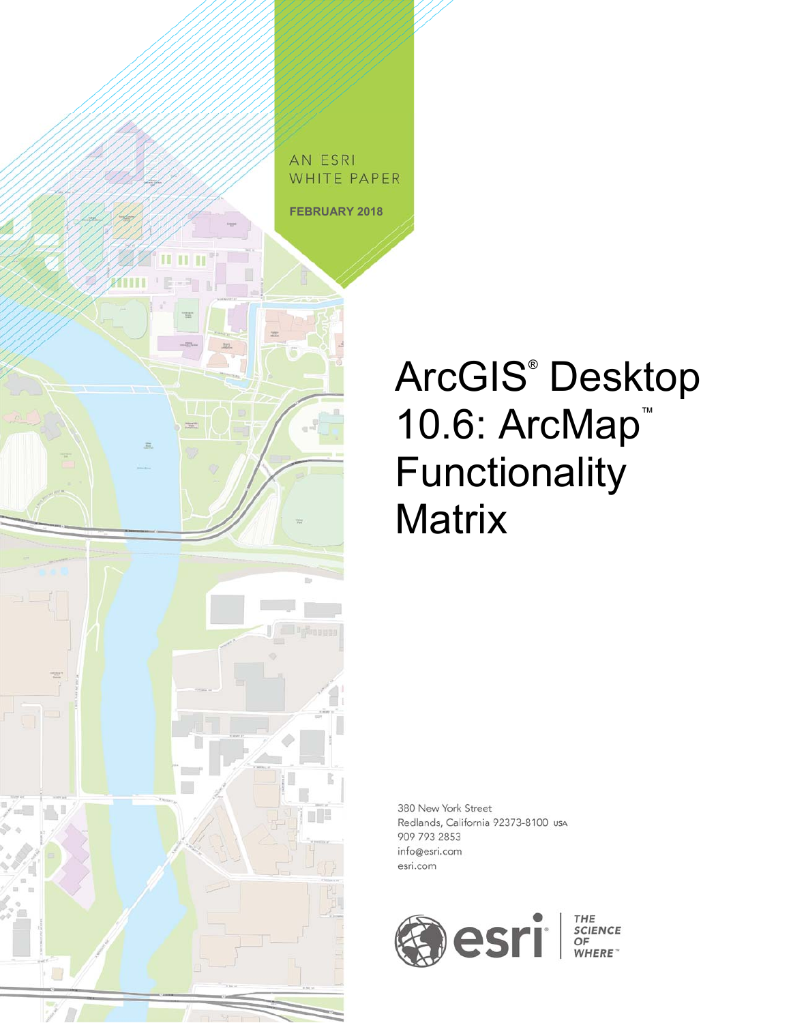

# ArcGIS® Desktop 10.6: ArcMap<sup>™</sup> Functionality **Matrix**

380 New York Street Redlands, California 92373-8100 usA 909 793 2853 info@esri.com esri.com

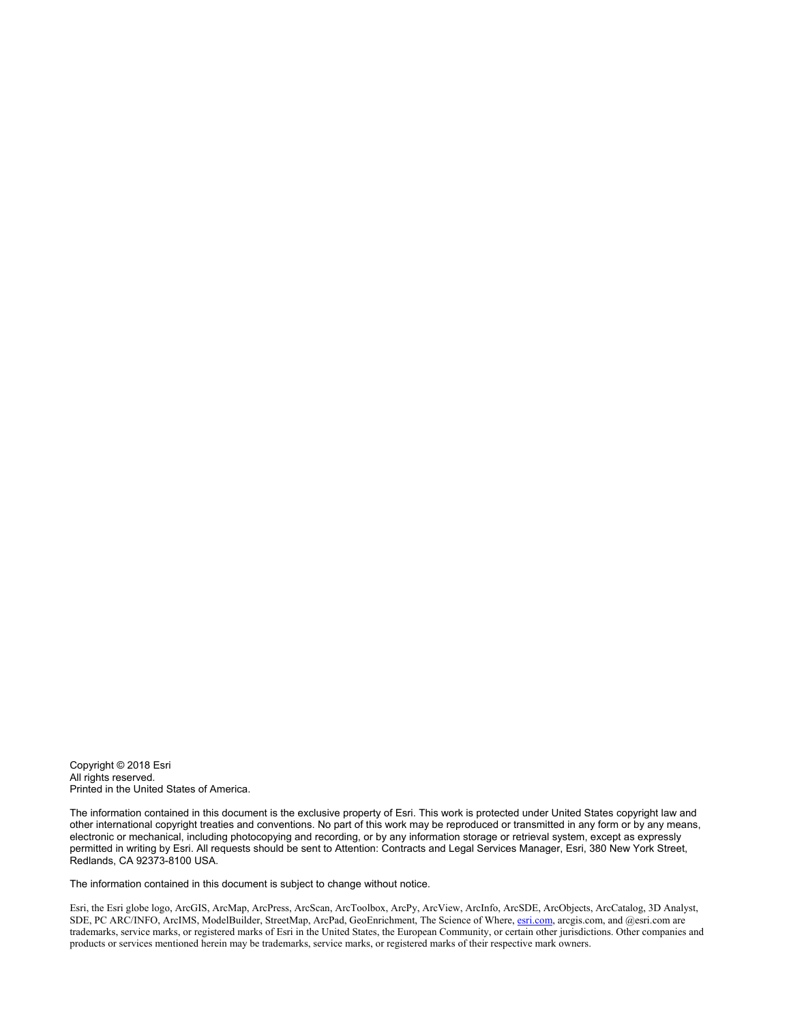Copyright © 2018 Esri All rights reserved. Printed in the United States of America.

The information contained in this document is the exclusive property of Esri. This work is protected under United States copyright law and other international copyright treaties and conventions. No part of this work may be reproduced or transmitted in any form or by any means, electronic or mechanical, including photocopying and recording, or by any information storage or retrieval system, except as expressly permitted in writing by Esri. All requests should be sent to Attention: Contracts and Legal Services Manager, Esri, 380 New York Street, Redlands, CA 92373-8100 USA.

The information contained in this document is subject to change without notice.

Esri, the Esri globe logo, ArcGIS, ArcMap, ArcPress, ArcScan, ArcToolbox, ArcPy, ArcView, ArcInfo, ArcSDE, ArcObjects, ArcCatalog, 3D Analyst, SDE, PC ARC/INFO, ArcIMS, ModelBuilder, StreetMap, ArcPad, GeoEnrichment, The Science of Where, esri.com, arcgis.com, and @esri.com are trademarks, service marks, or registered marks of Esri in the United States, the European Community, or certain other jurisdictions. Other companies and products or services mentioned herein may be trademarks, service marks, or registered marks of their respective mark owners.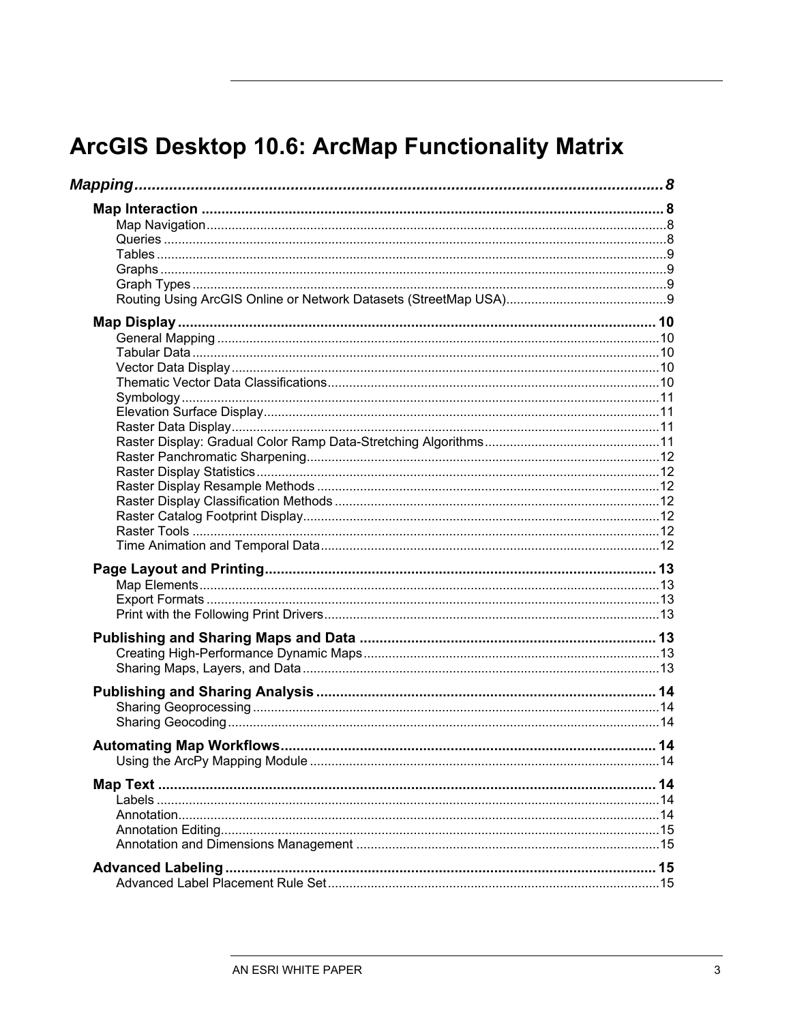| Mapping |  |
|---------|--|
|         |  |
|         |  |
|         |  |
|         |  |
|         |  |
|         |  |
|         |  |
|         |  |
|         |  |
|         |  |
|         |  |
|         |  |
|         |  |
|         |  |
|         |  |
|         |  |
|         |  |
|         |  |
|         |  |
|         |  |
|         |  |
|         |  |
|         |  |
|         |  |
|         |  |
|         |  |
|         |  |
|         |  |
|         |  |
|         |  |
|         |  |
|         |  |
|         |  |
|         |  |
|         |  |
|         |  |
|         |  |
|         |  |
|         |  |
|         |  |
|         |  |
|         |  |
|         |  |
|         |  |
|         |  |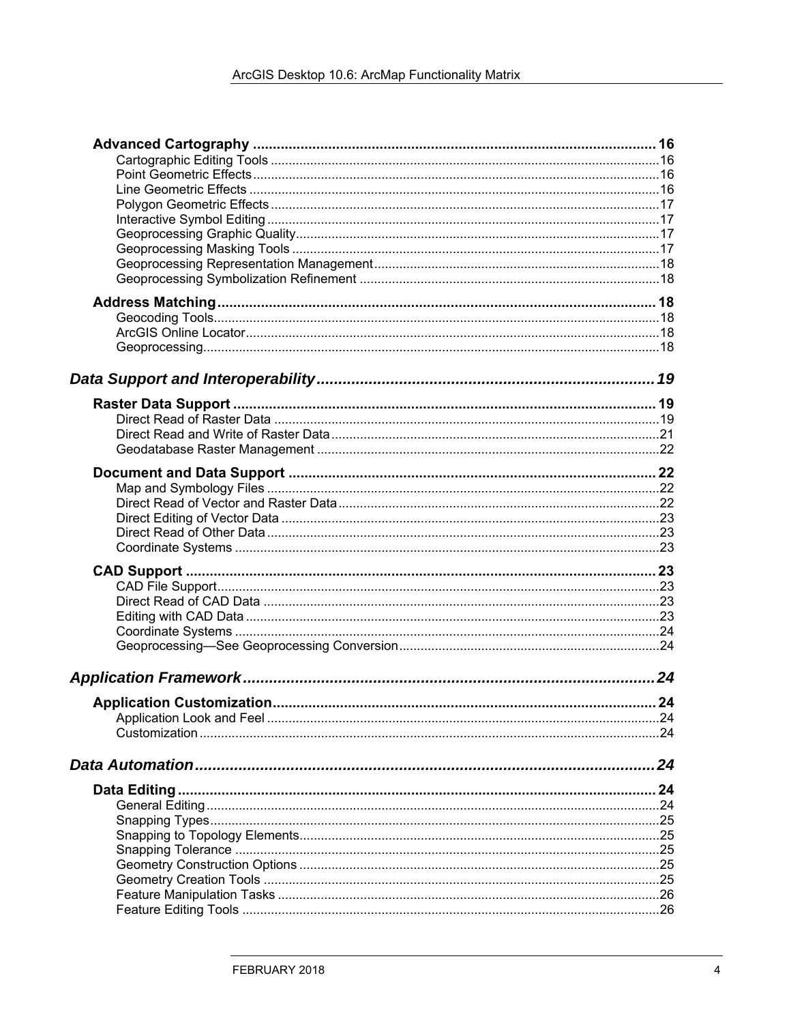| .24 |
|-----|
|     |
| 24  |
|     |
|     |
|     |
|     |
|     |
|     |
|     |
|     |
|     |
|     |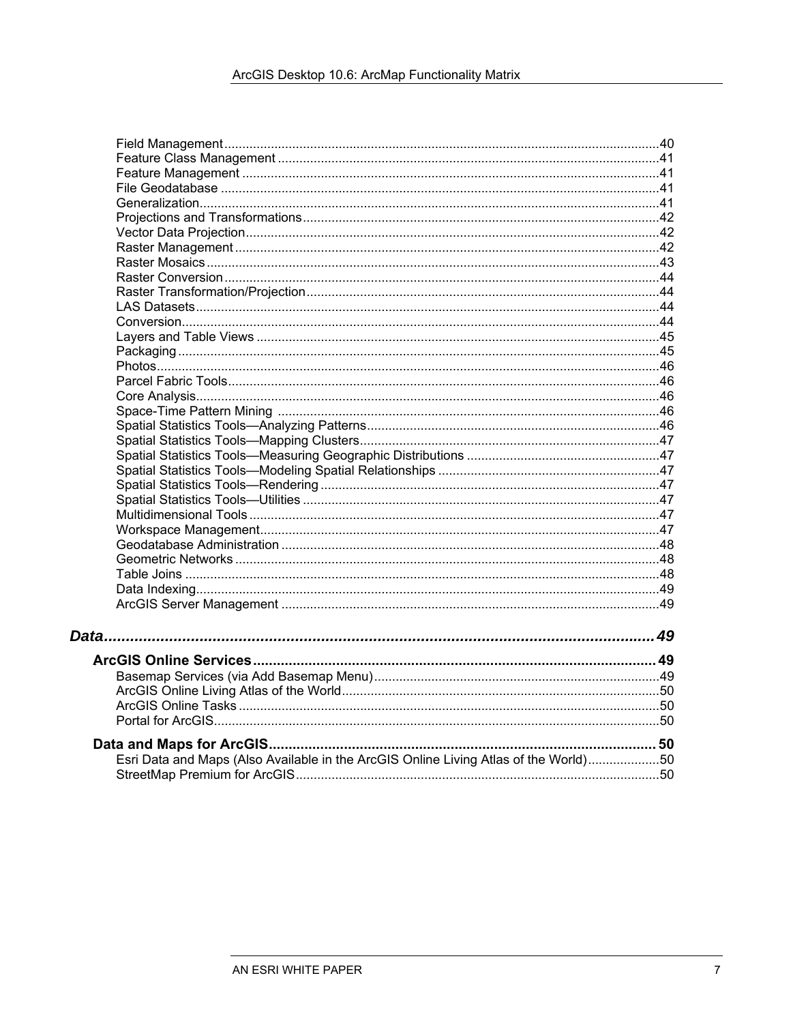| Esri Data and Maps (Also Available in the ArcGIS Online Living Atlas of the World)50 |  |
|--------------------------------------------------------------------------------------|--|
|                                                                                      |  |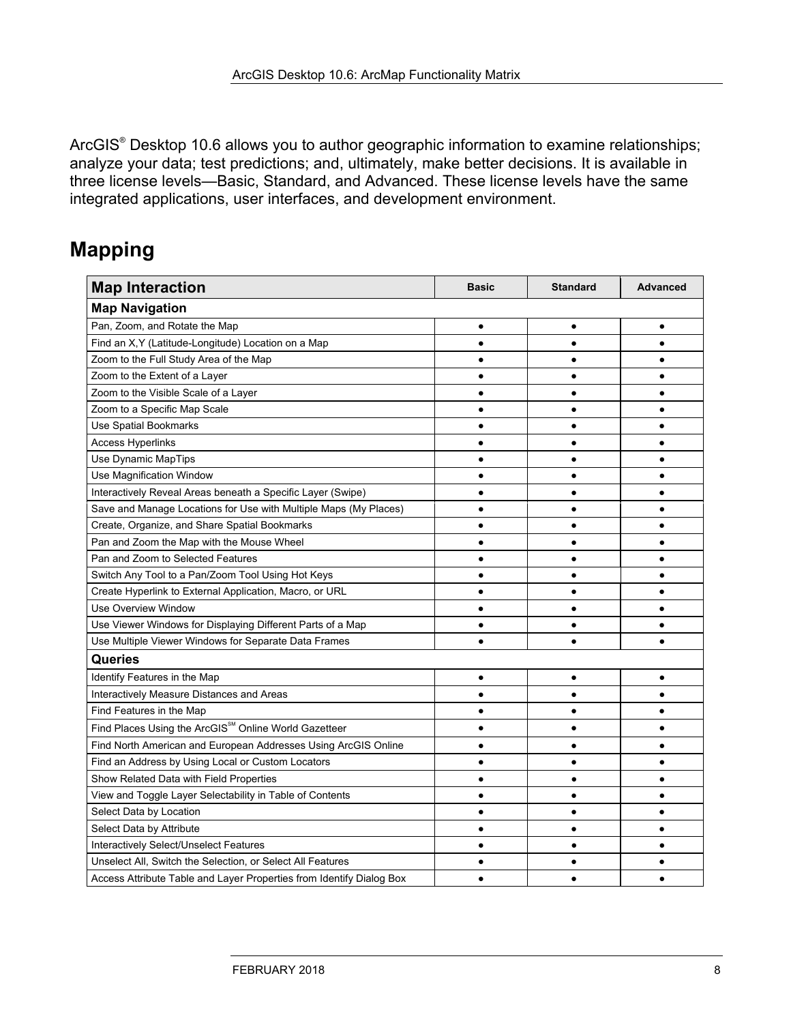ArcGIS<sup>®</sup> Desktop 10.6 allows you to author geographic information to examine relationships; analyze your data; test predictions; and, ultimately, make better decisions. It is available in three license levels—Basic, Standard, and Advanced. These license levels have the same integrated applications, user interfaces, and development environment.

## **Mapping**

| <b>Map Interaction</b>                                               | <b>Basic</b> | <b>Standard</b> | <b>Advanced</b> |
|----------------------------------------------------------------------|--------------|-----------------|-----------------|
| <b>Map Navigation</b>                                                |              |                 |                 |
| Pan, Zoom, and Rotate the Map                                        |              |                 |                 |
| Find an X, Y (Latitude-Longitude) Location on a Map                  |              |                 |                 |
| Zoom to the Full Study Area of the Map                               |              | ٠               |                 |
| Zoom to the Extent of a Layer                                        |              | $\bullet$       |                 |
| Zoom to the Visible Scale of a Layer                                 |              | $\bullet$       |                 |
| Zoom to a Specific Map Scale                                         |              |                 |                 |
| Use Spatial Bookmarks                                                |              |                 |                 |
| <b>Access Hyperlinks</b>                                             |              |                 |                 |
| Use Dynamic MapTips                                                  | ٠            | ٠               |                 |
| Use Magnification Window                                             |              |                 |                 |
| Interactively Reveal Areas beneath a Specific Layer (Swipe)          |              |                 |                 |
| Save and Manage Locations for Use with Multiple Maps (My Places)     |              |                 |                 |
| Create, Organize, and Share Spatial Bookmarks                        | $\bullet$    | $\bullet$       |                 |
| Pan and Zoom the Map with the Mouse Wheel                            | $\bullet$    | $\bullet$       |                 |
| Pan and Zoom to Selected Features                                    |              | $\bullet$       |                 |
| Switch Any Tool to a Pan/Zoom Tool Using Hot Keys                    |              | $\bullet$       |                 |
| Create Hyperlink to External Application, Macro, or URL              |              |                 |                 |
| <b>Use Overview Window</b>                                           |              |                 |                 |
| Use Viewer Windows for Displaying Different Parts of a Map           |              |                 |                 |
| Use Multiple Viewer Windows for Separate Data Frames                 |              |                 |                 |
| Queries                                                              |              |                 |                 |
| Identify Features in the Map                                         | $\bullet$    | $\bullet$       | $\bullet$       |
| Interactively Measure Distances and Areas                            |              | $\bullet$       |                 |
| Find Features in the Map                                             |              |                 |                 |
| Find Places Using the ArcGIS <sup>5M</sup> Online World Gazetteer    |              | $\bullet$       |                 |
| Find North American and European Addresses Using ArcGIS Online       | $\bullet$    | $\bullet$       |                 |
| Find an Address by Using Local or Custom Locators                    |              | ٠               |                 |
| Show Related Data with Field Properties                              |              | $\bullet$       |                 |
| View and Toggle Layer Selectability in Table of Contents             |              |                 |                 |
| Select Data by Location                                              |              |                 |                 |
| Select Data by Attribute                                             |              |                 |                 |
| Interactively Select/Unselect Features                               |              |                 |                 |
| Unselect All, Switch the Selection, or Select All Features           |              |                 |                 |
| Access Attribute Table and Layer Properties from Identify Dialog Box |              |                 |                 |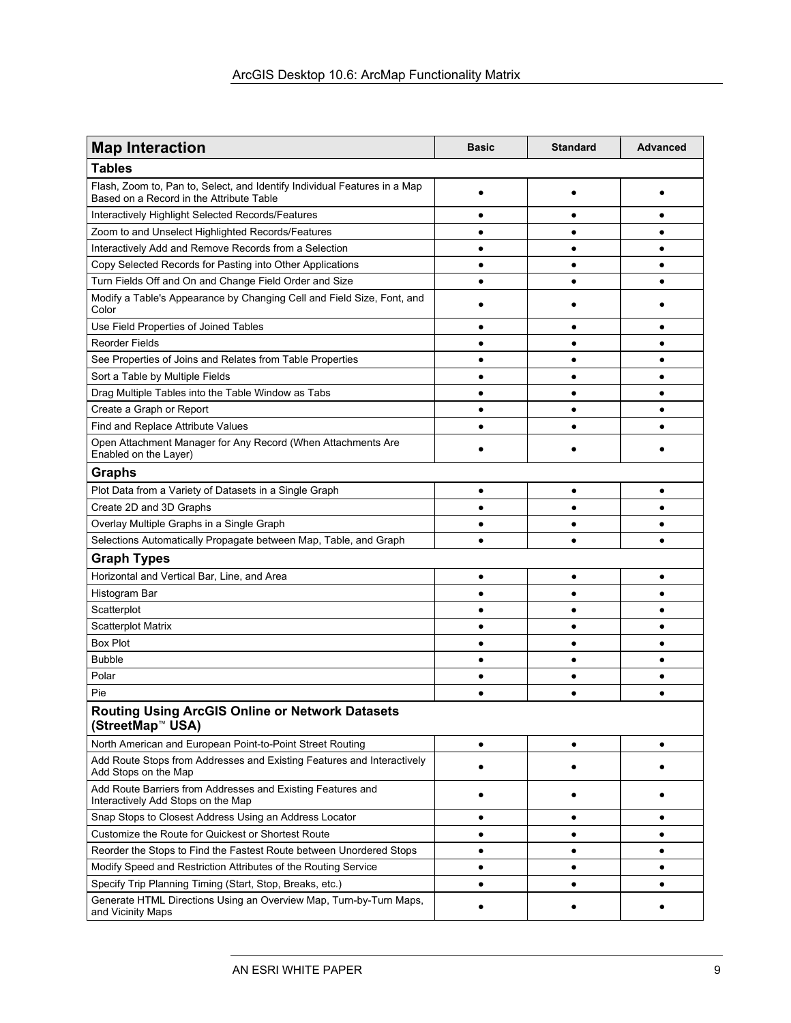| <b>Map Interaction</b>                                                                                                | <b>Basic</b> | <b>Standard</b> | <b>Advanced</b> |
|-----------------------------------------------------------------------------------------------------------------------|--------------|-----------------|-----------------|
| <b>Tables</b>                                                                                                         |              |                 |                 |
| Flash, Zoom to, Pan to, Select, and Identify Individual Features in a Map<br>Based on a Record in the Attribute Table |              |                 |                 |
| Interactively Highlight Selected Records/Features                                                                     |              |                 |                 |
| Zoom to and Unselect Highlighted Records/Features                                                                     |              |                 |                 |
| Interactively Add and Remove Records from a Selection                                                                 |              | ٠               |                 |
| Copy Selected Records for Pasting into Other Applications                                                             |              | ٠               |                 |
| Turn Fields Off and On and Change Field Order and Size                                                                |              |                 |                 |
| Modify a Table's Appearance by Changing Cell and Field Size, Font, and<br>Color                                       |              |                 |                 |
| Use Field Properties of Joined Tables                                                                                 |              |                 |                 |
| <b>Reorder Fields</b>                                                                                                 |              |                 |                 |
| See Properties of Joins and Relates from Table Properties                                                             |              |                 |                 |
| Sort a Table by Multiple Fields                                                                                       |              | $\bullet$       |                 |
| Drag Multiple Tables into the Table Window as Tabs                                                                    |              | ٠               |                 |
| Create a Graph or Report                                                                                              |              | $\bullet$       |                 |
| Find and Replace Attribute Values                                                                                     |              |                 |                 |
| Open Attachment Manager for Any Record (When Attachments Are<br>Enabled on the Layer)                                 |              |                 |                 |
| <b>Graphs</b>                                                                                                         |              |                 |                 |
| Plot Data from a Variety of Datasets in a Single Graph                                                                | $\bullet$    | ٠               |                 |
| Create 2D and 3D Graphs                                                                                               |              |                 |                 |
| Overlay Multiple Graphs in a Single Graph                                                                             |              | ۰               |                 |
| Selections Automatically Propagate between Map, Table, and Graph                                                      |              |                 |                 |
| <b>Graph Types</b>                                                                                                    |              |                 |                 |
| Horizontal and Vertical Bar, Line, and Area                                                                           |              |                 |                 |
| Histogram Bar                                                                                                         |              | ٠               |                 |
| Scatterplot                                                                                                           |              |                 |                 |
| Scatterplot Matrix                                                                                                    |              | $\bullet$       |                 |
| <b>Box Plot</b>                                                                                                       |              | ٠               |                 |
| <b>Bubble</b>                                                                                                         | ٠            | $\bullet$       | $\bullet$       |
| Polar                                                                                                                 |              | $\bullet$       |                 |
| Pie                                                                                                                   |              |                 |                 |
| <b>Routing Using ArcGIS Online or Network Datasets</b><br>(StreetMap <sup>™</sup> USA)                                |              |                 |                 |
| North American and European Point-to-Point Street Routing                                                             | $\bullet$    | ٠               |                 |
| Add Route Stops from Addresses and Existing Features and Interactively<br>Add Stops on the Map                        |              |                 |                 |
| Add Route Barriers from Addresses and Existing Features and<br>Interactively Add Stops on the Map                     |              |                 |                 |
| Snap Stops to Closest Address Using an Address Locator                                                                |              |                 |                 |
| Customize the Route for Quickest or Shortest Route                                                                    | ٠            | ٠               |                 |
| Reorder the Stops to Find the Fastest Route between Unordered Stops                                                   |              | ٠               | ٠               |
| Modify Speed and Restriction Attributes of the Routing Service                                                        |              | ٠               |                 |
| Specify Trip Planning Timing (Start, Stop, Breaks, etc.)                                                              | ٠            | ٠               |                 |
| Generate HTML Directions Using an Overview Map, Turn-by-Turn Maps,<br>and Vicinity Maps                               |              |                 |                 |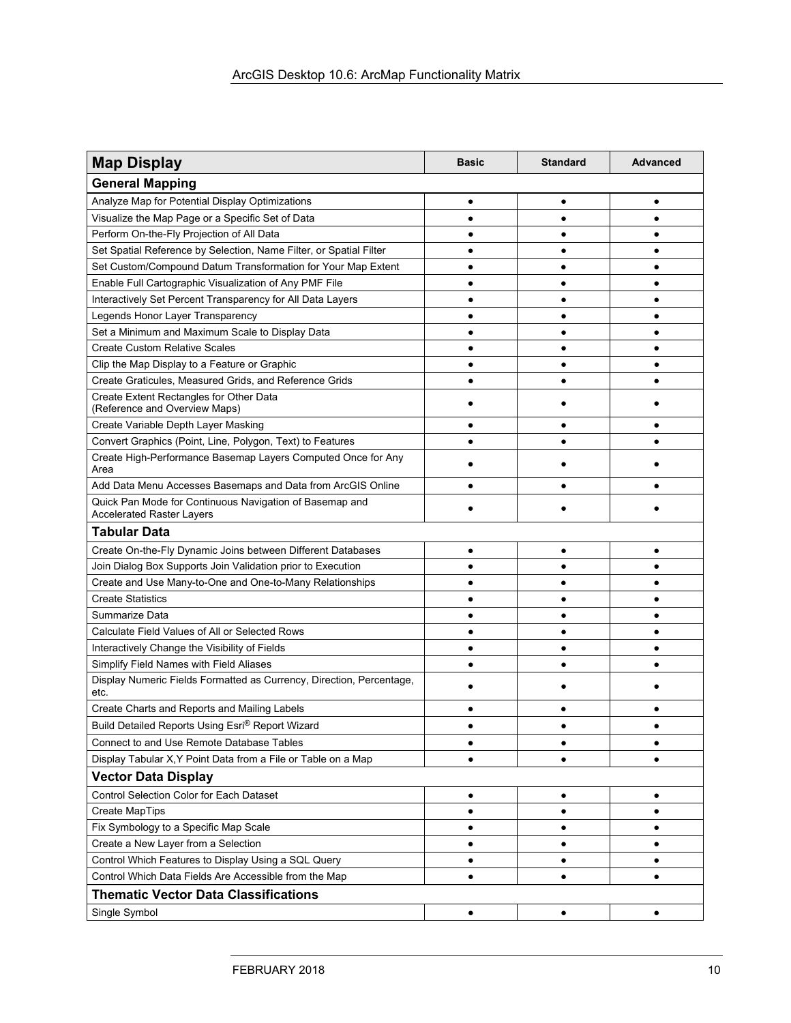| <b>Map Display</b>                                                                          | <b>Basic</b> | <b>Standard</b> | <b>Advanced</b> |  |
|---------------------------------------------------------------------------------------------|--------------|-----------------|-----------------|--|
| <b>General Mapping</b>                                                                      |              |                 |                 |  |
| Analyze Map for Potential Display Optimizations                                             | $\bullet$    | ٠               | $\bullet$       |  |
| Visualize the Map Page or a Specific Set of Data                                            |              |                 |                 |  |
| Perform On-the-Fly Projection of All Data                                                   |              |                 |                 |  |
| Set Spatial Reference by Selection, Name Filter, or Spatial Filter                          |              |                 |                 |  |
| Set Custom/Compound Datum Transformation for Your Map Extent                                |              |                 |                 |  |
| Enable Full Cartographic Visualization of Any PMF File                                      | ٠            |                 |                 |  |
| Interactively Set Percent Transparency for All Data Layers                                  |              |                 |                 |  |
| Legends Honor Layer Transparency                                                            | $\bullet$    |                 | $\bullet$       |  |
| Set a Minimum and Maximum Scale to Display Data                                             | ٠            |                 |                 |  |
| <b>Create Custom Relative Scales</b>                                                        | ٠            |                 | ٠               |  |
| Clip the Map Display to a Feature or Graphic                                                | ٠            |                 | $\bullet$       |  |
| Create Graticules, Measured Grids, and Reference Grids                                      | $\bullet$    |                 |                 |  |
| Create Extent Rectangles for Other Data<br>(Reference and Overview Maps)                    |              |                 |                 |  |
| Create Variable Depth Layer Masking                                                         |              |                 |                 |  |
| Convert Graphics (Point, Line, Polygon, Text) to Features                                   |              |                 |                 |  |
| Create High-Performance Basemap Layers Computed Once for Any<br>Area                        |              |                 |                 |  |
| Add Data Menu Accesses Basemaps and Data from ArcGIS Online                                 |              |                 |                 |  |
| Quick Pan Mode for Continuous Navigation of Basemap and<br><b>Accelerated Raster Layers</b> |              |                 |                 |  |
| <b>Tabular Data</b>                                                                         |              |                 |                 |  |
| Create On-the-Fly Dynamic Joins between Different Databases                                 | ٠            | ٠               | ٠               |  |
| Join Dialog Box Supports Join Validation prior to Execution                                 | ٠            |                 |                 |  |
| Create and Use Many-to-One and One-to-Many Relationships                                    |              |                 |                 |  |
| <b>Create Statistics</b>                                                                    |              |                 |                 |  |
| Summarize Data                                                                              |              |                 |                 |  |
| Calculate Field Values of All or Selected Rows                                              |              |                 |                 |  |
| Interactively Change the Visibility of Fields                                               |              |                 |                 |  |
| Simplify Field Names with Field Aliases                                                     |              |                 |                 |  |
| Display Numeric Fields Formatted as Currency, Direction, Percentage,<br>etc.                |              |                 |                 |  |
| Create Charts and Reports and Mailing Labels                                                |              |                 |                 |  |
| Build Detailed Reports Using Esri® Report Wizard                                            |              |                 |                 |  |
| Connect to and Use Remote Database Tables                                                   | ٠            | ٠               | ٠               |  |
| Display Tabular X, Y Point Data from a File or Table on a Map                               | ٠            |                 | $\bullet$       |  |
| <b>Vector Data Display</b>                                                                  |              |                 |                 |  |
| <b>Control Selection Color for Each Dataset</b>                                             | ٠            | ٠               | ٠               |  |
| <b>Create MapTips</b>                                                                       | ٠            | ٠               | ٠               |  |
| Fix Symbology to a Specific Map Scale                                                       | ٠            | ٠               | ٠               |  |
| Create a New Layer from a Selection                                                         | ٠            | ٠               | $\bullet$       |  |
| Control Which Features to Display Using a SQL Query                                         | $\bullet$    | $\bullet$       | $\bullet$       |  |
| Control Which Data Fields Are Accessible from the Map                                       | $\bullet$    | ٠               | ٠               |  |
| <b>Thematic Vector Data Classifications</b>                                                 |              |                 |                 |  |
| Single Symbol                                                                               | $\bullet$    | ٠               | ٠               |  |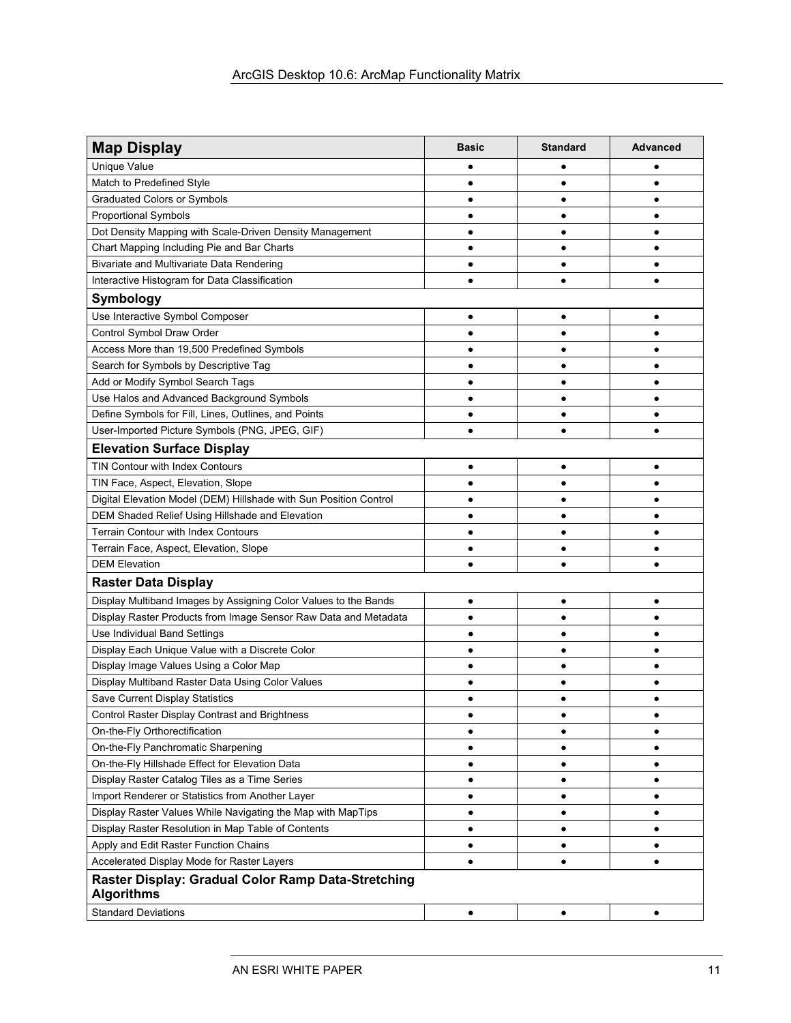| <b>Map Display</b>                                                      | <b>Basic</b> | <b>Standard</b> | <b>Advanced</b> |
|-------------------------------------------------------------------------|--------------|-----------------|-----------------|
| Unique Value                                                            | ٠            |                 |                 |
| Match to Predefined Style                                               | $\bullet$    | $\bullet$       | $\bullet$       |
| <b>Graduated Colors or Symbols</b>                                      | $\bullet$    | ٠               | ٠               |
| <b>Proportional Symbols</b>                                             | $\bullet$    | $\bullet$       | $\bullet$       |
| Dot Density Mapping with Scale-Driven Density Management                | ٠            | ٠               | $\bullet$       |
| Chart Mapping Including Pie and Bar Charts                              | ٠            |                 |                 |
| Bivariate and Multivariate Data Rendering                               | $\bullet$    | $\bullet$       | $\bullet$       |
| Interactive Histogram for Data Classification                           | ٠            |                 |                 |
| Symbology                                                               |              |                 |                 |
| Use Interactive Symbol Composer                                         | $\bullet$    | $\bullet$       | ٠               |
| Control Symbol Draw Order                                               | ٠            |                 | ٠               |
| Access More than 19,500 Predefined Symbols                              | $\bullet$    | ٠               | $\bullet$       |
| Search for Symbols by Descriptive Tag                                   | ٠            |                 | ٠               |
| Add or Modify Symbol Search Tags                                        |              |                 |                 |
| Use Halos and Advanced Background Symbols                               | $\bullet$    |                 |                 |
| Define Symbols for Fill, Lines, Outlines, and Points                    | $\bullet$    |                 |                 |
| User-Imported Picture Symbols (PNG, JPEG, GIF)                          | $\bullet$    | $\bullet$       | $\bullet$       |
| <b>Elevation Surface Display</b>                                        |              |                 |                 |
| <b>TIN Contour with Index Contours</b>                                  | $\bullet$    | ٠               | $\bullet$       |
| TIN Face, Aspect, Elevation, Slope                                      | $\bullet$    |                 |                 |
| Digital Elevation Model (DEM) Hillshade with Sun Position Control       |              |                 |                 |
| DEM Shaded Relief Using Hillshade and Elevation                         | $\bullet$    |                 | ٠               |
| <b>Terrain Contour with Index Contours</b>                              | ٠            |                 |                 |
| Terrain Face, Aspect, Elevation, Slope                                  | ٠            |                 |                 |
| <b>DEM Elevation</b>                                                    | $\bullet$    |                 | $\bullet$       |
| <b>Raster Data Display</b>                                              |              |                 |                 |
| Display Multiband Images by Assigning Color Values to the Bands         | $\bullet$    |                 | ٠               |
| Display Raster Products from Image Sensor Raw Data and Metadata         | ٠            | ٠               | ٠               |
| Use Individual Band Settings                                            | ٠            | ٠               | ٠               |
| Display Each Unique Value with a Discrete Color                         | $\bullet$    | ٠               | $\bullet$       |
| Display Image Values Using a Color Map                                  | $\bullet$    | ٠               | $\bullet$       |
| Display Multiband Raster Data Using Color Values                        | $\bullet$    | $\bullet$       | $\bullet$       |
| Save Current Display Statistics                                         | ٠            |                 | ٠               |
| Control Raster Display Contrast and Brightness                          |              |                 |                 |
| On-the-Fly Orthorectification                                           | $\bullet$    | ٠               | ٠               |
| On-the-Fly Panchromatic Sharpening                                      | ٠            |                 | ٠               |
| On-the-Fly Hillshade Effect for Elevation Data                          | $\bullet$    | ٠               | ٠               |
| Display Raster Catalog Tiles as a Time Series                           | $\bullet$    | ٠               | ٠               |
| Import Renderer or Statistics from Another Layer                        | $\bullet$    | ٠               | $\bullet$       |
| Display Raster Values While Navigating the Map with MapTips             | $\bullet$    | $\bullet$       | $\bullet$       |
| Display Raster Resolution in Map Table of Contents                      | $\bullet$    | ٠               | ٠               |
| Apply and Edit Raster Function Chains                                   | $\bullet$    | ٠               | $\bullet$       |
| Accelerated Display Mode for Raster Layers                              | $\bullet$    | ٠               | ٠               |
| Raster Display: Gradual Color Ramp Data-Stretching<br><b>Algorithms</b> |              |                 |                 |
| <b>Standard Deviations</b>                                              | $\bullet$    | ٠               | ٠               |
|                                                                         |              |                 |                 |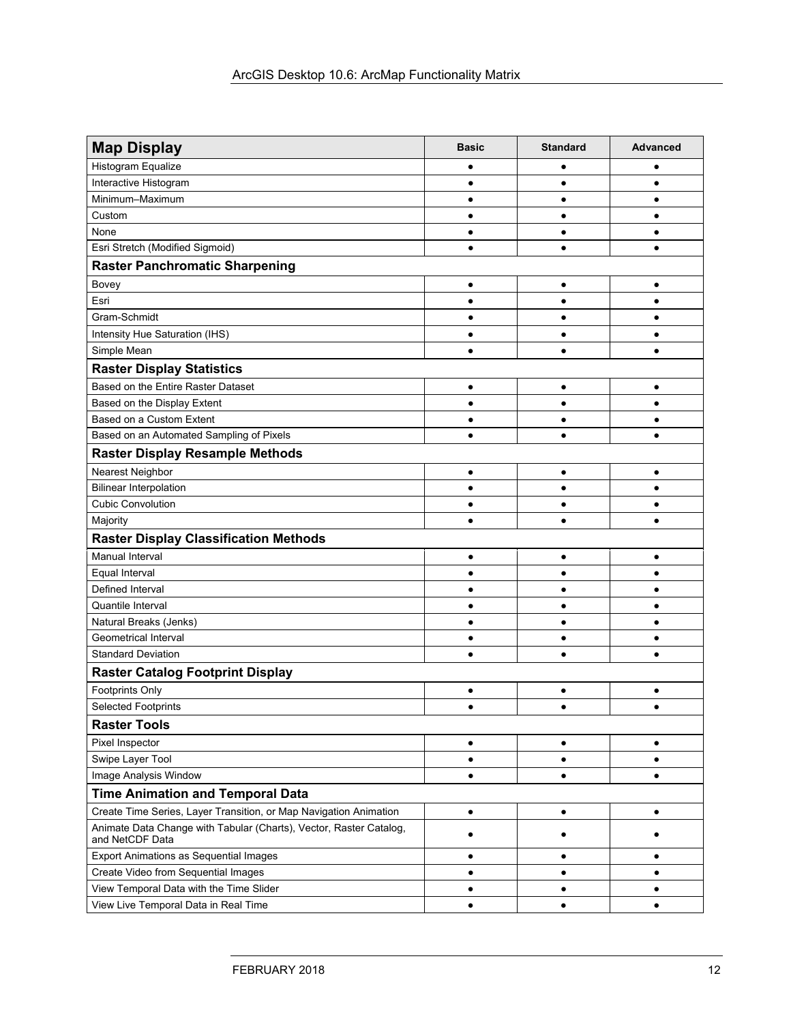| <b>Map Display</b>                                                                    | <b>Basic</b> | <b>Standard</b> | <b>Advanced</b> |
|---------------------------------------------------------------------------------------|--------------|-----------------|-----------------|
| Histogram Equalize                                                                    |              |                 |                 |
| Interactive Histogram                                                                 | $\bullet$    | ٠               | $\bullet$       |
| Minimum-Maximum                                                                       | $\bullet$    | $\bullet$       | $\bullet$       |
| Custom                                                                                | $\bullet$    | $\bullet$       | ٠               |
| None                                                                                  | $\bullet$    | $\bullet$       |                 |
| Esri Stretch (Modified Sigmoid)                                                       | $\bullet$    |                 | $\bullet$       |
| <b>Raster Panchromatic Sharpening</b>                                                 |              |                 |                 |
| Bovey                                                                                 | $\bullet$    | $\bullet$       | $\bullet$       |
| Esri                                                                                  | $\bullet$    | $\bullet$       | $\bullet$       |
| Gram-Schmidt                                                                          | $\bullet$    | $\bullet$       | $\bullet$       |
| Intensity Hue Saturation (IHS)                                                        | $\bullet$    | ٠               | ٠               |
| Simple Mean                                                                           | $\bullet$    | $\bullet$       | $\bullet$       |
| <b>Raster Display Statistics</b>                                                      |              |                 |                 |
| Based on the Entire Raster Dataset                                                    | $\bullet$    | ٠               | ٠               |
| Based on the Display Extent                                                           | $\bullet$    | ٠               | $\bullet$       |
| Based on a Custom Extent                                                              | $\bullet$    | ٠               | ٠               |
| Based on an Automated Sampling of Pixels                                              | $\bullet$    | $\bullet$       | $\bullet$       |
| <b>Raster Display Resample Methods</b>                                                |              |                 |                 |
| Nearest Neighbor                                                                      | $\bullet$    | ٠               | ٠               |
| <b>Bilinear Interpolation</b>                                                         | $\bullet$    | $\bullet$       | $\bullet$       |
| <b>Cubic Convolution</b>                                                              | $\bullet$    | $\bullet$       | $\bullet$       |
| Majority                                                                              | $\bullet$    |                 | $\bullet$       |
| <b>Raster Display Classification Methods</b>                                          |              |                 |                 |
| <b>Manual Interval</b>                                                                | $\bullet$    | ٠               | $\bullet$       |
| Equal Interval                                                                        | $\bullet$    | ٠               | $\bullet$       |
| Defined Interval                                                                      | $\bullet$    | $\bullet$       | $\bullet$       |
| Quantile Interval                                                                     | $\bullet$    | $\bullet$       | $\bullet$       |
| Natural Breaks (Jenks)                                                                | $\bullet$    | $\bullet$       | $\bullet$       |
| Geometrical Interval                                                                  | $\bullet$    | $\bullet$       | $\bullet$       |
| <b>Standard Deviation</b>                                                             | $\bullet$    |                 |                 |
| <b>Raster Catalog Footprint Display</b>                                               |              |                 |                 |
| Footprints Only                                                                       | $\bullet$    |                 |                 |
| <b>Selected Footprints</b>                                                            | $\bullet$    | $\bullet$       | $\bullet$       |
| <b>Raster Tools</b>                                                                   |              |                 |                 |
| Pixel Inspector                                                                       | $\bullet$    | ٠               | $\bullet$       |
| Swipe Layer Tool                                                                      | $\bullet$    | $\bullet$       | $\bullet$       |
| Image Analysis Window                                                                 |              |                 | $\bullet$       |
| <b>Time Animation and Temporal Data</b>                                               |              |                 |                 |
| Create Time Series, Layer Transition, or Map Navigation Animation                     | $\bullet$    | $\bullet$       | ٠               |
| Animate Data Change with Tabular (Charts), Vector, Raster Catalog,<br>and NetCDF Data | $\bullet$    |                 |                 |
| <b>Export Animations as Sequential Images</b>                                         |              | $\bullet$       | ٠               |
| Create Video from Sequential Images                                                   | $\bullet$    | $\bullet$       | $\bullet$       |
| View Temporal Data with the Time Slider                                               | $\bullet$    | ٠               | $\bullet$       |
| View Live Temporal Data in Real Time                                                  | $\bullet$    | ٠               | $\bullet$       |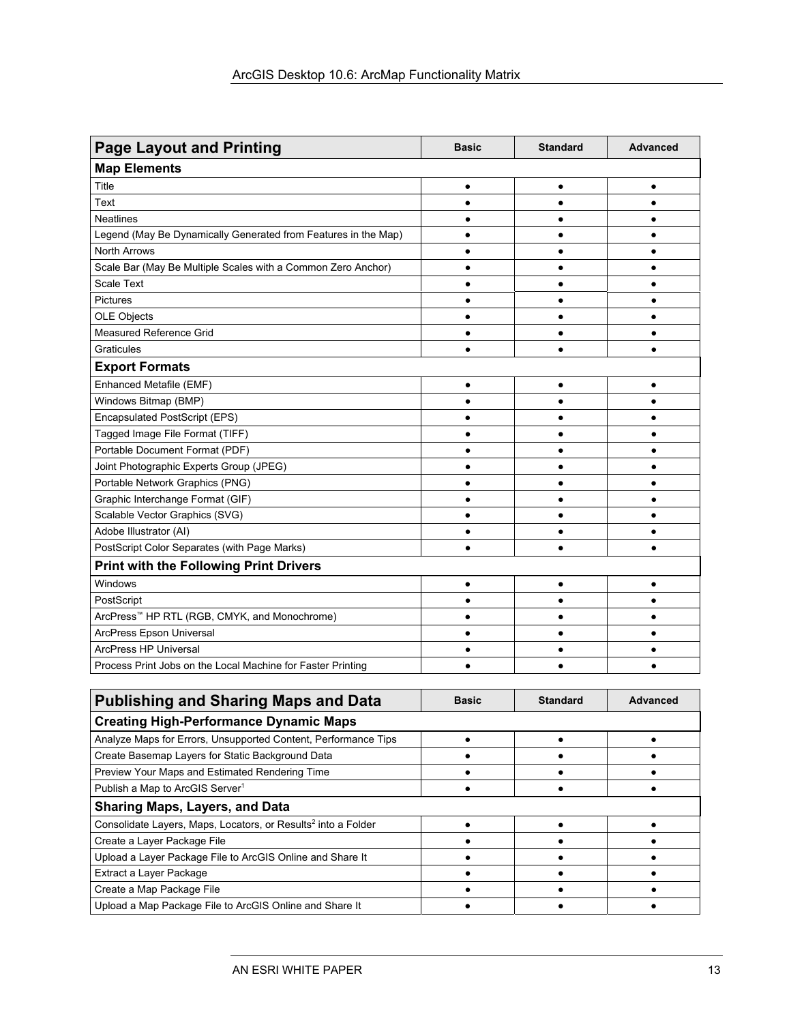| <b>Page Layout and Printing</b>                                | <b>Basic</b> | <b>Standard</b> | <b>Advanced</b> |
|----------------------------------------------------------------|--------------|-----------------|-----------------|
| <b>Map Elements</b>                                            |              |                 |                 |
| Title                                                          | $\bullet$    | $\bullet$       | $\bullet$       |
| Text                                                           | $\bullet$    | $\bullet$       | $\bullet$       |
| <b>Neatlines</b>                                               | $\bullet$    |                 | $\bullet$       |
| Legend (May Be Dynamically Generated from Features in the Map) | $\bullet$    |                 | $\bullet$       |
| <b>North Arrows</b>                                            | $\bullet$    | $\bullet$       | $\bullet$       |
| Scale Bar (May Be Multiple Scales with a Common Zero Anchor)   | $\bullet$    | $\bullet$       | $\bullet$       |
| <b>Scale Text</b>                                              | $\bullet$    | $\bullet$       | $\bullet$       |
| <b>Pictures</b>                                                | $\bullet$    | $\bullet$       | $\bullet$       |
| <b>OLE Objects</b>                                             | $\bullet$    | $\bullet$       | $\bullet$       |
| Measured Reference Grid                                        | $\bullet$    | ٠               | $\bullet$       |
| Graticules                                                     | $\bullet$    | $\bullet$       | $\bullet$       |
| <b>Export Formats</b>                                          |              |                 |                 |
| Enhanced Metafile (EMF)                                        | $\bullet$    | $\bullet$       | $\bullet$       |
| Windows Bitmap (BMP)                                           | $\bullet$    | $\bullet$       | $\bullet$       |
| <b>Encapsulated PostScript (EPS)</b>                           | $\bullet$    | $\bullet$       | $\bullet$       |
| Tagged Image File Format (TIFF)                                | $\bullet$    | $\bullet$       | $\bullet$       |
| Portable Document Format (PDF)                                 |              |                 | $\bullet$       |
| Joint Photographic Experts Group (JPEG)                        |              |                 | $\bullet$       |
| Portable Network Graphics (PNG)                                | $\bullet$    |                 | $\bullet$       |
| Graphic Interchange Format (GIF)                               | $\bullet$    |                 | $\bullet$       |
| Scalable Vector Graphics (SVG)                                 | $\bullet$    |                 | $\bullet$       |
| Adobe Illustrator (AI)                                         | $\bullet$    |                 | $\bullet$       |
| PostScript Color Separates (with Page Marks)                   | $\bullet$    |                 | $\bullet$       |
| <b>Print with the Following Print Drivers</b>                  |              |                 |                 |
| Windows                                                        | $\bullet$    |                 | $\bullet$       |
| PostScript                                                     | $\bullet$    | $\bullet$       | $\bullet$       |
| ArcPress™ HP RTL (RGB, CMYK, and Monochrome)                   | $\bullet$    |                 | $\bullet$       |
| ArcPress Epson Universal                                       | $\bullet$    |                 | $\bullet$       |
| <b>ArcPress HP Universal</b>                                   | $\bullet$    | $\bullet$       | $\bullet$       |
| Process Print Jobs on the Local Machine for Faster Printing    | $\bullet$    | $\bullet$       | $\bullet$       |
|                                                                |              |                 |                 |
| <b>Publishing and Sharing Maps and Data</b>                    | <b>Basic</b> | <b>Standard</b> | <b>Advanced</b> |
| <b>Creating High-Performance Dynamic Maps</b>                  |              |                 |                 |
| Analyze Maps for Errors, Unsupported Content, Performance Tips | ٠            | $\bullet$       | ٠               |
| Create Basemap Layers for Static Background Data               |              |                 | ٠               |
|                                                                |              |                 |                 |

| Analyze Maps for Effors, Unsupported Content, Performance Tips            |  |  |
|---------------------------------------------------------------------------|--|--|
| Create Basemap Layers for Static Background Data                          |  |  |
| Preview Your Maps and Estimated Rendering Time                            |  |  |
| Publish a Map to ArcGIS Server <sup>1</sup>                               |  |  |
| <b>Sharing Maps, Layers, and Data</b>                                     |  |  |
| Consolidate Layers, Maps, Locators, or Results <sup>2</sup> into a Folder |  |  |
| Create a Layer Package File                                               |  |  |
| Upload a Layer Package File to ArcGIS Online and Share It                 |  |  |
| Extract a Layer Package                                                   |  |  |
| Create a Map Package File                                                 |  |  |
| Upload a Map Package File to ArcGIS Online and Share It                   |  |  |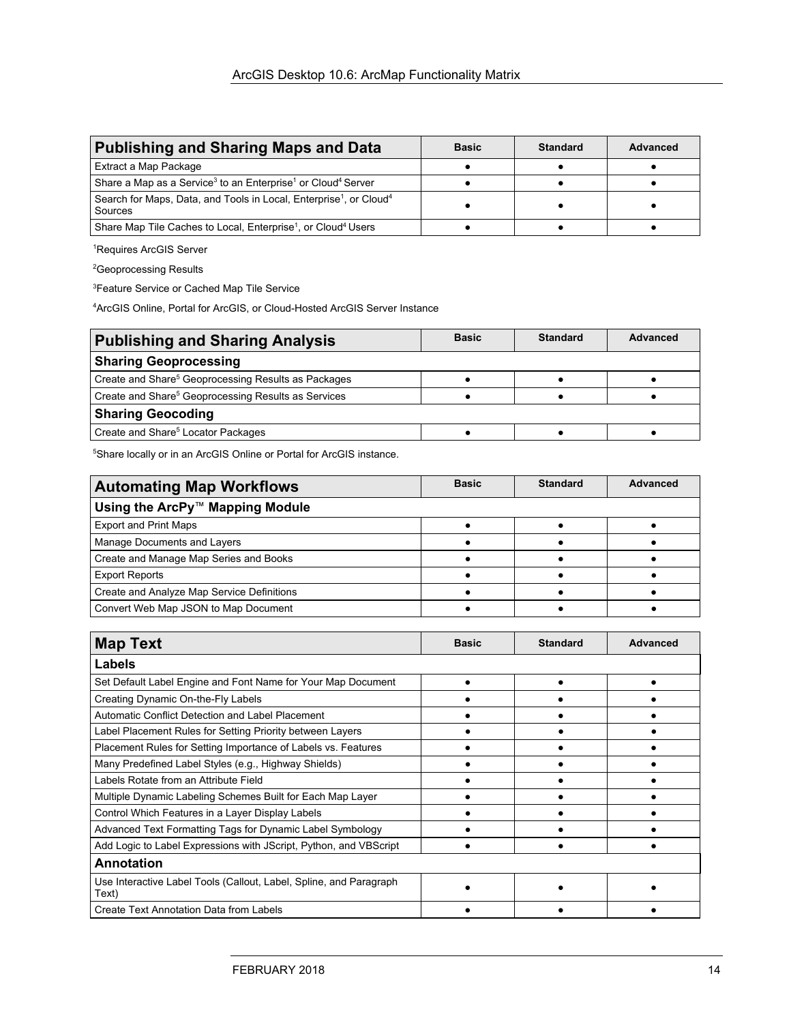| <b>Publishing and Sharing Maps and Data</b>                                                           | <b>Basic</b> | <b>Standard</b> | Advanced |
|-------------------------------------------------------------------------------------------------------|--------------|-----------------|----------|
| Extract a Map Package                                                                                 |              |                 |          |
| Share a Map as a Service <sup>3</sup> to an Enterprise <sup>1</sup> or Cloud <sup>4</sup> Server      |              |                 |          |
| Search for Maps, Data, and Tools in Local, Enterprise <sup>1</sup> , or Cloud <sup>4</sup><br>Sources |              |                 |          |
| Share Map Tile Caches to Local, Enterprise <sup>1</sup> , or Cloud <sup>4</sup> Users                 |              |                 |          |

1 Requires ArcGIS Server

<sup>2</sup>Geoprocessing Results

3 Feature Service or Cached Map Tile Service

4 ArcGIS Online, Portal for ArcGIS, or Cloud-Hosted ArcGIS Server Instance

| <b>Publishing and Sharing Analysis</b>                          | <b>Basic</b> | <b>Standard</b> | Advanced |
|-----------------------------------------------------------------|--------------|-----------------|----------|
| <b>Sharing Geoprocessing</b>                                    |              |                 |          |
| Create and Share <sup>5</sup> Geoprocessing Results as Packages |              |                 |          |
| Create and Share <sup>5</sup> Geoprocessing Results as Services |              |                 |          |
| <b>Sharing Geocoding</b>                                        |              |                 |          |
| Create and Share <sup>5</sup> Locator Packages                  |              |                 |          |

<sup>5</sup>Share locally or in an ArcGIS Online or Portal for ArcGIS instance.

| <b>Automating Map Workflows</b>            | <b>Basic</b> | <b>Standard</b> | <b>Advanced</b> |
|--------------------------------------------|--------------|-----------------|-----------------|
| Using the ArcPy™ Mapping Module            |              |                 |                 |
| <b>Export and Print Maps</b>               |              |                 |                 |
| Manage Documents and Layers                |              |                 |                 |
| Create and Manage Map Series and Books     |              |                 |                 |
| <b>Export Reports</b>                      |              |                 |                 |
| Create and Analyze Map Service Definitions |              |                 |                 |
| Convert Web Map JSON to Map Document       |              |                 |                 |

| <b>Map Text</b>                                                             | <b>Basic</b> | <b>Standard</b> | <b>Advanced</b> |
|-----------------------------------------------------------------------------|--------------|-----------------|-----------------|
| Labels                                                                      |              |                 |                 |
| Set Default Label Engine and Font Name for Your Map Document                |              |                 |                 |
| Creating Dynamic On-the-Fly Labels                                          |              |                 |                 |
| Automatic Conflict Detection and Label Placement                            |              |                 |                 |
| Label Placement Rules for Setting Priority between Layers                   |              |                 |                 |
| Placement Rules for Setting Importance of Labels vs. Features               |              |                 |                 |
| Many Predefined Label Styles (e.g., Highway Shields)                        |              |                 |                 |
| Labels Rotate from an Attribute Field                                       |              |                 |                 |
| Multiple Dynamic Labeling Schemes Built for Each Map Layer                  |              |                 |                 |
| Control Which Features in a Layer Display Labels                            |              |                 |                 |
| Advanced Text Formatting Tags for Dynamic Label Symbology                   |              |                 |                 |
| Add Logic to Label Expressions with JScript, Python, and VBScript           |              |                 |                 |
| <b>Annotation</b>                                                           |              |                 |                 |
| Use Interactive Label Tools (Callout, Label, Spline, and Paragraph<br>Text) |              |                 |                 |
| <b>Create Text Annotation Data from Labels</b>                              |              |                 |                 |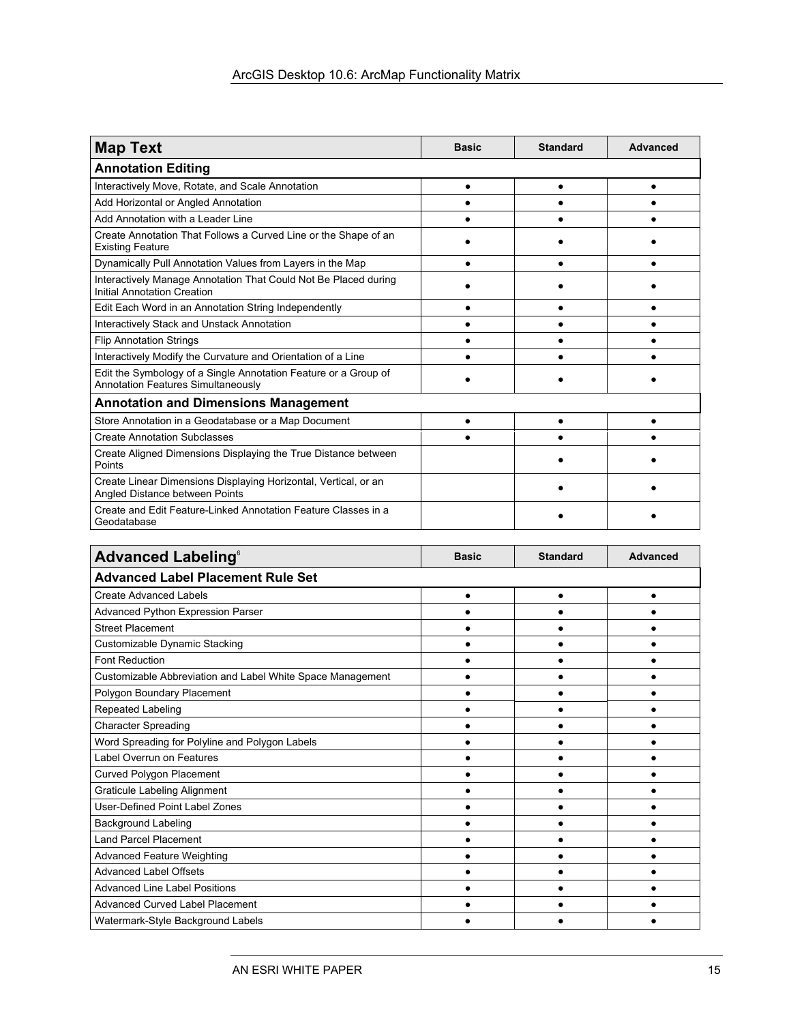| <b>Map Text</b>                                                                                              | <b>Basic</b> | <b>Standard</b> | Advanced |
|--------------------------------------------------------------------------------------------------------------|--------------|-----------------|----------|
| <b>Annotation Editing</b>                                                                                    |              |                 |          |
| Interactively Move, Rotate, and Scale Annotation                                                             |              |                 |          |
| Add Horizontal or Angled Annotation                                                                          |              |                 |          |
| Add Annotation with a Leader Line                                                                            |              |                 |          |
| Create Annotation That Follows a Curved Line or the Shape of an<br><b>Existing Feature</b>                   |              |                 |          |
| Dynamically Pull Annotation Values from Layers in the Map                                                    |              |                 |          |
| Interactively Manage Annotation That Could Not Be Placed during<br>Initial Annotation Creation               |              |                 |          |
| Edit Each Word in an Annotation String Independently                                                         |              |                 |          |
| Interactively Stack and Unstack Annotation                                                                   |              |                 |          |
| <b>Flip Annotation Strings</b>                                                                               |              |                 |          |
| Interactively Modify the Curvature and Orientation of a Line                                                 |              |                 |          |
| Edit the Symbology of a Single Annotation Feature or a Group of<br><b>Annotation Features Simultaneously</b> |              |                 |          |
| <b>Annotation and Dimensions Management</b>                                                                  |              |                 |          |
| Store Annotation in a Geodatabase or a Map Document                                                          |              |                 |          |
| <b>Create Annotation Subclasses</b>                                                                          |              |                 |          |
| Create Aligned Dimensions Displaying the True Distance between<br>Points                                     |              |                 |          |
| Create Linear Dimensions Displaying Horizontal, Vertical, or an<br>Angled Distance between Points            |              |                 |          |
| Create and Edit Feature-Linked Annotation Feature Classes in a<br>Geodatabase                                |              |                 |          |

| <b>Advanced Labeling®</b>                                  | <b>Basic</b> | <b>Standard</b> | <b>Advanced</b> |
|------------------------------------------------------------|--------------|-----------------|-----------------|
| <b>Advanced Label Placement Rule Set</b>                   |              |                 |                 |
| <b>Create Advanced Labels</b>                              | $\bullet$    |                 |                 |
| Advanced Python Expression Parser                          |              |                 |                 |
| <b>Street Placement</b>                                    |              |                 |                 |
| Customizable Dynamic Stacking                              |              |                 |                 |
| <b>Font Reduction</b>                                      |              |                 |                 |
| Customizable Abbreviation and Label White Space Management |              |                 |                 |
| Polygon Boundary Placement                                 |              |                 |                 |
| <b>Repeated Labeling</b>                                   |              |                 |                 |
| <b>Character Spreading</b>                                 |              |                 |                 |
| Word Spreading for Polyline and Polygon Labels             |              |                 |                 |
| Label Overrun on Features                                  |              |                 |                 |
| Curved Polygon Placement                                   |              |                 |                 |
| <b>Graticule Labeling Alignment</b>                        |              |                 |                 |
| <b>User-Defined Point Label Zones</b>                      |              |                 |                 |
| <b>Background Labeling</b>                                 |              |                 |                 |
| <b>Land Parcel Placement</b>                               |              |                 |                 |
| Advanced Feature Weighting                                 |              |                 |                 |
| <b>Advanced Label Offsets</b>                              |              |                 |                 |
| <b>Advanced Line Label Positions</b>                       |              |                 |                 |
| <b>Advanced Curved Label Placement</b>                     |              |                 |                 |
| Watermark-Style Background Labels                          |              |                 |                 |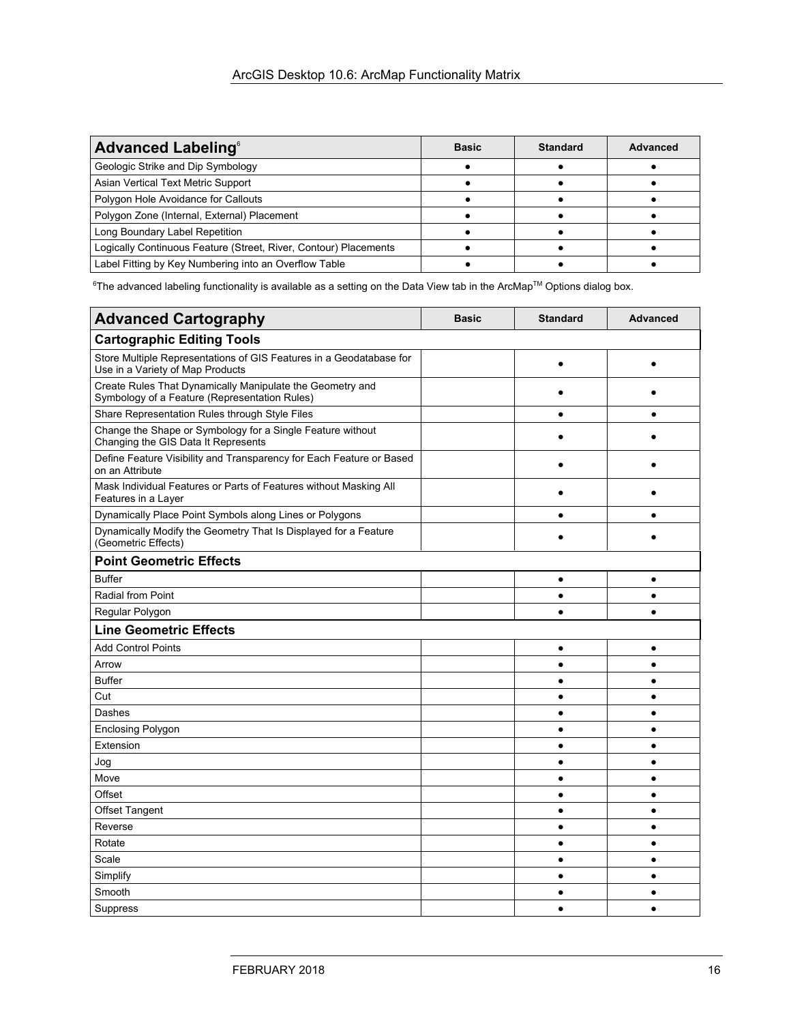| <b>Advanced Labeling®</b>                                        | <b>Basic</b> | <b>Standard</b> | Advanced |
|------------------------------------------------------------------|--------------|-----------------|----------|
| Geologic Strike and Dip Symbology                                |              |                 |          |
| Asian Vertical Text Metric Support                               |              |                 |          |
| Polygon Hole Avoidance for Callouts                              |              |                 |          |
| Polygon Zone (Internal, External) Placement                      |              |                 |          |
| Long Boundary Label Repetition                                   |              |                 |          |
| Logically Continuous Feature (Street, River, Contour) Placements |              |                 |          |
| Label Fitting by Key Numbering into an Overflow Table            |              |                 |          |

 $^6$ The advanced labeling functionality is available as a setting on the Data View tab in the ArcMap™ Options dialog box.

| <b>Advanced Cartography</b>                                                                                | <b>Basic</b> | <b>Standard</b> | <b>Advanced</b> |
|------------------------------------------------------------------------------------------------------------|--------------|-----------------|-----------------|
| <b>Cartographic Editing Tools</b>                                                                          |              |                 |                 |
| Store Multiple Representations of GIS Features in a Geodatabase for<br>Use in a Variety of Map Products    |              | $\bullet$       |                 |
| Create Rules That Dynamically Manipulate the Geometry and<br>Symbology of a Feature (Representation Rules) |              |                 |                 |
| Share Representation Rules through Style Files                                                             |              |                 | $\bullet$       |
| Change the Shape or Symbology for a Single Feature without<br>Changing the GIS Data It Represents          |              |                 |                 |
| Define Feature Visibility and Transparency for Each Feature or Based<br>on an Attribute                    |              |                 |                 |
| Mask Individual Features or Parts of Features without Masking All<br>Features in a Layer                   |              |                 |                 |
| Dynamically Place Point Symbols along Lines or Polygons                                                    |              |                 |                 |
| Dynamically Modify the Geometry That Is Displayed for a Feature<br>(Geometric Effects)                     |              |                 |                 |
| <b>Point Geometric Effects</b>                                                                             |              |                 |                 |
| <b>Buffer</b>                                                                                              |              | $\bullet$       | $\bullet$       |
| <b>Radial from Point</b>                                                                                   |              | $\bullet$       | $\bullet$       |
| Regular Polygon                                                                                            |              | $\bullet$       | $\bullet$       |
| <b>Line Geometric Effects</b>                                                                              |              |                 |                 |
| <b>Add Control Points</b>                                                                                  |              | ٠               | $\bullet$       |
| Arrow                                                                                                      |              | $\bullet$       | $\bullet$       |
| <b>Buffer</b>                                                                                              |              | $\bullet$       | $\bullet$       |
| Cut                                                                                                        |              | $\bullet$       | $\bullet$       |
| Dashes                                                                                                     |              | $\bullet$       | $\bullet$       |
| <b>Enclosing Polygon</b>                                                                                   |              | ٠               | ٠               |
| Extension                                                                                                  |              | $\bullet$       | $\bullet$       |
| Jog                                                                                                        |              | $\bullet$       | $\bullet$       |
| Move                                                                                                       |              | ٠               | $\bullet$       |
| Offset                                                                                                     |              | $\bullet$       | $\bullet$       |
| <b>Offset Tangent</b>                                                                                      |              | $\bullet$       | $\bullet$       |
| Reverse                                                                                                    |              | ٠               | $\bullet$       |
| Rotate                                                                                                     |              | $\bullet$       | $\bullet$       |
| Scale                                                                                                      |              | $\bullet$       | $\bullet$       |
| Simplify                                                                                                   |              | $\bullet$       | $\bullet$       |
| Smooth                                                                                                     |              | $\bullet$       | $\bullet$       |
| Suppress                                                                                                   |              |                 | $\bullet$       |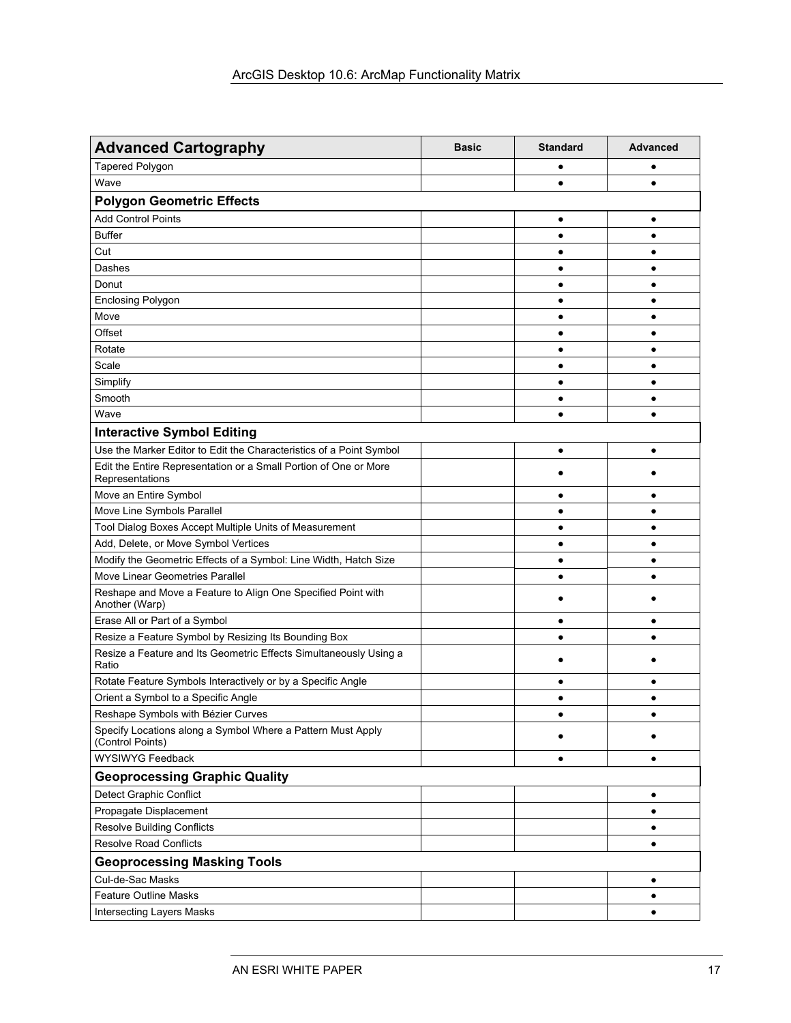| <b>Advanced Cartography</b>                                                         | <b>Basic</b> | <b>Standard</b> | <b>Advanced</b> |
|-------------------------------------------------------------------------------------|--------------|-----------------|-----------------|
| Tapered Polygon                                                                     |              |                 |                 |
| Wave                                                                                |              | ٠               | ٠               |
| <b>Polygon Geometric Effects</b>                                                    |              |                 |                 |
| <b>Add Control Points</b>                                                           |              | ٠               | ٠               |
| <b>Buffer</b>                                                                       |              |                 |                 |
| Cut                                                                                 |              |                 |                 |
| Dashes                                                                              |              |                 |                 |
| Donut                                                                               |              | $\bullet$       | ٠               |
| <b>Enclosing Polygon</b>                                                            |              | ٠               | ٠               |
| Move                                                                                |              | ٠               | ٠               |
| Offset                                                                              |              | ٠               | ٠               |
| Rotate                                                                              |              |                 | $\bullet$       |
| Scale                                                                               |              | $\bullet$       | $\bullet$       |
| Simplify                                                                            |              | ٠               | ٠               |
| Smooth                                                                              |              | ٠               | $\bullet$       |
| Wave                                                                                |              |                 |                 |
| <b>Interactive Symbol Editing</b>                                                   |              |                 |                 |
| Use the Marker Editor to Edit the Characteristics of a Point Symbol                 |              | $\bullet$       | $\bullet$       |
| Edit the Entire Representation or a Small Portion of One or More<br>Representations |              |                 |                 |
| Move an Entire Symbol                                                               |              | ٠               | $\bullet$       |
| Move Line Symbols Parallel                                                          |              | ٠               | $\bullet$       |
| Tool Dialog Boxes Accept Multiple Units of Measurement                              |              | $\bullet$       | ٠               |
| Add, Delete, or Move Symbol Vertices                                                |              | $\bullet$       | $\bullet$       |
| Modify the Geometric Effects of a Symbol: Line Width, Hatch Size                    |              | $\bullet$       | $\bullet$       |
| Move Linear Geometries Parallel                                                     |              |                 |                 |
| Reshape and Move a Feature to Align One Specified Point with<br>Another (Warp)      |              |                 |                 |
| Erase All or Part of a Symbol                                                       |              | ٠               |                 |
| Resize a Feature Symbol by Resizing Its Bounding Box                                |              | $\bullet$       |                 |
| Resize a Feature and Its Geometric Effects Simultaneously Using a<br>Ratio          |              |                 |                 |
| Rotate Feature Symbols Interactively or by a Specific Angle                         |              | ٠               |                 |
| Orient a Symbol to a Specific Angle                                                 |              |                 |                 |
| Reshape Symbols with Bézier Curves                                                  |              |                 |                 |
| Specify Locations along a Symbol Where a Pattern Must Apply<br>(Control Points)     |              | ٠               |                 |
| <b>WYSIWYG Feedback</b>                                                             |              | $\bullet$       | $\bullet$       |
| <b>Geoprocessing Graphic Quality</b>                                                |              |                 |                 |
| Detect Graphic Conflict                                                             |              |                 | ٠               |
| Propagate Displacement                                                              |              |                 | $\bullet$       |
| <b>Resolve Building Conflicts</b>                                                   |              |                 | ٠               |
| <b>Resolve Road Conflicts</b>                                                       |              |                 | ٠               |
| <b>Geoprocessing Masking Tools</b>                                                  |              |                 |                 |
| Cul-de-Sac Masks                                                                    |              |                 | ٠               |
| <b>Feature Outline Masks</b>                                                        |              |                 | ٠               |
| Intersecting Layers Masks                                                           |              |                 | ٠               |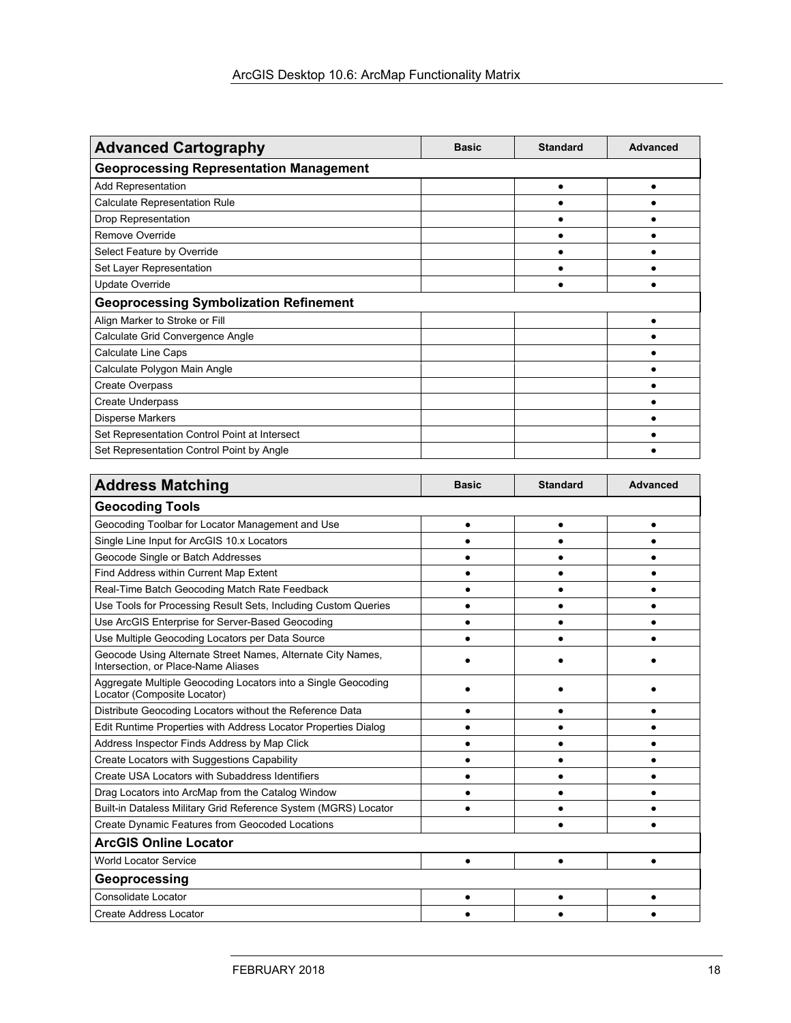| <b>Advanced Cartography</b>                    | <b>Basic</b> | <b>Standard</b> | Advanced |
|------------------------------------------------|--------------|-----------------|----------|
| <b>Geoprocessing Representation Management</b> |              |                 |          |
| Add Representation                             |              |                 |          |
| <b>Calculate Representation Rule</b>           |              |                 |          |
| Drop Representation                            |              |                 |          |
| Remove Override                                |              |                 |          |
| Select Feature by Override                     |              |                 |          |
| Set Layer Representation                       |              |                 |          |
| Update Override                                |              |                 |          |
| <b>Geoprocessing Symbolization Refinement</b>  |              |                 |          |
| Align Marker to Stroke or Fill                 |              |                 |          |
| Calculate Grid Convergence Angle               |              |                 |          |
| Calculate Line Caps                            |              |                 |          |
| Calculate Polygon Main Angle                   |              |                 |          |
| <b>Create Overpass</b>                         |              |                 |          |
| <b>Create Underpass</b>                        |              |                 |          |
| <b>Disperse Markers</b>                        |              |                 |          |
| Set Representation Control Point at Intersect  |              |                 |          |
| Set Representation Control Point by Angle      |              |                 |          |

| <b>Address Matching</b>                                                                            | <b>Basic</b> | <b>Standard</b> | <b>Advanced</b> |
|----------------------------------------------------------------------------------------------------|--------------|-----------------|-----------------|
| <b>Geocoding Tools</b>                                                                             |              |                 |                 |
| Geocoding Toolbar for Locator Management and Use                                                   | $\bullet$    |                 |                 |
| Single Line Input for ArcGIS 10.x Locators                                                         |              |                 |                 |
| Geocode Single or Batch Addresses                                                                  |              |                 |                 |
| Find Address within Current Map Extent                                                             |              |                 |                 |
| Real-Time Batch Geocoding Match Rate Feedback                                                      |              |                 |                 |
| Use Tools for Processing Result Sets, Including Custom Queries                                     |              |                 |                 |
| Use ArcGIS Enterprise for Server-Based Geocoding                                                   |              |                 |                 |
| Use Multiple Geocoding Locators per Data Source                                                    |              |                 |                 |
| Geocode Using Alternate Street Names, Alternate City Names,<br>Intersection, or Place-Name Aliases |              |                 |                 |
| Aggregate Multiple Geocoding Locators into a Single Geocoding<br>Locator (Composite Locator)       |              |                 |                 |
| Distribute Geocoding Locators without the Reference Data                                           |              |                 |                 |
| Edit Runtime Properties with Address Locator Properties Dialog                                     |              |                 |                 |
| Address Inspector Finds Address by Map Click                                                       |              |                 |                 |
| Create Locators with Suggestions Capability                                                        |              |                 |                 |
| Create USA Locators with Subaddress Identifiers                                                    |              |                 |                 |
| Drag Locators into ArcMap from the Catalog Window                                                  |              |                 |                 |
| Built-in Dataless Military Grid Reference System (MGRS) Locator                                    |              |                 |                 |
| Create Dynamic Features from Geocoded Locations                                                    |              |                 |                 |
| <b>ArcGIS Online Locator</b>                                                                       |              |                 |                 |
| <b>World Locator Service</b>                                                                       |              |                 |                 |
| Geoprocessing                                                                                      |              |                 |                 |
| Consolidate Locator                                                                                |              |                 |                 |
| <b>Create Address Locator</b>                                                                      |              |                 |                 |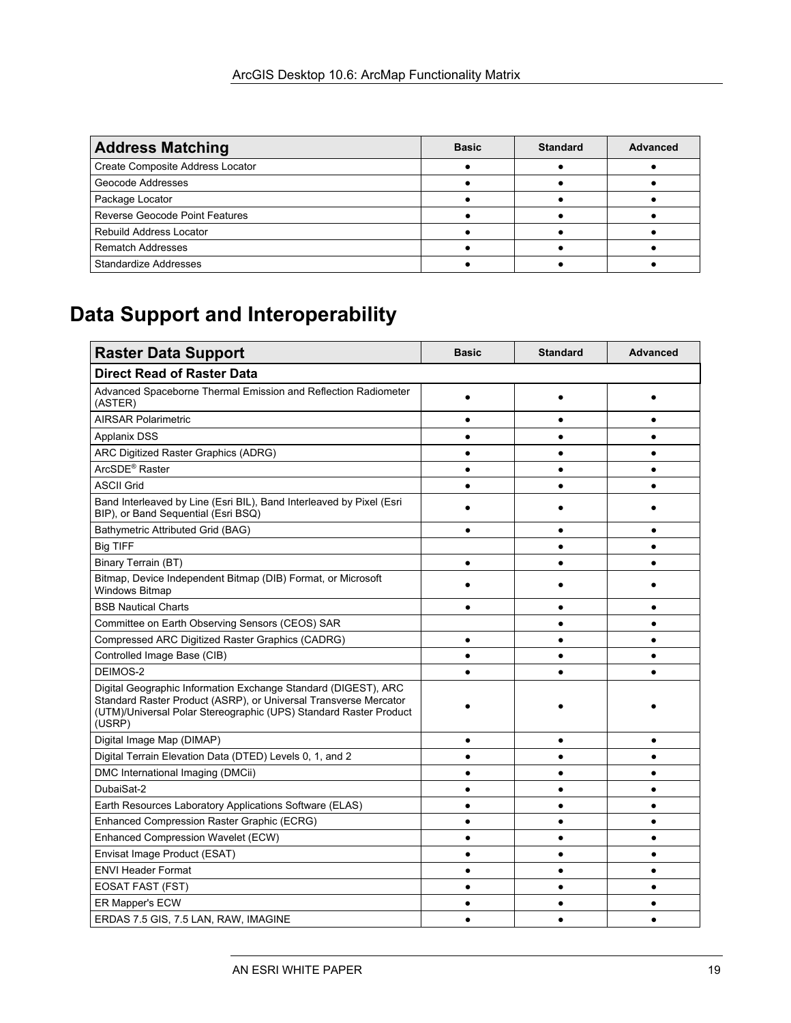| <b>Address Matching</b>               | <b>Basic</b> | <b>Standard</b> | <b>Advanced</b> |
|---------------------------------------|--------------|-----------------|-----------------|
| Create Composite Address Locator      |              |                 |                 |
| Geocode Addresses                     |              |                 |                 |
| Package Locator                       |              |                 |                 |
| <b>Reverse Geocode Point Features</b> |              |                 |                 |
| <b>Rebuild Address Locator</b>        |              |                 |                 |
| <b>Rematch Addresses</b>              |              |                 |                 |
| <b>Standardize Addresses</b>          |              |                 |                 |

# **Data Support and Interoperability**

| <b>Raster Data Support</b>                                                                                                                                                                                        | <b>Basic</b> | <b>Standard</b> | <b>Advanced</b> |
|-------------------------------------------------------------------------------------------------------------------------------------------------------------------------------------------------------------------|--------------|-----------------|-----------------|
| <b>Direct Read of Raster Data</b>                                                                                                                                                                                 |              |                 |                 |
| Advanced Spaceborne Thermal Emission and Reflection Radiometer<br>(ASTER)                                                                                                                                         | $\bullet$    |                 |                 |
| <b>AIRSAR Polarimetric</b>                                                                                                                                                                                        | $\bullet$    |                 | ٠               |
| <b>Applanix DSS</b>                                                                                                                                                                                               | $\bullet$    |                 |                 |
| ARC Digitized Raster Graphics (ADRG)                                                                                                                                                                              | $\bullet$    | ٠               | $\bullet$       |
| ArcSDE <sup>®</sup> Raster                                                                                                                                                                                        | ٠            |                 | $\bullet$       |
| <b>ASCII Grid</b>                                                                                                                                                                                                 | $\bullet$    |                 |                 |
| Band Interleaved by Line (Esri BIL), Band Interleaved by Pixel (Esri<br>BIP), or Band Sequential (Esri BSQ)                                                                                                       |              |                 |                 |
| Bathymetric Attributed Grid (BAG)                                                                                                                                                                                 | $\bullet$    | ٠               |                 |
| <b>Big TIFF</b>                                                                                                                                                                                                   |              |                 |                 |
| Binary Terrain (BT)                                                                                                                                                                                               | $\bullet$    |                 |                 |
| Bitmap, Device Independent Bitmap (DIB) Format, or Microsoft<br><b>Windows Bitmap</b>                                                                                                                             |              |                 |                 |
| <b>BSB Nautical Charts</b>                                                                                                                                                                                        |              |                 |                 |
| Committee on Earth Observing Sensors (CEOS) SAR                                                                                                                                                                   |              |                 |                 |
| <b>Compressed ARC Digitized Raster Graphics (CADRG)</b>                                                                                                                                                           | $\bullet$    |                 |                 |
| Controlled Image Base (CIB)                                                                                                                                                                                       | $\bullet$    |                 |                 |
| DEIMOS-2                                                                                                                                                                                                          | $\bullet$    |                 |                 |
| Digital Geographic Information Exchange Standard (DIGEST), ARC<br>Standard Raster Product (ASRP), or Universal Transverse Mercator<br>(UTM)/Universal Polar Stereographic (UPS) Standard Raster Product<br>(USRP) |              |                 |                 |
| Digital Image Map (DIMAP)                                                                                                                                                                                         | $\bullet$    |                 |                 |
| Digital Terrain Elevation Data (DTED) Levels 0, 1, and 2                                                                                                                                                          |              |                 |                 |
| DMC International Imaging (DMCii)                                                                                                                                                                                 |              |                 |                 |
| DubaiSat-2                                                                                                                                                                                                        |              |                 |                 |
| Earth Resources Laboratory Applications Software (ELAS)                                                                                                                                                           | $\bullet$    |                 |                 |
| Enhanced Compression Raster Graphic (ECRG)                                                                                                                                                                        | $\bullet$    |                 |                 |
| Enhanced Compression Wavelet (ECW)                                                                                                                                                                                | $\bullet$    |                 |                 |
| Envisat Image Product (ESAT)                                                                                                                                                                                      | $\bullet$    |                 | $\bullet$       |
| <b>ENVI Header Format</b>                                                                                                                                                                                         |              |                 | ٠               |
| <b>EOSAT FAST (FST)</b>                                                                                                                                                                                           | $\bullet$    | $\bullet$       | $\bullet$       |
| <b>ER Mapper's ECW</b>                                                                                                                                                                                            | $\bullet$    |                 | $\bullet$       |
| ERDAS 7.5 GIS, 7.5 LAN, RAW, IMAGINE                                                                                                                                                                              | $\bullet$    |                 | $\bullet$       |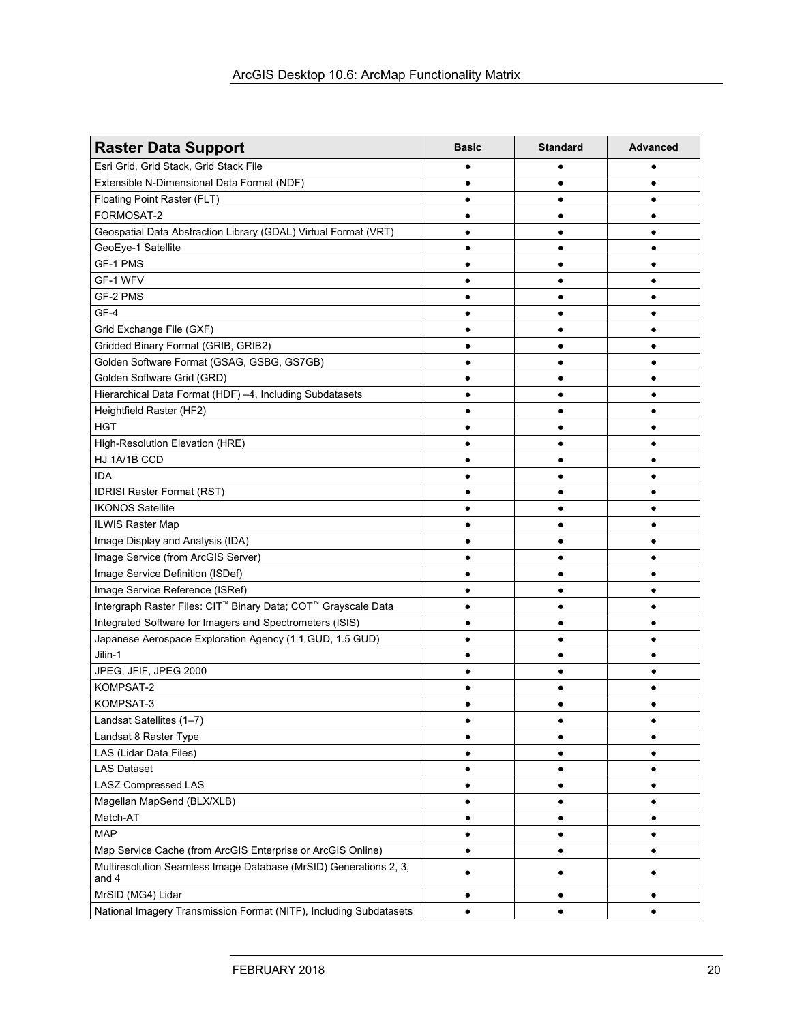| <b>Raster Data Support</b>                                                             | <b>Basic</b> | <b>Standard</b> | <b>Advanced</b> |
|----------------------------------------------------------------------------------------|--------------|-----------------|-----------------|
| Esri Grid, Grid Stack, Grid Stack File                                                 |              |                 |                 |
| Extensible N-Dimensional Data Format (NDF)                                             |              | ٠               | ٠               |
| Floating Point Raster (FLT)                                                            |              | $\bullet$       |                 |
| FORMOSAT-2                                                                             |              | ٠               |                 |
| Geospatial Data Abstraction Library (GDAL) Virtual Format (VRT)                        |              | $\bullet$       |                 |
| GeoEye-1 Satellite                                                                     |              | $\bullet$       |                 |
| GF-1 PMS                                                                               | $\bullet$    | $\bullet$       | $\bullet$       |
| GF-1 WFV                                                                               |              | Ċ               |                 |
| GF-2 PMS                                                                               |              |                 |                 |
| GF-4                                                                                   |              |                 |                 |
| Grid Exchange File (GXF)                                                               |              |                 |                 |
| Gridded Binary Format (GRIB, GRIB2)                                                    |              | $\bullet$       | $\bullet$       |
| Golden Software Format (GSAG, GSBG, GS7GB)                                             |              |                 |                 |
| Golden Software Grid (GRD)                                                             |              | ٠               | $\bullet$       |
| Hierarchical Data Format (HDF) -4, Including Subdatasets                               |              | ٠               |                 |
| Heightfield Raster (HF2)                                                               |              | ٠               | ٠               |
| <b>HGT</b>                                                                             | $\bullet$    | $\bullet$       | ٠               |
| High-Resolution Elevation (HRE)                                                        |              | Ċ               | ٠               |
| HJ 1A/1B CCD                                                                           |              | ٠               |                 |
| <b>IDA</b>                                                                             |              |                 |                 |
| <b>IDRISI Raster Format (RST)</b>                                                      |              |                 |                 |
| <b>IKONOS Satellite</b>                                                                |              | $\bullet$       | ٠               |
| <b>ILWIS Raster Map</b>                                                                |              | ٠               |                 |
| Image Display and Analysis (IDA)                                                       |              | ٠               |                 |
| Image Service (from ArcGIS Server)                                                     |              | $\bullet$       |                 |
| Image Service Definition (ISDef)                                                       |              | $\bullet$       |                 |
| Image Service Reference (ISRef)                                                        | $\bullet$    | $\bullet$       | $\bullet$       |
| Intergraph Raster Files: CIT <sup>™</sup> Binary Data; COT <sup>™</sup> Grayscale Data |              | $\bullet$       |                 |
| Integrated Software for Imagers and Spectrometers (ISIS)                               |              | ٠               |                 |
| Japanese Aerospace Exploration Agency (1.1 GUD, 1.5 GUD)                               |              |                 |                 |
| Jilin-1                                                                                |              | $\bullet$       |                 |
| JPEG, JFIF, JPEG 2000                                                                  |              | ٠               |                 |
| KOMPSAT-2                                                                              |              | c               |                 |
| KOMPSAT-3                                                                              |              | $\bullet$       | $\bullet$       |
| Landsat Satellites (1-7)                                                               | ٠            |                 | ٠               |
| Landsat 8 Raster Type                                                                  | $\bullet$    | $\bullet$       | $\bullet$       |
| LAS (Lidar Data Files)                                                                 | ٠            |                 | ٠               |
| <b>LAS Dataset</b>                                                                     | ٠            | ٠               | ٠               |
| <b>LASZ Compressed LAS</b>                                                             | $\bullet$    | ٠               | ٠               |
| Magellan MapSend (BLX/XLB)                                                             |              |                 |                 |
| Match-AT                                                                               |              |                 | ٠               |
| <b>MAP</b>                                                                             |              |                 | ٠               |
| Map Service Cache (from ArcGIS Enterprise or ArcGIS Online)                            |              |                 | ٠               |
| Multiresolution Seamless Image Database (MrSID) Generations 2, 3,<br>and 4             |              |                 |                 |
| MrSID (MG4) Lidar                                                                      |              |                 |                 |
| National Imagery Transmission Format (NITF), Including Subdatasets                     | ٠            |                 |                 |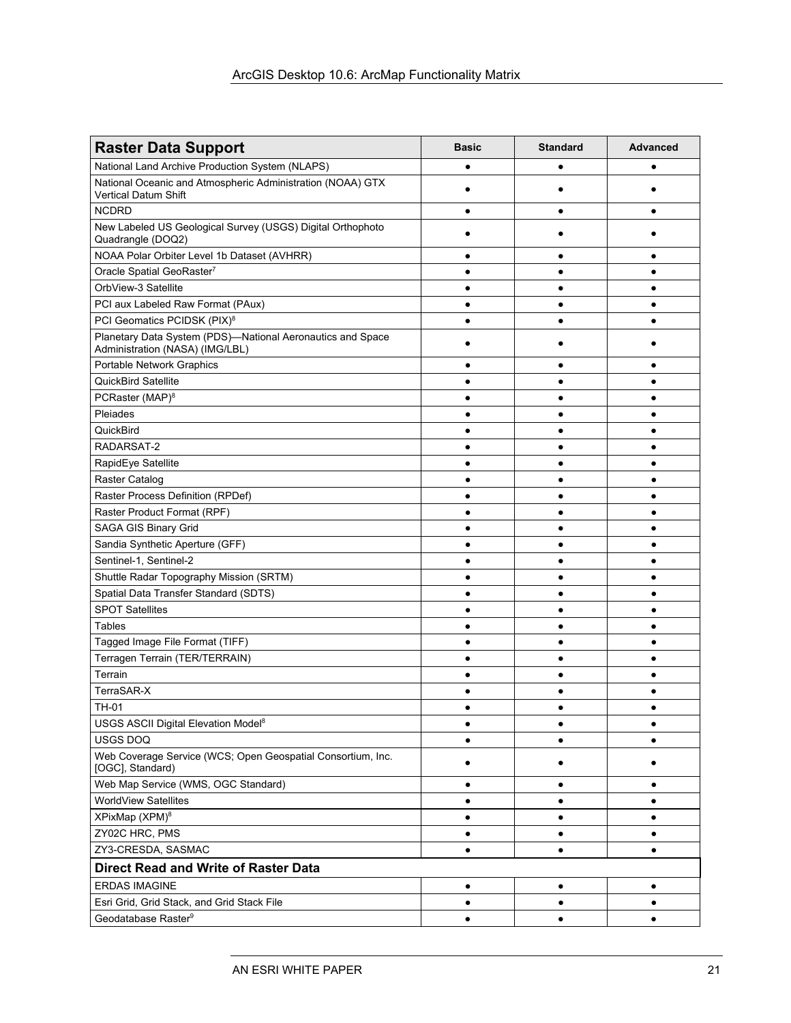| <b>Raster Data Support</b>                                                                    | <b>Basic</b> | <b>Standard</b> | <b>Advanced</b> |  |
|-----------------------------------------------------------------------------------------------|--------------|-----------------|-----------------|--|
| National Land Archive Production System (NLAPS)                                               |              | $\bullet$       |                 |  |
| National Oceanic and Atmospheric Administration (NOAA) GTX<br>Vertical Datum Shift            |              | $\bullet$       |                 |  |
| <b>NCDRD</b>                                                                                  |              | ٠               | $\bullet$       |  |
| New Labeled US Geological Survey (USGS) Digital Orthophoto<br>Quadrangle (DOQ2)               |              |                 |                 |  |
| NOAA Polar Orbiter Level 1b Dataset (AVHRR)                                                   |              |                 |                 |  |
| Oracle Spatial GeoRaster7                                                                     |              | ٠               | ٠               |  |
| OrbView-3 Satellite                                                                           | $\bullet$    | ٠               | $\bullet$       |  |
| PCI aux Labeled Raw Format (PAux)                                                             |              | $\bullet$       | ٠               |  |
| PCI Geomatics PCIDSK (PIX) <sup>8</sup>                                                       |              | $\bullet$       | $\bullet$       |  |
| Planetary Data System (PDS)-National Aeronautics and Space<br>Administration (NASA) (IMG/LBL) |              |                 |                 |  |
| Portable Network Graphics                                                                     |              | $\bullet$       | $\bullet$       |  |
| <b>QuickBird Satellite</b>                                                                    |              | ٠               | $\bullet$       |  |
| PCRaster (MAP) <sup>8</sup>                                                                   |              | ٠               |                 |  |
| Pleiades                                                                                      |              |                 |                 |  |
| QuickBird                                                                                     |              |                 |                 |  |
| RADARSAT-2                                                                                    |              | $\bullet$       | $\bullet$       |  |
| RapidEye Satellite                                                                            |              | ٠               | ٠               |  |
| Raster Catalog                                                                                |              | ٠               | ٠               |  |
| Raster Process Definition (RPDef)                                                             |              | ٠               | $\bullet$       |  |
| Raster Product Format (RPF)                                                                   |              | ٠               | ٠               |  |
| SAGA GIS Binary Grid                                                                          | $\bullet$    | $\bullet$       | $\bullet$       |  |
| Sandia Synthetic Aperture (GFF)                                                               | $\bullet$    | ٠               | $\bullet$       |  |
| Sentinel-1, Sentinel-2                                                                        |              | $\bullet$       | $\bullet$       |  |
| Shuttle Radar Topography Mission (SRTM)                                                       |              |                 |                 |  |
| Spatial Data Transfer Standard (SDTS)                                                         |              |                 |                 |  |
| <b>SPOT Satellites</b>                                                                        |              | $\bullet$       | $\bullet$       |  |
| <b>Tables</b>                                                                                 |              | ٠               | ٠               |  |
| Tagged Image File Format (TIFF)                                                               |              | ٠               | ٠               |  |
| Terragen Terrain (TER/TERRAIN)                                                                |              | ٠               | ٠               |  |
| Terrain                                                                                       |              | $\bullet$       | ٠               |  |
| TerraSAR-X                                                                                    |              | ٠               | ٠               |  |
| TH-01                                                                                         |              |                 |                 |  |
| USGS ASCII Digital Elevation Model <sup>8</sup>                                               |              | ٠               | ٠               |  |
| USGS DOQ                                                                                      |              |                 |                 |  |
| Web Coverage Service (WCS; Open Geospatial Consortium, Inc.<br>[OGC], Standard)               |              | ٠               |                 |  |
| Web Map Service (WMS, OGC Standard)                                                           | $\bullet$    | $\bullet$       | $\bullet$       |  |
| <b>WorldView Satellites</b>                                                                   | $\bullet$    | $\bullet$       | $\bullet$       |  |
| XPixMap (XPM) <sup>8</sup>                                                                    |              | ٠               | ٠               |  |
| ZY02C HRC, PMS                                                                                |              | ٠               | $\bullet$       |  |
| ZY3-CRESDA, SASMAC                                                                            | $\bullet$    | ٠               | ٠               |  |
| <b>Direct Read and Write of Raster Data</b>                                                   |              |                 |                 |  |
| <b>ERDAS IMAGINE</b>                                                                          | $\bullet$    | ٠               | ٠               |  |
| Esri Grid, Grid Stack, and Grid Stack File                                                    | $\bullet$    | ٠               | ٠               |  |
| Geodatabase Raster <sup>9</sup>                                                               | ٠            | ٠               | ٠               |  |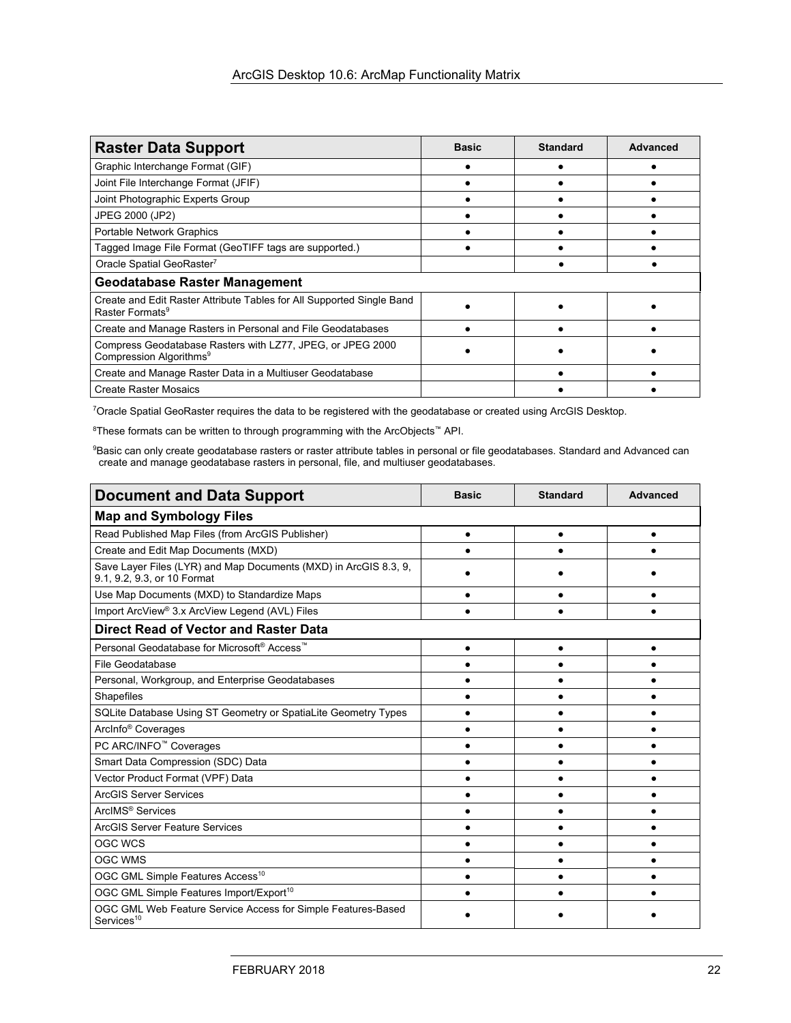| <b>Raster Data Support</b>                                                                           | <b>Basic</b> | <b>Standard</b> | Advanced |
|------------------------------------------------------------------------------------------------------|--------------|-----------------|----------|
| Graphic Interchange Format (GIF)                                                                     |              |                 |          |
| Joint File Interchange Format (JFIF)                                                                 |              |                 |          |
| Joint Photographic Experts Group                                                                     |              |                 |          |
| JPEG 2000 (JP2)                                                                                      |              |                 |          |
| <b>Portable Network Graphics</b>                                                                     |              |                 |          |
| Tagged Image File Format (GeoTIFF tags are supported.)                                               |              |                 |          |
| Oracle Spatial GeoRaster <sup>7</sup>                                                                |              |                 |          |
| <b>Geodatabase Raster Management</b>                                                                 |              |                 |          |
| Create and Edit Raster Attribute Tables for All Supported Single Band<br>Raster Formats <sup>9</sup> |              |                 |          |
| Create and Manage Rasters in Personal and File Geodatabases                                          |              |                 |          |
| Compress Geodatabase Rasters with LZ77, JPEG, or JPEG 2000<br>Compression Algorithms <sup>9</sup>    |              |                 |          |
| Create and Manage Raster Data in a Multiuser Geodatabase                                             |              |                 |          |
| <b>Create Raster Mosaics</b>                                                                         |              |                 |          |

7 Oracle Spatial GeoRaster requires the data to be registered with the geodatabase or created using ArcGIS Desktop.

 $^8$ These formats can be written to through programming with the ArcObjects™ API.

<sup>9</sup>Basic can only create geodatabase rasters or raster attribute tables in personal or file geodatabases. Standard and Advanced can create and manage geodatabase rasters in personal, file, and multiuser geodatabases.

| <b>Document and Data Support</b>                                                                | <b>Basic</b> | <b>Standard</b> | <b>Advanced</b> |
|-------------------------------------------------------------------------------------------------|--------------|-----------------|-----------------|
| <b>Map and Symbology Files</b>                                                                  |              |                 |                 |
| Read Published Map Files (from ArcGIS Publisher)                                                | $\bullet$    |                 |                 |
| Create and Edit Map Documents (MXD)                                                             |              |                 |                 |
| Save Layer Files (LYR) and Map Documents (MXD) in ArcGIS 8.3, 9,<br>9.1, 9.2, 9.3, or 10 Format |              |                 |                 |
| Use Map Documents (MXD) to Standardize Maps                                                     |              |                 |                 |
| Import ArcView® 3.x ArcView Legend (AVL) Files                                                  |              |                 |                 |
| Direct Read of Vector and Raster Data                                                           |              |                 |                 |
| Personal Geodatabase for Microsoft <sup>®</sup> Access <sup>™</sup>                             |              |                 |                 |
| File Geodatabase                                                                                |              |                 |                 |
| Personal, Workgroup, and Enterprise Geodatabases                                                |              |                 |                 |
| Shapefiles                                                                                      |              |                 |                 |
| SQLite Database Using ST Geometry or SpatiaLite Geometry Types                                  |              |                 |                 |
| ArcInfo <sup>®</sup> Coverages                                                                  |              |                 |                 |
| PC ARC/INFO <sup>™</sup> Coverages                                                              |              |                 |                 |
| Smart Data Compression (SDC) Data                                                               |              |                 |                 |
| Vector Product Format (VPF) Data                                                                |              |                 |                 |
| <b>ArcGIS Server Services</b>                                                                   |              |                 |                 |
| ArcIMS <sup>®</sup> Services                                                                    |              |                 |                 |
| <b>ArcGIS Server Feature Services</b>                                                           |              |                 |                 |
| OGC WCS                                                                                         |              |                 |                 |
| <b>OGC WMS</b>                                                                                  |              |                 |                 |
| OGC GML Simple Features Access <sup>10</sup>                                                    |              |                 |                 |
| OGC GML Simple Features Import/Export <sup>10</sup>                                             |              |                 |                 |
| OGC GML Web Feature Service Access for Simple Features-Based<br>Services <sup>10</sup>          |              |                 |                 |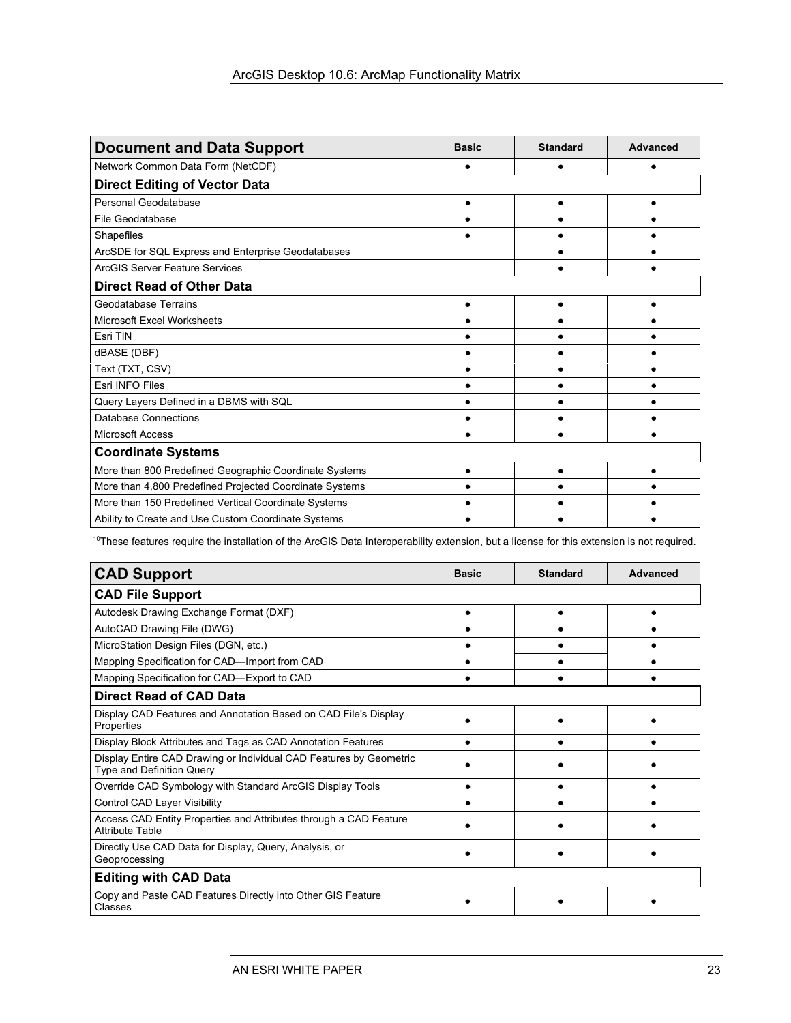| <b>Document and Data Support</b>                        | <b>Basic</b> | <b>Standard</b> | Advanced  |  |
|---------------------------------------------------------|--------------|-----------------|-----------|--|
| Network Common Data Form (NetCDF)                       |              |                 |           |  |
| <b>Direct Editing of Vector Data</b>                    |              |                 |           |  |
| Personal Geodatabase                                    |              | $\bullet$       | $\bullet$ |  |
| File Geodatabase                                        |              |                 |           |  |
| Shapefiles                                              |              |                 |           |  |
| ArcSDE for SQL Express and Enterprise Geodatabases      |              |                 |           |  |
| <b>ArcGIS Server Feature Services</b>                   |              |                 |           |  |
| <b>Direct Read of Other Data</b>                        |              |                 |           |  |
| <b>Geodatabase Terrains</b>                             |              |                 |           |  |
| <b>Microsoft Excel Worksheets</b>                       |              |                 |           |  |
| Esri TIN                                                |              |                 |           |  |
| dBASE (DBF)                                             |              |                 |           |  |
| Text (TXT, CSV)                                         |              |                 |           |  |
| <b>Esri INFO Files</b>                                  |              |                 |           |  |
| Query Layers Defined in a DBMS with SQL                 |              |                 |           |  |
| Database Connections                                    |              |                 |           |  |
| <b>Microsoft Access</b>                                 |              |                 |           |  |
| <b>Coordinate Systems</b>                               |              |                 |           |  |
| More than 800 Predefined Geographic Coordinate Systems  |              |                 |           |  |
| More than 4,800 Predefined Projected Coordinate Systems |              |                 |           |  |
| More than 150 Predefined Vertical Coordinate Systems    |              |                 |           |  |
| Ability to Create and Use Custom Coordinate Systems     |              |                 |           |  |

<sup>10</sup>These features require the installation of the ArcGIS Data Interoperability extension, but a license for this extension is not required.

| <b>CAD Support</b>                                                                              | <b>Basic</b> | <b>Standard</b> | <b>Advanced</b> |  |
|-------------------------------------------------------------------------------------------------|--------------|-----------------|-----------------|--|
| <b>CAD File Support</b>                                                                         |              |                 |                 |  |
| Autodesk Drawing Exchange Format (DXF)                                                          |              |                 |                 |  |
| AutoCAD Drawing File (DWG)                                                                      |              |                 |                 |  |
| MicroStation Design Files (DGN, etc.)                                                           |              |                 |                 |  |
| Mapping Specification for CAD—Import from CAD                                                   |              |                 |                 |  |
| Mapping Specification for CAD-Export to CAD                                                     |              |                 |                 |  |
| <b>Direct Read of CAD Data</b>                                                                  |              |                 |                 |  |
| Display CAD Features and Annotation Based on CAD File's Display<br>Properties                   |              |                 |                 |  |
| Display Block Attributes and Tags as CAD Annotation Features                                    |              |                 |                 |  |
| Display Entire CAD Drawing or Individual CAD Features by Geometric<br>Type and Definition Query |              |                 |                 |  |
| Override CAD Symbology with Standard ArcGIS Display Tools                                       |              |                 |                 |  |
| Control CAD Layer Visibility                                                                    |              |                 |                 |  |
| Access CAD Entity Properties and Attributes through a CAD Feature<br><b>Attribute Table</b>     |              |                 |                 |  |
| Directly Use CAD Data for Display, Query, Analysis, or<br>Geoprocessing                         |              |                 |                 |  |
| <b>Editing with CAD Data</b>                                                                    |              |                 |                 |  |
| Copy and Paste CAD Features Directly into Other GIS Feature<br>Classes                          |              |                 |                 |  |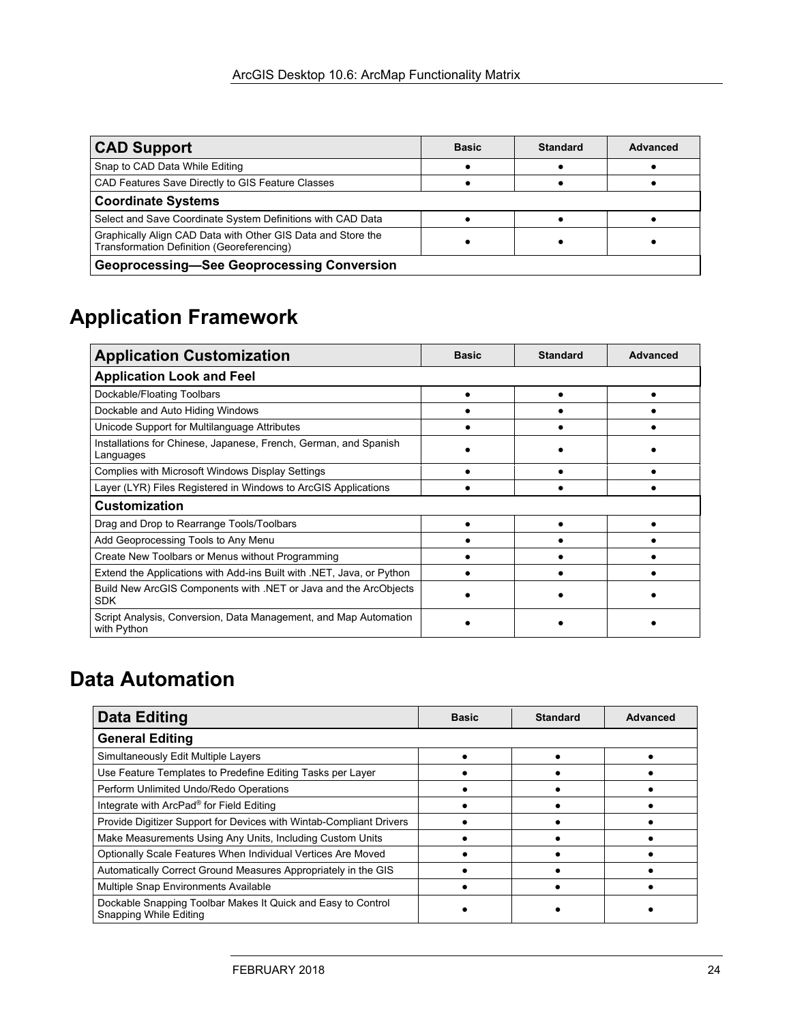| <b>CAD Support</b>                                                                                         | <b>Basic</b> | <b>Standard</b> | Advanced |  |
|------------------------------------------------------------------------------------------------------------|--------------|-----------------|----------|--|
| Snap to CAD Data While Editing                                                                             |              |                 |          |  |
| CAD Features Save Directly to GIS Feature Classes                                                          |              |                 |          |  |
| <b>Coordinate Systems</b>                                                                                  |              |                 |          |  |
| Select and Save Coordinate System Definitions with CAD Data                                                |              |                 |          |  |
| Graphically Align CAD Data with Other GIS Data and Store the<br>Transformation Definition (Georeferencing) |              |                 |          |  |
| <b>Geoprocessing-See Geoprocessing Conversion</b>                                                          |              |                 |          |  |

# **Application Framework**

| <b>Application Customization</b>                                                | <b>Basic</b> | <b>Standard</b> | Advanced |
|---------------------------------------------------------------------------------|--------------|-----------------|----------|
| <b>Application Look and Feel</b>                                                |              |                 |          |
| Dockable/Floating Toolbars                                                      |              |                 |          |
| Dockable and Auto Hiding Windows                                                |              |                 |          |
| Unicode Support for Multilanguage Attributes                                    |              |                 |          |
| Installations for Chinese, Japanese, French, German, and Spanish<br>Languages   |              |                 |          |
| Complies with Microsoft Windows Display Settings                                |              |                 |          |
| Layer (LYR) Files Registered in Windows to ArcGIS Applications                  |              |                 |          |
| <b>Customization</b>                                                            |              |                 |          |
| Drag and Drop to Rearrange Tools/Toolbars                                       |              |                 |          |
| Add Geoprocessing Tools to Any Menu                                             |              |                 |          |
| Create New Toolbars or Menus without Programming                                |              |                 |          |
| Extend the Applications with Add-ins Built with .NET, Java, or Python           |              |                 |          |
| Build New ArcGIS Components with .NET or Java and the ArcObjects<br><b>SDK</b>  |              |                 |          |
| Script Analysis, Conversion, Data Management, and Map Automation<br>with Python |              |                 |          |

# **Data Automation**

| <b>Data Editing</b>                                                                           | <b>Basic</b> | <b>Standard</b> | Advanced |
|-----------------------------------------------------------------------------------------------|--------------|-----------------|----------|
| <b>General Editing</b>                                                                        |              |                 |          |
| Simultaneously Edit Multiple Layers                                                           |              |                 |          |
| Use Feature Templates to Predefine Editing Tasks per Layer                                    |              |                 |          |
| Perform Unlimited Undo/Redo Operations                                                        |              |                 |          |
| Integrate with ArcPad® for Field Editing                                                      |              |                 |          |
| Provide Digitizer Support for Devices with Wintab-Compliant Drivers                           |              |                 |          |
| Make Measurements Using Any Units, Including Custom Units                                     |              |                 |          |
| Optionally Scale Features When Individual Vertices Are Moved                                  |              |                 |          |
| Automatically Correct Ground Measures Appropriately in the GIS                                |              |                 |          |
| Multiple Snap Environments Available                                                          |              |                 |          |
| Dockable Snapping Toolbar Makes It Quick and Easy to Control<br><b>Snapping While Editing</b> |              |                 |          |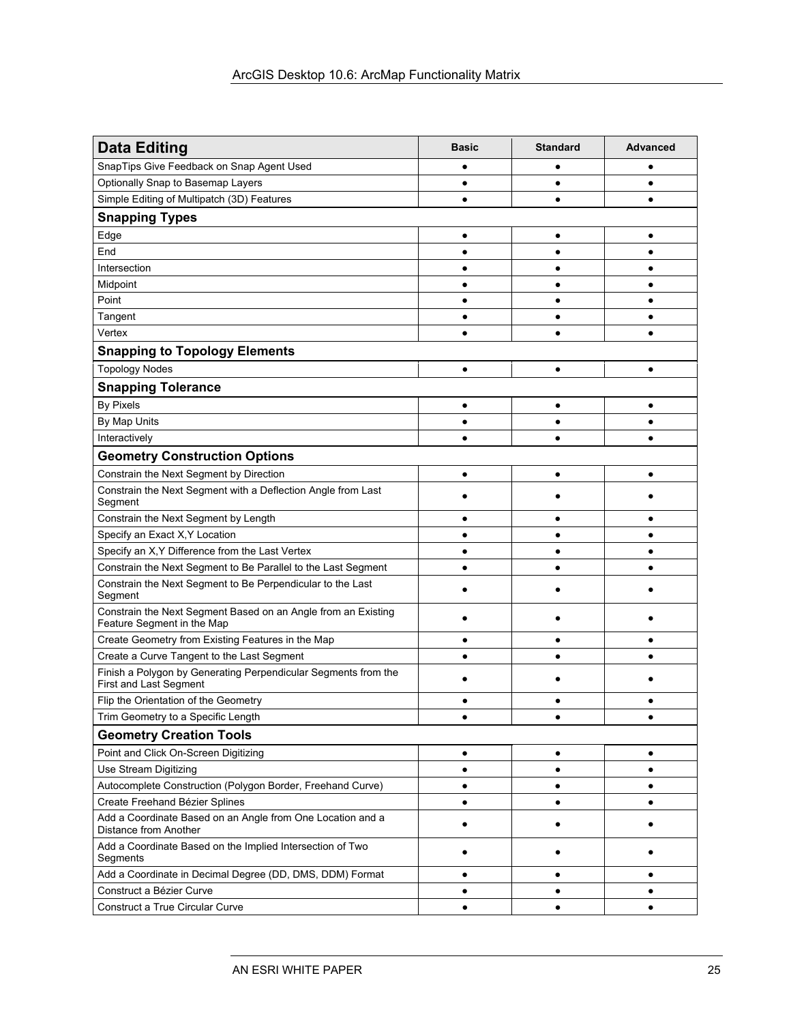| <b>Data Editing</b>                                                                             | <b>Basic</b> | <b>Standard</b> | <b>Advanced</b> |
|-------------------------------------------------------------------------------------------------|--------------|-----------------|-----------------|
| SnapTips Give Feedback on Snap Agent Used                                                       |              | ٠               |                 |
| Optionally Snap to Basemap Layers                                                               |              | ٠               |                 |
| Simple Editing of Multipatch (3D) Features                                                      | ٠            | $\bullet$       |                 |
| <b>Snapping Types</b>                                                                           |              |                 |                 |
| Edge                                                                                            |              |                 |                 |
| End                                                                                             |              |                 |                 |
| Intersection                                                                                    |              |                 |                 |
| Midpoint                                                                                        |              | $\bullet$       |                 |
| Point                                                                                           |              | $\bullet$       |                 |
| Tangent                                                                                         |              | ٠               |                 |
| Vertex                                                                                          |              | $\bullet$       |                 |
| <b>Snapping to Topology Elements</b>                                                            |              |                 |                 |
| <b>Topology Nodes</b>                                                                           | $\bullet$    | $\bullet$       | ٠               |
| <b>Snapping Tolerance</b>                                                                       |              |                 |                 |
| <b>By Pixels</b>                                                                                | $\bullet$    | ٠               | ٠               |
| By Map Units                                                                                    |              | $\bullet$       |                 |
| Interactively                                                                                   |              |                 |                 |
| <b>Geometry Construction Options</b>                                                            |              |                 |                 |
| Constrain the Next Segment by Direction                                                         | $\bullet$    | $\bullet$       |                 |
| Constrain the Next Segment with a Deflection Angle from Last<br>Segment                         |              |                 |                 |
| Constrain the Next Segment by Length                                                            | $\bullet$    | $\bullet$       |                 |
| Specify an Exact X, Y Location                                                                  |              | ٠               |                 |
| Specify an X, Y Difference from the Last Vertex                                                 |              | ٠               |                 |
| Constrain the Next Segment to Be Parallel to the Last Segment                                   | $\bullet$    | ٠               |                 |
| Constrain the Next Segment to Be Perpendicular to the Last<br>Segment                           |              |                 |                 |
| Constrain the Next Segment Based on an Angle from an Existing<br>Feature Segment in the Map     |              |                 |                 |
| Create Geometry from Existing Features in the Map                                               |              |                 |                 |
| Create a Curve Tangent to the Last Segment                                                      |              |                 |                 |
| Finish a Polygon by Generating Perpendicular Segments from the<br><b>First and Last Segment</b> |              |                 |                 |
| Flip the Orientation of the Geometry                                                            |              |                 |                 |
| Trim Geometry to a Specific Length                                                              |              |                 |                 |
| <b>Geometry Creation Tools</b>                                                                  |              |                 |                 |
| Point and Click On-Screen Digitizing                                                            | $\bullet$    | $\bullet$       | $\bullet$       |
| Use Stream Digitizing                                                                           | $\bullet$    | $\bullet$       | $\bullet$       |
| Autocomplete Construction (Polygon Border, Freehand Curve)                                      | $\bullet$    | $\bullet$       | ٠               |
| Create Freehand Bézier Splines                                                                  | ٠            | ٠               | ٠               |
| Add a Coordinate Based on an Angle from One Location and a<br><b>Distance from Another</b>      | ٠            | ٠               |                 |
| Add a Coordinate Based on the Implied Intersection of Two<br>Segments                           | ٠            | ٠               |                 |
| Add a Coordinate in Decimal Degree (DD, DMS, DDM) Format                                        | $\bullet$    | $\bullet$       | ٠               |
| Construct a Bézier Curve                                                                        | $\bullet$    | $\bullet$       | ٠               |
| Construct a True Circular Curve                                                                 | $\bullet$    | $\bullet$       | $\bullet$       |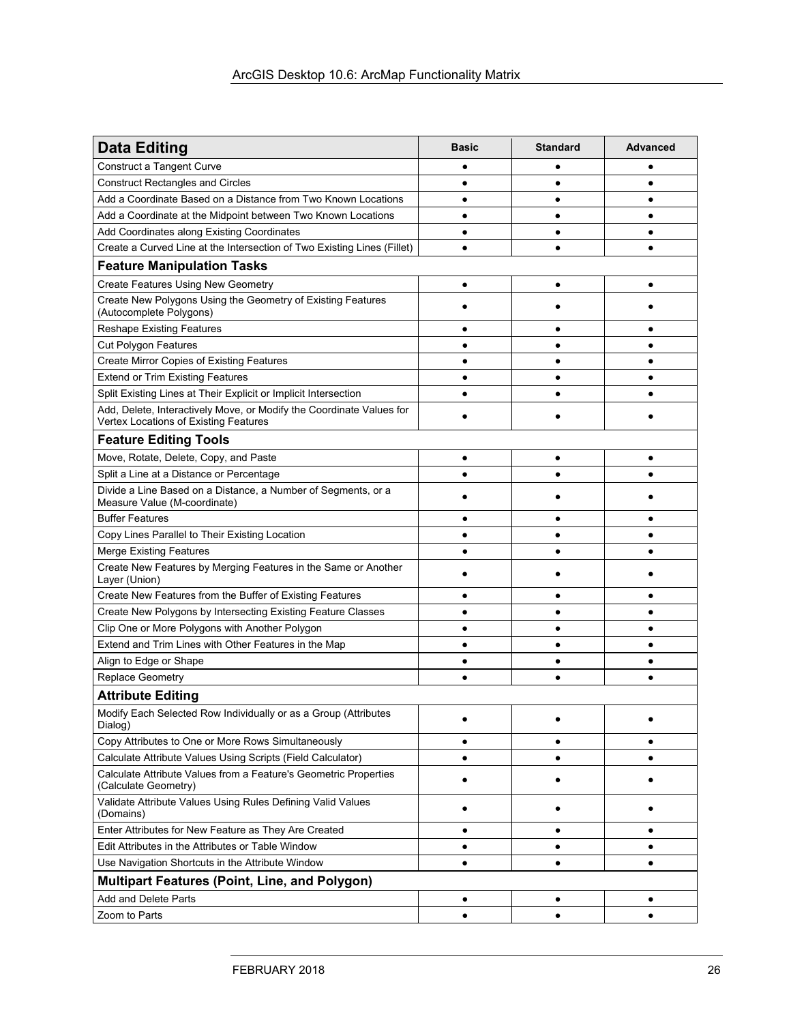| <b>Data Editing</b>                                                                                           | <b>Basic</b> | <b>Standard</b> | <b>Advanced</b> |
|---------------------------------------------------------------------------------------------------------------|--------------|-----------------|-----------------|
| Construct a Tangent Curve                                                                                     |              |                 |                 |
| <b>Construct Rectangles and Circles</b>                                                                       |              | ٠               |                 |
| Add a Coordinate Based on a Distance from Two Known Locations                                                 | ٠            | ٠               |                 |
| Add a Coordinate at the Midpoint between Two Known Locations                                                  | $\bullet$    |                 |                 |
| Add Coordinates along Existing Coordinates                                                                    | $\bullet$    | $\bullet$       |                 |
| Create a Curved Line at the Intersection of Two Existing Lines (Fillet)                                       | $\bullet$    | $\bullet$       |                 |
| <b>Feature Manipulation Tasks</b>                                                                             |              |                 |                 |
| <b>Create Features Using New Geometry</b>                                                                     | $\bullet$    | $\bullet$       | $\bullet$       |
| Create New Polygons Using the Geometry of Existing Features<br>(Autocomplete Polygons)                        |              |                 |                 |
| <b>Reshape Existing Features</b>                                                                              |              |                 |                 |
| <b>Cut Polygon Features</b>                                                                                   |              |                 |                 |
| <b>Create Mirror Copies of Existing Features</b>                                                              |              |                 |                 |
| <b>Extend or Trim Existing Features</b>                                                                       | ٠            |                 |                 |
| Split Existing Lines at Their Explicit or Implicit Intersection                                               |              |                 |                 |
| Add, Delete, Interactively Move, or Modify the Coordinate Values for<br>Vertex Locations of Existing Features |              |                 |                 |
| <b>Feature Editing Tools</b>                                                                                  |              |                 |                 |
| Move, Rotate, Delete, Copy, and Paste                                                                         |              |                 |                 |
| Split a Line at a Distance or Percentage                                                                      |              | ٠               |                 |
| Divide a Line Based on a Distance, a Number of Segments, or a<br>Measure Value (M-coordinate)                 |              |                 |                 |
| <b>Buffer Features</b>                                                                                        |              |                 |                 |
| Copy Lines Parallel to Their Existing Location                                                                |              |                 |                 |
| <b>Merge Existing Features</b>                                                                                |              | $\bullet$       |                 |
| Create New Features by Merging Features in the Same or Another<br>Layer (Union)                               |              |                 |                 |
| Create New Features from the Buffer of Existing Features                                                      | ٠            | ٠               |                 |
| Create New Polygons by Intersecting Existing Feature Classes                                                  | ٠            | ٠               |                 |
| Clip One or More Polygons with Another Polygon                                                                | ٠            | ٠               |                 |
| Extend and Trim Lines with Other Features in the Map                                                          | ٠            | $\bullet$       | $\bullet$       |
| Align to Edge or Shape                                                                                        |              |                 |                 |
| <b>Replace Geometry</b>                                                                                       |              | $\bullet$       |                 |
| <b>Attribute Editing</b>                                                                                      |              |                 |                 |
| Modify Each Selected Row Individually or as a Group (Attributes<br>Dialog)                                    |              |                 |                 |
| Copy Attributes to One or More Rows Simultaneously                                                            | $\bullet$    | ٠               |                 |
| Calculate Attribute Values Using Scripts (Field Calculator)                                                   | ٠            | ٠               |                 |
| Calculate Attribute Values from a Feature's Geometric Properties<br>(Calculate Geometry)                      |              |                 |                 |
| Validate Attribute Values Using Rules Defining Valid Values<br>(Domains)                                      |              |                 |                 |
| Enter Attributes for New Feature as They Are Created                                                          | $\bullet$    | $\bullet$       | ٠               |
| Edit Attributes in the Attributes or Table Window                                                             | $\bullet$    | $\bullet$       | $\bullet$       |
| Use Navigation Shortcuts in the Attribute Window                                                              | ٠            | $\bullet$       |                 |
| <b>Multipart Features (Point, Line, and Polygon)</b>                                                          |              |                 |                 |
| Add and Delete Parts                                                                                          | ٠            | ٠               |                 |
| Zoom to Parts                                                                                                 | ٠            | $\bullet$       | $\bullet$       |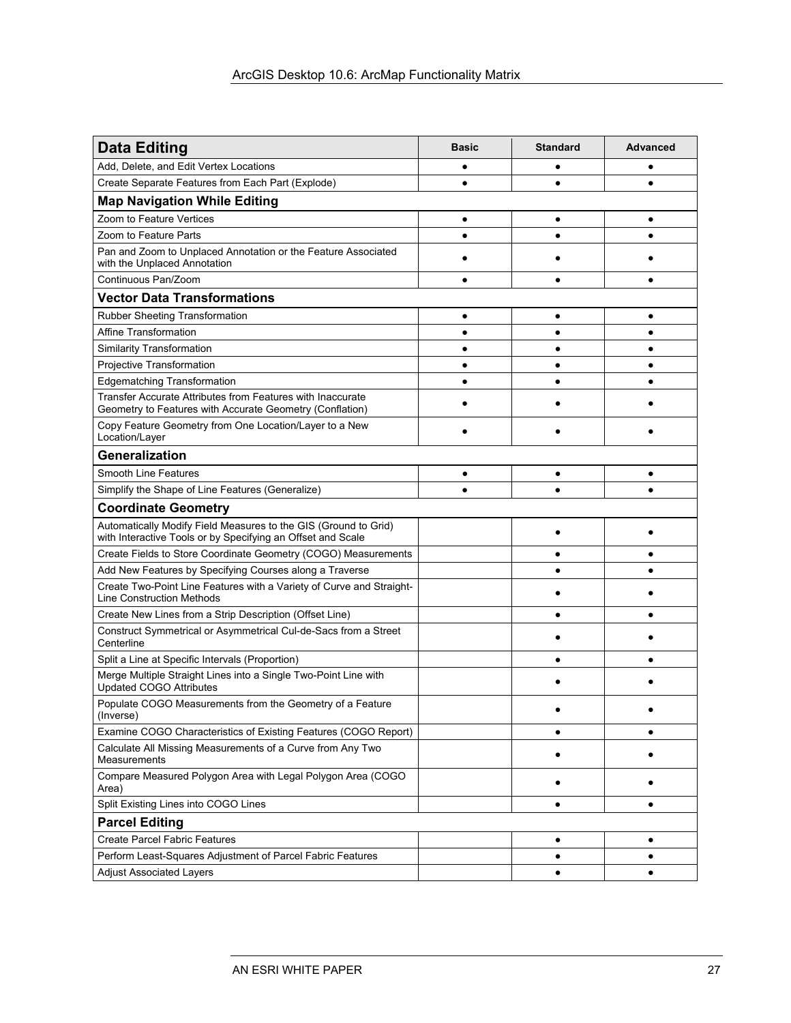| <b>Data Editing</b>                                                                                                            | <b>Basic</b> | <b>Standard</b> | <b>Advanced</b> |
|--------------------------------------------------------------------------------------------------------------------------------|--------------|-----------------|-----------------|
| Add, Delete, and Edit Vertex Locations                                                                                         |              |                 |                 |
| Create Separate Features from Each Part (Explode)                                                                              |              | $\bullet$       |                 |
| <b>Map Navigation While Editing</b>                                                                                            |              |                 |                 |
| Zoom to Feature Vertices                                                                                                       | ٠            | ٠               | ٠               |
| Zoom to Feature Parts                                                                                                          |              | ٠               |                 |
| Pan and Zoom to Unplaced Annotation or the Feature Associated<br>with the Unplaced Annotation                                  |              |                 |                 |
| Continuous Pan/Zoom                                                                                                            |              | ٠               |                 |
| <b>Vector Data Transformations</b>                                                                                             |              |                 |                 |
| <b>Rubber Sheeting Transformation</b>                                                                                          | ٠            | ٠               | ٠               |
| Affine Transformation                                                                                                          | ٠            | ٠               | ٠               |
| <b>Similarity Transformation</b>                                                                                               | $\bullet$    | ٠               | $\bullet$       |
| Projective Transformation                                                                                                      | $\bullet$    | ٠               | $\bullet$       |
| <b>Edgematching Transformation</b>                                                                                             | ٠            | ٠               | $\bullet$       |
| Transfer Accurate Attributes from Features with Inaccurate<br>Geometry to Features with Accurate Geometry (Conflation)         |              |                 |                 |
| Copy Feature Geometry from One Location/Layer to a New<br>Location/Layer                                                       |              |                 |                 |
| Generalization                                                                                                                 |              |                 |                 |
| <b>Smooth Line Features</b>                                                                                                    | ٠            | ٠               |                 |
| Simplify the Shape of Line Features (Generalize)                                                                               | $\bullet$    | $\bullet$       |                 |
| <b>Coordinate Geometry</b>                                                                                                     |              |                 |                 |
| Automatically Modify Field Measures to the GIS (Ground to Grid)<br>with Interactive Tools or by Specifying an Offset and Scale |              |                 |                 |
| Create Fields to Store Coordinate Geometry (COGO) Measurements                                                                 |              | ٠               |                 |
| Add New Features by Specifying Courses along a Traverse                                                                        |              | $\bullet$       |                 |
| Create Two-Point Line Features with a Variety of Curve and Straight-<br><b>Line Construction Methods</b>                       |              |                 |                 |
| Create New Lines from a Strip Description (Offset Line)                                                                        |              | ٠               |                 |
| Construct Symmetrical or Asymmetrical Cul-de-Sacs from a Street<br>Centerline                                                  |              |                 |                 |
| Split a Line at Specific Intervals (Proportion)                                                                                |              | $\bullet$       |                 |
| Merge Multiple Straight Lines into a Single Two-Point Line with<br><b>Updated COGO Attributes</b>                              |              |                 |                 |
| Populate COGO Measurements from the Geometry of a Feature<br>(Inverse)                                                         |              |                 |                 |
| Examine COGO Characteristics of Existing Features (COGO Report)                                                                |              | ٠               | ٠               |
| Calculate All Missing Measurements of a Curve from Any Two<br>Measurements                                                     |              | ٠               |                 |
| Compare Measured Polygon Area with Legal Polygon Area (COGO<br>Area)                                                           |              | ٠               |                 |
| Split Existing Lines into COGO Lines                                                                                           |              | ٠               | ٠               |
| <b>Parcel Editing</b>                                                                                                          |              |                 |                 |
| <b>Create Parcel Fabric Features</b>                                                                                           |              | ٠               |                 |
| Perform Least-Squares Adjustment of Parcel Fabric Features                                                                     |              | ٠               |                 |
| <b>Adjust Associated Layers</b>                                                                                                |              | $\bullet$       |                 |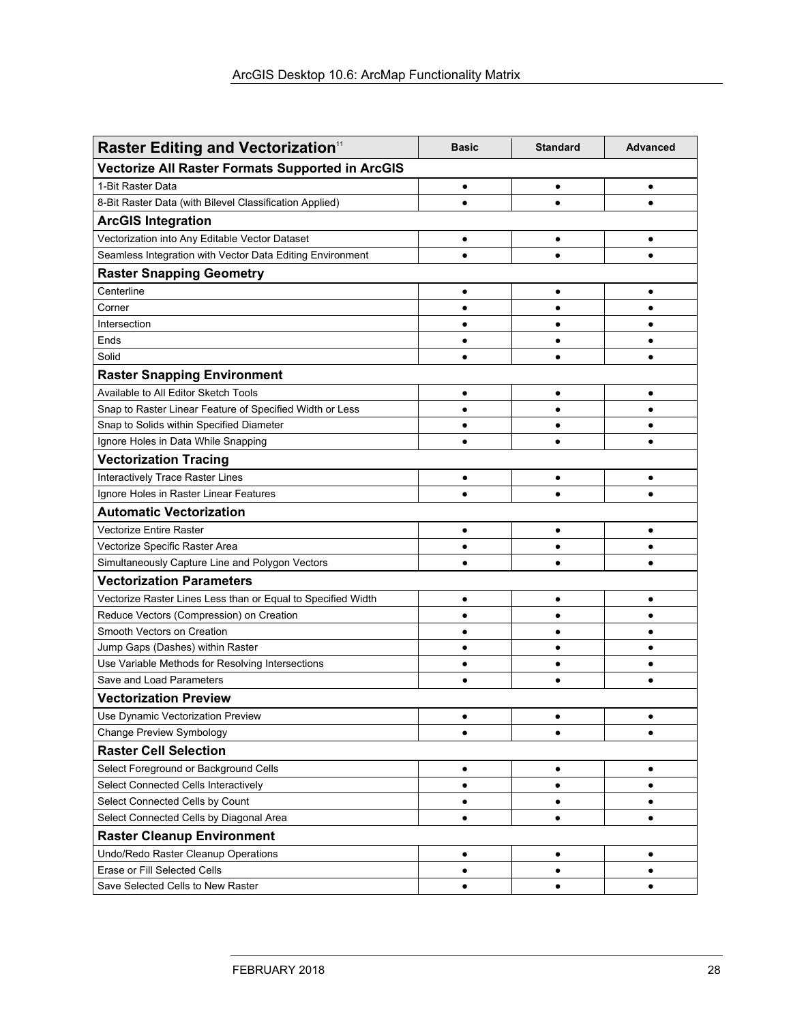| <b>Raster Editing and Vectorization</b> <sup>11</sup>        | <b>Basic</b> | <b>Standard</b> | <b>Advanced</b> |
|--------------------------------------------------------------|--------------|-----------------|-----------------|
| <b>Vectorize All Raster Formats Supported in ArcGIS</b>      |              |                 |                 |
| 1-Bit Raster Data                                            | $\bullet$    | $\bullet$       | $\bullet$       |
| 8-Bit Raster Data (with Bilevel Classification Applied)      |              | $\bullet$       |                 |
| <b>ArcGIS Integration</b>                                    |              |                 |                 |
| Vectorization into Any Editable Vector Dataset               | $\bullet$    | ٠               | ٠               |
| Seamless Integration with Vector Data Editing Environment    | $\bullet$    | $\bullet$       | $\bullet$       |
| <b>Raster Snapping Geometry</b>                              |              |                 |                 |
| Centerline                                                   | $\bullet$    | $\bullet$       | $\bullet$       |
| Corner                                                       | ٠            | $\bullet$       | $\bullet$       |
| Intersection                                                 | $\bullet$    | $\bullet$       | $\bullet$       |
| Ends                                                         | ٠            | $\bullet$       | $\bullet$       |
| Solid                                                        | $\bullet$    | $\bullet$       |                 |
| <b>Raster Snapping Environment</b>                           |              |                 |                 |
| Available to All Editor Sketch Tools                         | ٠            | ٠               | ٠               |
| Snap to Raster Linear Feature of Specified Width or Less     | $\bullet$    | $\bullet$       | $\bullet$       |
| Snap to Solids within Specified Diameter                     | $\bullet$    | $\bullet$       | $\bullet$       |
| Ignore Holes in Data While Snapping                          | $\bullet$    |                 | $\bullet$       |
| <b>Vectorization Tracing</b>                                 |              |                 |                 |
| Interactively Trace Raster Lines                             | ٠            | ٠               | ٠               |
| Ignore Holes in Raster Linear Features                       |              |                 |                 |
| <b>Automatic Vectorization</b>                               |              |                 |                 |
| <b>Vectorize Entire Raster</b>                               | Ċ            |                 | ٠               |
| Vectorize Specific Raster Area                               | Ċ            |                 | ٠               |
| Simultaneously Capture Line and Polygon Vectors              |              |                 |                 |
| <b>Vectorization Parameters</b>                              |              |                 |                 |
| Vectorize Raster Lines Less than or Equal to Specified Width | ٠            | $\bullet$       |                 |
| Reduce Vectors (Compression) on Creation                     |              | $\bullet$       | $\bullet$       |
| Smooth Vectors on Creation                                   |              | $\bullet$       | $\bullet$       |
| Jump Gaps (Dashes) within Raster                             | $\bullet$    | $\bullet$       | $\bullet$       |
| Use Variable Methods for Resolving Intersections             | ٠            | $\bullet$       | ٠               |
| Save and Load Parameters                                     | $\bullet$    |                 |                 |
| <b>Vectorization Preview</b>                                 |              |                 |                 |
| Use Dynamic Vectorization Preview                            |              |                 |                 |
| Change Preview Symbology                                     | $\bullet$    | $\bullet$       | $\bullet$       |
| <b>Raster Cell Selection</b>                                 |              |                 |                 |
| Select Foreground or Background Cells                        | $\bullet$    | $\bullet$       | $\bullet$       |
| Select Connected Cells Interactively                         | $\bullet$    | $\bullet$       | $\bullet$       |
| Select Connected Cells by Count                              | ٠            |                 | ٠               |
| Select Connected Cells by Diagonal Area                      | ٠            | ٠               | ٠               |
| <b>Raster Cleanup Environment</b>                            |              |                 |                 |
| Undo/Redo Raster Cleanup Operations                          | $\bullet$    | ٠               | $\bullet$       |
| Erase or Fill Selected Cells                                 | $\bullet$    | $\bullet$       | ٠               |
| Save Selected Cells to New Raster                            | $\bullet$    | $\bullet$       |                 |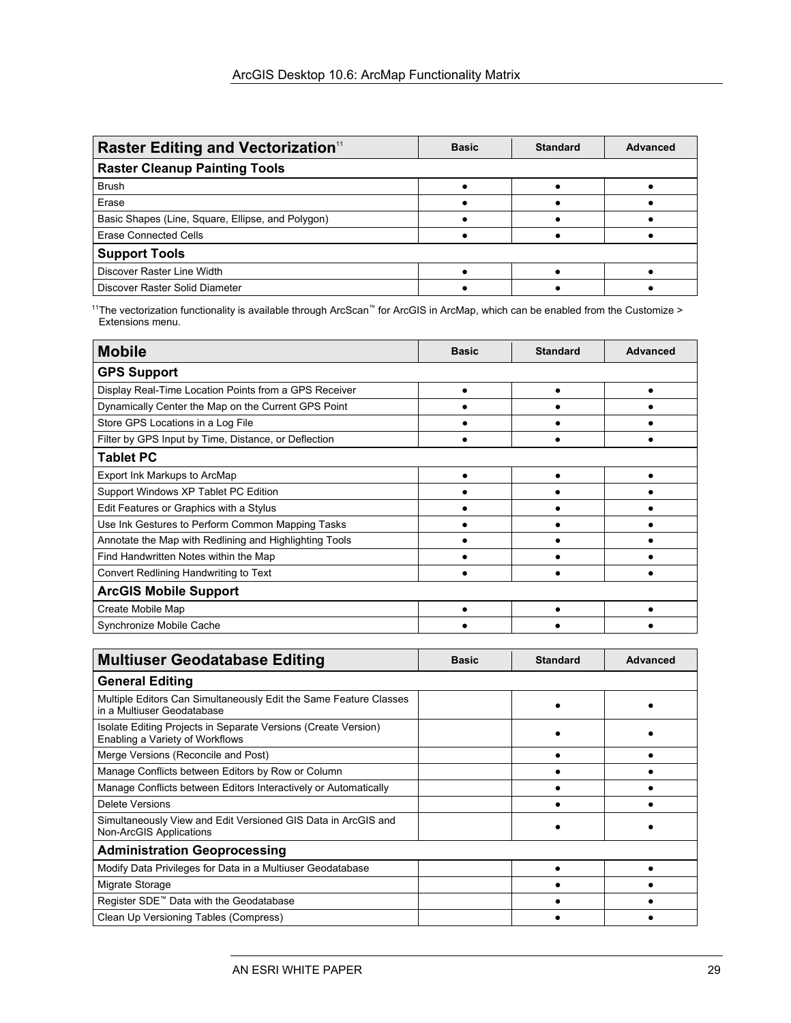| <b>Raster Editing and Vectorization</b> <sup>11</sup> | <b>Basic</b> | <b>Standard</b> | <b>Advanced</b> |  |
|-------------------------------------------------------|--------------|-----------------|-----------------|--|
| <b>Raster Cleanup Painting Tools</b>                  |              |                 |                 |  |
| <b>Brush</b>                                          |              |                 |                 |  |
| Erase                                                 |              |                 |                 |  |
| Basic Shapes (Line, Square, Ellipse, and Polygon)     |              |                 |                 |  |
| Erase Connected Cells                                 |              |                 |                 |  |
| <b>Support Tools</b>                                  |              |                 |                 |  |
| Discover Raster Line Width                            |              |                 |                 |  |
| Discover Raster Solid Diameter                        |              |                 |                 |  |

11The vectorization functionality is available through ArcScan™ for ArcGIS in ArcMap, which can be enabled from the Customize > Extensions menu.

| <b>Mobile</b>                                          | <b>Basic</b> | <b>Standard</b> | <b>Advanced</b> |
|--------------------------------------------------------|--------------|-----------------|-----------------|
| <b>GPS Support</b>                                     |              |                 |                 |
| Display Real-Time Location Points from a GPS Receiver  |              |                 |                 |
| Dynamically Center the Map on the Current GPS Point    |              |                 |                 |
| Store GPS Locations in a Log File                      |              |                 |                 |
| Filter by GPS Input by Time, Distance, or Deflection   |              |                 |                 |
| <b>Tablet PC</b>                                       |              |                 |                 |
| Export Ink Markups to ArcMap                           |              |                 |                 |
| Support Windows XP Tablet PC Edition                   |              |                 |                 |
| Edit Features or Graphics with a Stylus                |              |                 |                 |
| Use Ink Gestures to Perform Common Mapping Tasks       |              |                 |                 |
| Annotate the Map with Redlining and Highlighting Tools |              |                 |                 |
| Find Handwritten Notes within the Map                  |              |                 |                 |
| Convert Redlining Handwriting to Text                  |              |                 |                 |
| <b>ArcGIS Mobile Support</b>                           |              |                 |                 |
| Create Mobile Map                                      |              |                 |                 |
| Synchronize Mobile Cache                               |              |                 |                 |

| <b>Multiuser Geodatabase Editing</b>                                                              | <b>Basic</b> | <b>Standard</b> | Advanced |
|---------------------------------------------------------------------------------------------------|--------------|-----------------|----------|
| <b>General Editing</b>                                                                            |              |                 |          |
| Multiple Editors Can Simultaneously Edit the Same Feature Classes<br>in a Multiuser Geodatabase   |              |                 |          |
| Isolate Editing Projects in Separate Versions (Create Version)<br>Enabling a Variety of Workflows |              |                 |          |
| Merge Versions (Reconcile and Post)                                                               |              |                 |          |
| Manage Conflicts between Editors by Row or Column                                                 |              |                 |          |
| Manage Conflicts between Editors Interactively or Automatically                                   |              |                 |          |
| <b>Delete Versions</b>                                                                            |              |                 |          |
| Simultaneously View and Edit Versioned GIS Data in ArcGIS and<br>Non-ArcGIS Applications          |              |                 |          |
| <b>Administration Geoprocessing</b>                                                               |              |                 |          |
| Modify Data Privileges for Data in a Multiuser Geodatabase                                        |              |                 |          |
| Migrate Storage                                                                                   |              |                 |          |
| Register SDE <sup>™</sup> Data with the Geodatabase                                               |              |                 |          |
| Clean Up Versioning Tables (Compress)                                                             |              |                 |          |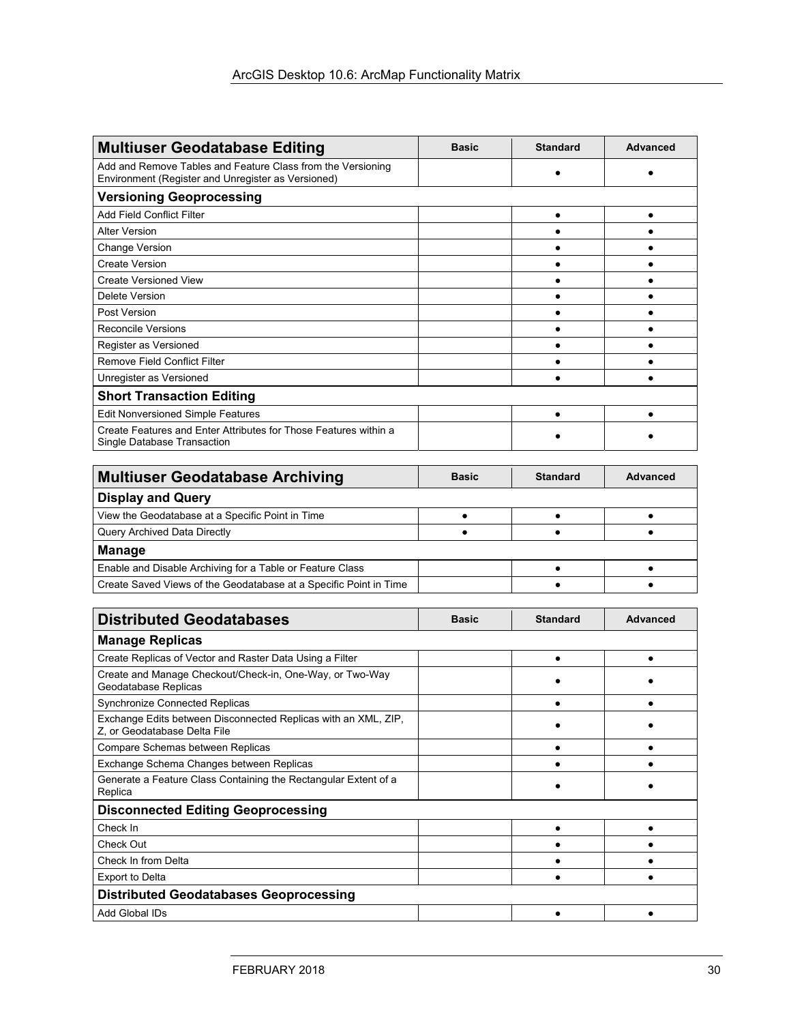| <b>Multiuser Geodatabase Editing</b>                                                                              | <b>Basic</b> | <b>Standard</b> | <b>Advanced</b> |  |
|-------------------------------------------------------------------------------------------------------------------|--------------|-----------------|-----------------|--|
| Add and Remove Tables and Feature Class from the Versioning<br>Environment (Register and Unregister as Versioned) |              |                 |                 |  |
| <b>Versioning Geoprocessing</b>                                                                                   |              |                 |                 |  |
| Add Field Conflict Filter                                                                                         |              |                 |                 |  |
| <b>Alter Version</b>                                                                                              |              |                 |                 |  |
| <b>Change Version</b>                                                                                             |              |                 |                 |  |
| <b>Create Version</b>                                                                                             |              |                 |                 |  |
| <b>Create Versioned View</b>                                                                                      |              |                 |                 |  |
| Delete Version                                                                                                    |              |                 |                 |  |
| Post Version                                                                                                      |              |                 |                 |  |
| <b>Reconcile Versions</b>                                                                                         |              |                 |                 |  |
| Register as Versioned                                                                                             |              |                 |                 |  |
| <b>Remove Field Conflict Filter</b>                                                                               |              |                 |                 |  |
| Unregister as Versioned                                                                                           |              |                 |                 |  |
| <b>Short Transaction Editing</b>                                                                                  |              |                 |                 |  |
| <b>Edit Nonversioned Simple Features</b>                                                                          |              |                 |                 |  |
| Create Features and Enter Attributes for Those Features within a<br>Single Database Transaction                   |              |                 |                 |  |

| <b>Multiuser Geodatabase Archiving</b>                            | <b>Basic</b> | <b>Standard</b> | Advanced |
|-------------------------------------------------------------------|--------------|-----------------|----------|
| <b>Display and Query</b>                                          |              |                 |          |
| View the Geodatabase at a Specific Point in Time                  |              |                 |          |
| Query Archived Data Directly                                      |              |                 |          |
| <b>Manage</b>                                                     |              |                 |          |
| Enable and Disable Archiving for a Table or Feature Class         |              |                 |          |
| Create Saved Views of the Geodatabase at a Specific Point in Time |              |                 |          |

| <b>Distributed Geodatabases</b>                                                                | <b>Basic</b> | <b>Standard</b> | Advanced |  |  |
|------------------------------------------------------------------------------------------------|--------------|-----------------|----------|--|--|
| <b>Manage Replicas</b>                                                                         |              |                 |          |  |  |
| Create Replicas of Vector and Raster Data Using a Filter                                       |              |                 |          |  |  |
| Create and Manage Checkout/Check-in, One-Way, or Two-Way<br>Geodatabase Replicas               |              |                 |          |  |  |
| <b>Synchronize Connected Replicas</b>                                                          |              |                 |          |  |  |
| Exchange Edits between Disconnected Replicas with an XML, ZIP,<br>Z, or Geodatabase Delta File |              |                 |          |  |  |
| Compare Schemas between Replicas                                                               |              |                 |          |  |  |
| Exchange Schema Changes between Replicas                                                       |              |                 |          |  |  |
| Generate a Feature Class Containing the Rectangular Extent of a<br>Replica                     |              |                 |          |  |  |
| <b>Disconnected Editing Geoprocessing</b>                                                      |              |                 |          |  |  |
| Check In                                                                                       |              |                 |          |  |  |
| Check Out                                                                                      |              |                 |          |  |  |
| Check In from Delta                                                                            |              |                 |          |  |  |
| <b>Export to Delta</b>                                                                         |              |                 |          |  |  |
| <b>Distributed Geodatabases Geoprocessing</b>                                                  |              |                 |          |  |  |
| Add Global IDs                                                                                 |              |                 |          |  |  |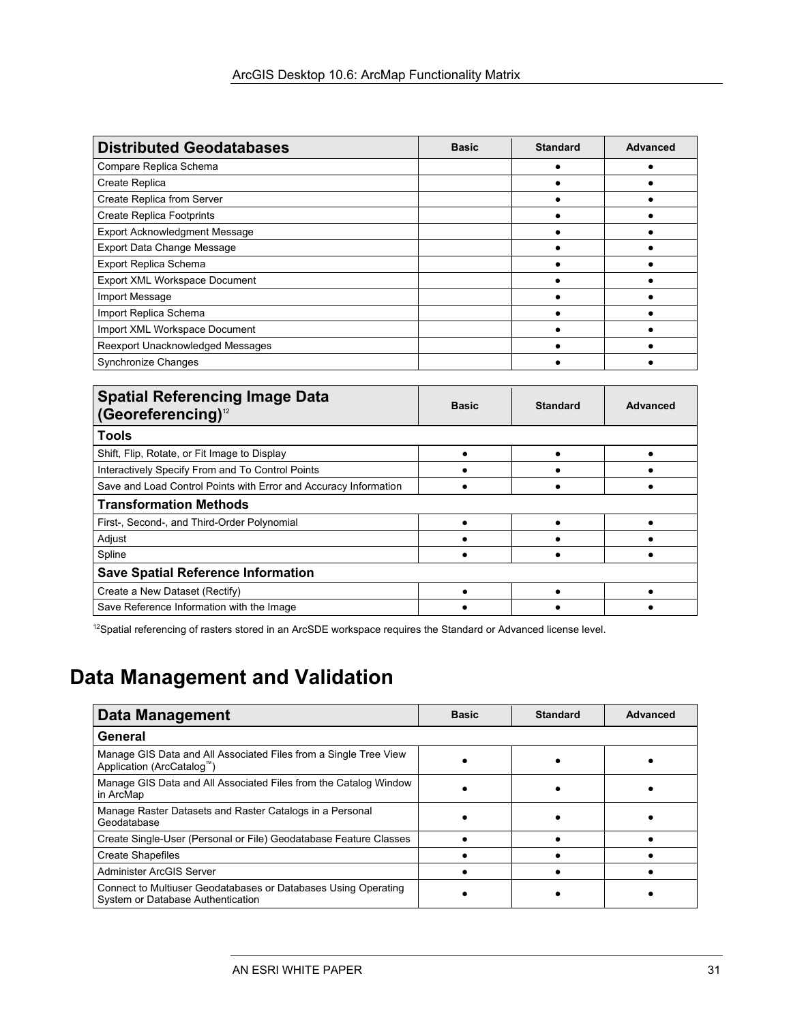| <b>Distributed Geodatabases</b>      | <b>Basic</b> | <b>Standard</b> | <b>Advanced</b> |
|--------------------------------------|--------------|-----------------|-----------------|
| Compare Replica Schema               |              |                 |                 |
| Create Replica                       |              |                 |                 |
| Create Replica from Server           |              |                 |                 |
| <b>Create Replica Footprints</b>     |              |                 |                 |
| <b>Export Acknowledgment Message</b> |              |                 |                 |
| Export Data Change Message           |              |                 |                 |
| <b>Export Replica Schema</b>         |              |                 |                 |
| Export XML Workspace Document        |              |                 |                 |
| Import Message                       |              |                 |                 |
| Import Replica Schema                |              |                 |                 |
| Import XML Workspace Document        |              |                 |                 |
| Reexport Unacknowledged Messages     |              |                 |                 |
| <b>Synchronize Changes</b>           |              |                 |                 |

| <b>Spatial Referencing Image Data</b><br>(Georeferencing) <sup>12</sup> | <b>Basic</b> | <b>Standard</b> | <b>Advanced</b> |  |
|-------------------------------------------------------------------------|--------------|-----------------|-----------------|--|
| <b>Tools</b>                                                            |              |                 |                 |  |
| Shift, Flip, Rotate, or Fit Image to Display                            |              |                 |                 |  |
| Interactively Specify From and To Control Points                        |              |                 |                 |  |
| Save and Load Control Points with Error and Accuracy Information        |              |                 |                 |  |
| <b>Transformation Methods</b>                                           |              |                 |                 |  |
| First-, Second-, and Third-Order Polynomial                             |              |                 |                 |  |
| Adjust                                                                  |              |                 |                 |  |
| Spline                                                                  |              |                 |                 |  |
| <b>Save Spatial Reference Information</b>                               |              |                 |                 |  |
| Create a New Dataset (Rectify)                                          |              |                 |                 |  |
| Save Reference Information with the Image                               |              |                 |                 |  |

<sup>12</sup>Spatial referencing of rasters stored in an ArcSDE workspace requires the Standard or Advanced license level.

# 4B**Data Management and Validation**

| <b>Data Management</b>                                                                              | <b>Basic</b> | <b>Standard</b> | Advanced |
|-----------------------------------------------------------------------------------------------------|--------------|-----------------|----------|
| General                                                                                             |              |                 |          |
| Manage GIS Data and All Associated Files from a Single Tree View<br>Application (ArcCatalog™)       |              |                 |          |
| Manage GIS Data and All Associated Files from the Catalog Window<br>in ArcMap                       |              |                 |          |
| Manage Raster Datasets and Raster Catalogs in a Personal<br>Geodatabase                             |              |                 |          |
| Create Single-User (Personal or File) Geodatabase Feature Classes                                   |              |                 |          |
| <b>Create Shapefiles</b>                                                                            |              |                 |          |
| Administer ArcGIS Server                                                                            |              |                 |          |
| Connect to Multiuser Geodatabases or Databases Using Operating<br>System or Database Authentication |              |                 |          |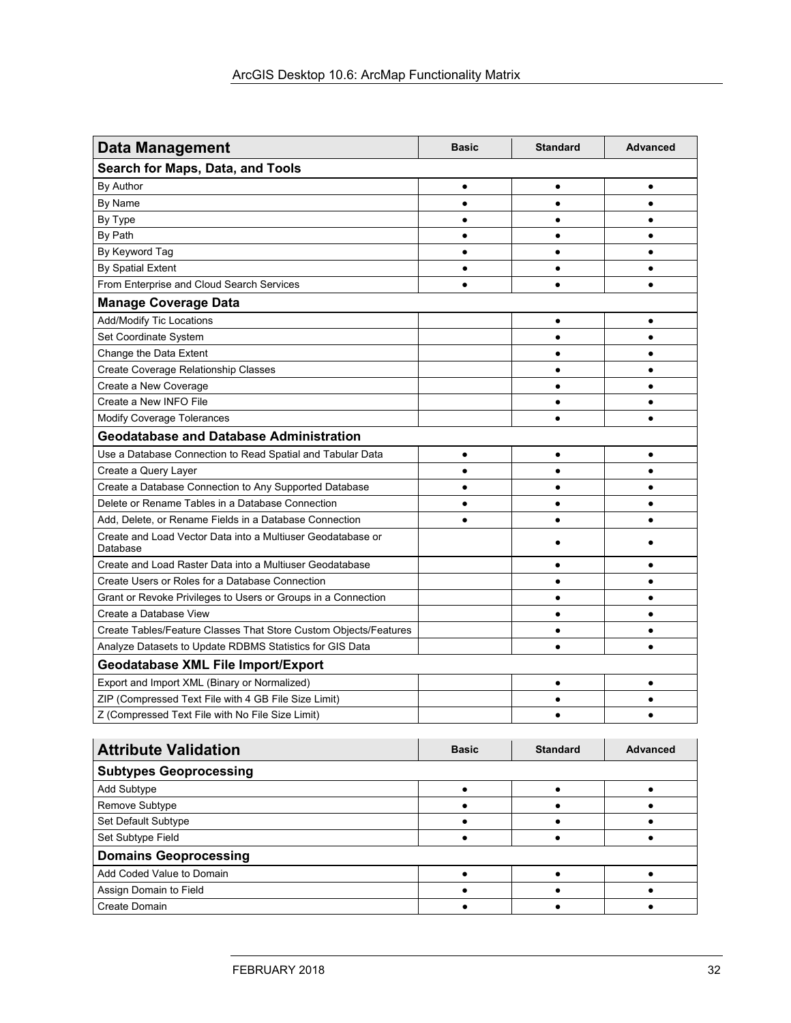| <b>Data Management</b>                                                  | <b>Basic</b> | <b>Standard</b> | <b>Advanced</b> |
|-------------------------------------------------------------------------|--------------|-----------------|-----------------|
| Search for Maps, Data, and Tools                                        |              |                 |                 |
| By Author                                                               | $\bullet$    | $\bullet$       | $\bullet$       |
| By Name                                                                 | $\bullet$    | $\bullet$       | $\bullet$       |
| By Type                                                                 | $\bullet$    | $\bullet$       | $\bullet$       |
| By Path                                                                 | $\bullet$    | $\bullet$       | $\bullet$       |
| By Keyword Tag                                                          | $\bullet$    | $\bullet$       | $\bullet$       |
| By Spatial Extent                                                       | $\bullet$    | $\bullet$       | $\bullet$       |
| From Enterprise and Cloud Search Services                               | $\bullet$    | $\bullet$       | $\bullet$       |
| <b>Manage Coverage Data</b>                                             |              |                 |                 |
| <b>Add/Modify Tic Locations</b>                                         |              | $\bullet$       | $\bullet$       |
| Set Coordinate System                                                   |              | $\bullet$       | $\bullet$       |
| Change the Data Extent                                                  |              | $\bullet$       | $\bullet$       |
| Create Coverage Relationship Classes                                    |              | $\bullet$       | $\bullet$       |
| Create a New Coverage                                                   |              | $\bullet$       | $\bullet$       |
| Create a New INFO File                                                  |              | $\bullet$       | $\bullet$       |
| <b>Modify Coverage Tolerances</b>                                       |              | $\bullet$       | $\bullet$       |
| <b>Geodatabase and Database Administration</b>                          |              |                 |                 |
| Use a Database Connection to Read Spatial and Tabular Data              | $\bullet$    | $\bullet$       | ٠               |
| Create a Query Layer                                                    | $\bullet$    | $\bullet$       | $\bullet$       |
| Create a Database Connection to Any Supported Database                  | $\bullet$    | $\bullet$       | $\bullet$       |
| Delete or Rename Tables in a Database Connection                        | $\bullet$    | $\bullet$       | $\bullet$       |
| Add, Delete, or Rename Fields in a Database Connection                  | $\bullet$    | $\bullet$       | $\bullet$       |
| Create and Load Vector Data into a Multiuser Geodatabase or<br>Database |              |                 |                 |
| Create and Load Raster Data into a Multiuser Geodatabase                |              | $\bullet$       | $\bullet$       |
| Create Users or Roles for a Database Connection                         |              | $\bullet$       | $\bullet$       |
| Grant or Revoke Privileges to Users or Groups in a Connection           |              | $\bullet$       | $\bullet$       |
| Create a Database View                                                  |              | $\bullet$       | $\bullet$       |
| Create Tables/Feature Classes That Store Custom Objects/Features        |              | $\bullet$       | $\bullet$       |
| Analyze Datasets to Update RDBMS Statistics for GIS Data                |              |                 |                 |
| <b>Geodatabase XML File Import/Export</b>                               |              |                 |                 |
| Export and Import XML (Binary or Normalized)                            |              | $\bullet$       | $\bullet$       |
| ZIP (Compressed Text File with 4 GB File Size Limit)                    |              | $\bullet$       | $\bullet$       |
| Z (Compressed Text File with No File Size Limit)                        |              | $\bullet$       | $\bullet$       |
|                                                                         |              |                 |                 |

| <b>Attribute Validation</b>   | <b>Basic</b> | <b>Standard</b> | Advanced |
|-------------------------------|--------------|-----------------|----------|
| <b>Subtypes Geoprocessing</b> |              |                 |          |
| Add Subtype                   |              |                 |          |
| Remove Subtype                |              |                 |          |
| Set Default Subtype           |              |                 |          |
| Set Subtype Field             |              |                 |          |
| <b>Domains Geoprocessing</b>  |              |                 |          |
| Add Coded Value to Domain     |              |                 |          |
| Assign Domain to Field        |              |                 |          |
| Create Domain                 |              |                 |          |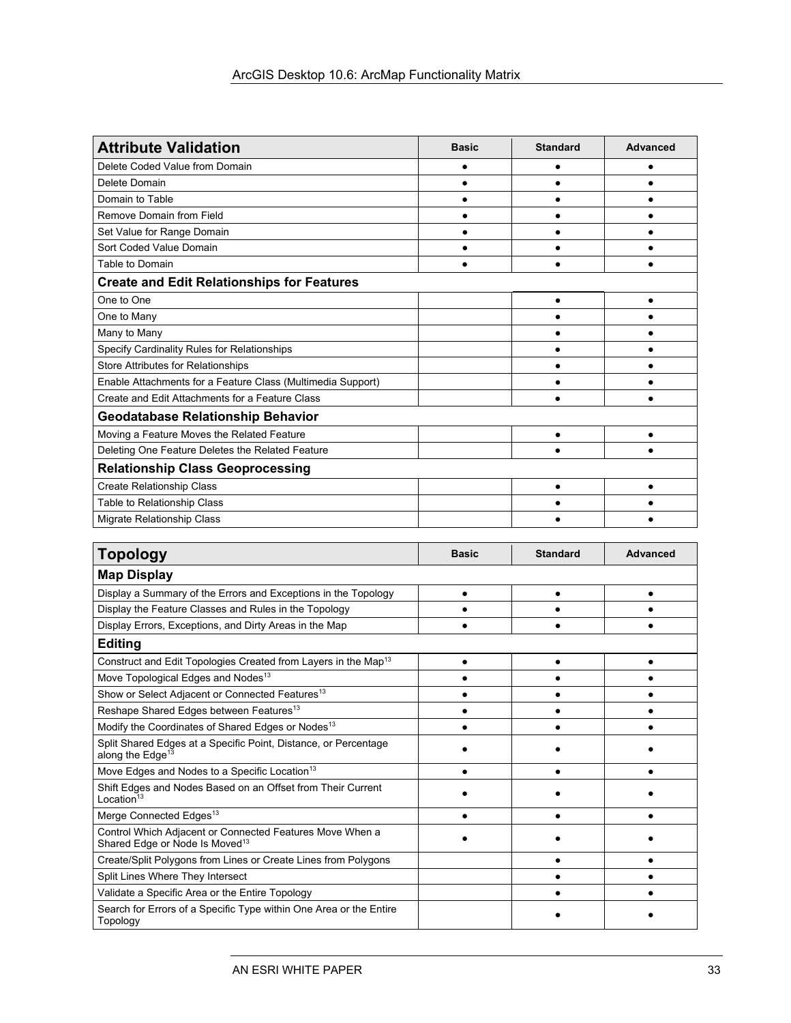| <b>Attribute Validation</b>                                 | <b>Basic</b> | <b>Standard</b> | <b>Advanced</b> |  |
|-------------------------------------------------------------|--------------|-----------------|-----------------|--|
| Delete Coded Value from Domain                              |              |                 |                 |  |
| Delete Domain                                               |              |                 |                 |  |
| Domain to Table                                             |              |                 |                 |  |
| <b>Remove Domain from Field</b>                             |              |                 |                 |  |
| Set Value for Range Domain                                  |              |                 |                 |  |
| Sort Coded Value Domain                                     |              |                 |                 |  |
| Table to Domain                                             |              |                 |                 |  |
| <b>Create and Edit Relationships for Features</b>           |              |                 |                 |  |
| One to One                                                  |              |                 |                 |  |
| One to Many                                                 |              |                 |                 |  |
| Many to Many                                                |              |                 |                 |  |
| Specify Cardinality Rules for Relationships                 |              |                 |                 |  |
| Store Attributes for Relationships                          |              |                 |                 |  |
| Enable Attachments for a Feature Class (Multimedia Support) |              |                 |                 |  |
| Create and Edit Attachments for a Feature Class             |              |                 |                 |  |
| <b>Geodatabase Relationship Behavior</b>                    |              |                 |                 |  |
| Moving a Feature Moves the Related Feature                  |              | $\bullet$       |                 |  |
| Deleting One Feature Deletes the Related Feature            |              |                 |                 |  |
| <b>Relationship Class Geoprocessing</b>                     |              |                 |                 |  |
| <b>Create Relationship Class</b>                            |              |                 |                 |  |
| Table to Relationship Class                                 |              |                 |                 |  |
| Migrate Relationship Class                                  |              |                 |                 |  |

| Topology                                                                                               | <b>Basic</b> | <b>Standard</b> | Advanced |
|--------------------------------------------------------------------------------------------------------|--------------|-----------------|----------|
| <b>Map Display</b>                                                                                     |              |                 |          |
| Display a Summary of the Errors and Exceptions in the Topology                                         |              |                 |          |
| Display the Feature Classes and Rules in the Topology                                                  |              |                 |          |
| Display Errors, Exceptions, and Dirty Areas in the Map                                                 |              |                 |          |
| <b>Editing</b>                                                                                         |              |                 |          |
| Construct and Edit Topologies Created from Layers in the Map <sup>13</sup>                             |              |                 |          |
| Move Topological Edges and Nodes <sup>13</sup>                                                         |              |                 |          |
| Show or Select Adjacent or Connected Features <sup>13</sup>                                            |              |                 |          |
| Reshape Shared Edges between Features <sup>13</sup>                                                    |              |                 |          |
| Modify the Coordinates of Shared Edges or Nodes <sup>13</sup>                                          |              |                 |          |
| Split Shared Edges at a Specific Point, Distance, or Percentage<br>along the Edge <sup>13</sup>        |              |                 |          |
| Move Edges and Nodes to a Specific Location <sup>13</sup>                                              |              |                 |          |
| Shift Edges and Nodes Based on an Offset from Their Current<br>Location $13$                           |              |                 |          |
| Merge Connected Edges <sup>13</sup>                                                                    |              |                 |          |
| Control Which Adjacent or Connected Features Move When a<br>Shared Edge or Node Is Moved <sup>13</sup> |              |                 |          |
| Create/Split Polygons from Lines or Create Lines from Polygons                                         |              |                 |          |
| Split Lines Where They Intersect                                                                       |              |                 |          |
| Validate a Specific Area or the Entire Topology                                                        |              |                 |          |
| Search for Errors of a Specific Type within One Area or the Entire<br>Topology                         |              |                 |          |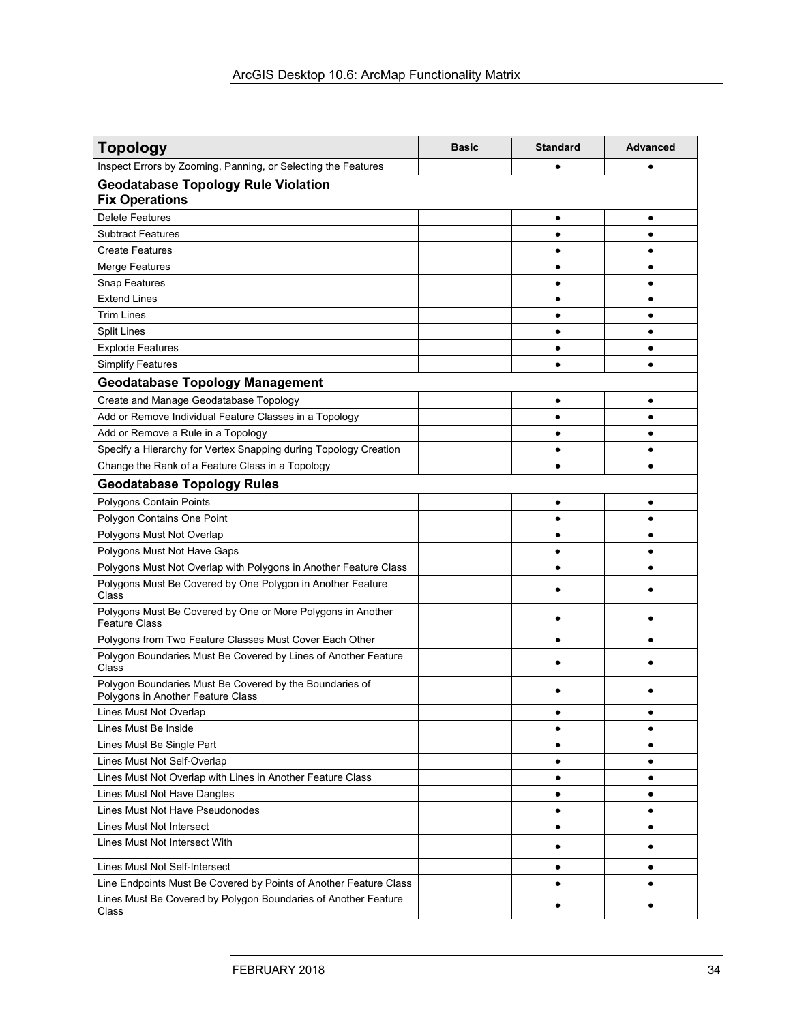| <b>Topology</b>                                                                              | <b>Basic</b> | <b>Standard</b> | <b>Advanced</b> |
|----------------------------------------------------------------------------------------------|--------------|-----------------|-----------------|
| Inspect Errors by Zooming, Panning, or Selecting the Features                                |              | ٠               |                 |
| <b>Geodatabase Topology Rule Violation</b><br><b>Fix Operations</b>                          |              |                 |                 |
| <b>Delete Features</b>                                                                       |              | $\bullet$       | $\bullet$       |
| <b>Subtract Features</b>                                                                     |              | $\bullet$       |                 |
| <b>Create Features</b>                                                                       |              | $\bullet$       |                 |
| <b>Merge Features</b>                                                                        |              | $\bullet$       |                 |
| <b>Snap Features</b>                                                                         |              | $\bullet$       | ٠               |
| <b>Extend Lines</b>                                                                          |              | $\bullet$       | $\bullet$       |
| <b>Trim Lines</b>                                                                            |              | ٠               | ٠               |
| <b>Split Lines</b>                                                                           |              | ٠               | ٠               |
| <b>Explode Features</b>                                                                      |              | ٠               | ٠               |
| <b>Simplify Features</b>                                                                     |              | ٠               | ٠               |
| <b>Geodatabase Topology Management</b>                                                       |              |                 |                 |
| Create and Manage Geodatabase Topology                                                       |              | $\bullet$       | ٠               |
| Add or Remove Individual Feature Classes in a Topology                                       |              | ٠               | ٠               |
| Add or Remove a Rule in a Topology                                                           |              | ٠               | $\bullet$       |
| Specify a Hierarchy for Vertex Snapping during Topology Creation                             |              | $\bullet$       | ٠               |
| Change the Rank of a Feature Class in a Topology                                             |              | $\bullet$       |                 |
| <b>Geodatabase Topology Rules</b>                                                            |              |                 |                 |
| Polygons Contain Points                                                                      |              | $\bullet$       | ٠               |
| Polygon Contains One Point                                                                   |              | ٠               | ٠               |
| Polygons Must Not Overlap                                                                    |              | ٠               | ٠               |
| Polygons Must Not Have Gaps                                                                  |              | $\bullet$       | ٠               |
| Polygons Must Not Overlap with Polygons in Another Feature Class                             |              | $\bullet$       |                 |
| Polygons Must Be Covered by One Polygon in Another Feature<br>Class                          |              |                 |                 |
| Polygons Must Be Covered by One or More Polygons in Another<br><b>Feature Class</b>          |              |                 |                 |
| Polygons from Two Feature Classes Must Cover Each Other                                      |              | $\bullet$       |                 |
| Polygon Boundaries Must Be Covered by Lines of Another Feature<br>Class                      |              |                 |                 |
| Polygon Boundaries Must Be Covered by the Boundaries of<br>Polygons in Another Feature Class |              |                 |                 |
| Lines Must Not Overlap                                                                       |              |                 |                 |
| Lines Must Be Inside                                                                         |              | ٠               | ٠               |
| Lines Must Be Single Part                                                                    |              | ٠               | ٠               |
| Lines Must Not Self-Overlap                                                                  |              | $\bullet$       | ٠               |
| Lines Must Not Overlap with Lines in Another Feature Class                                   |              | $\bullet$       | ٠               |
| Lines Must Not Have Dangles                                                                  |              | $\bullet$       | ٠               |
| Lines Must Not Have Pseudonodes                                                              |              | $\bullet$       | ٠               |
| Lines Must Not Intersect                                                                     |              | $\bullet$       | ٠               |
| Lines Must Not Intersect With                                                                |              | ٠               | ٠               |
| Lines Must Not Self-Intersect                                                                |              | $\bullet$       | ٠               |
| Line Endpoints Must Be Covered by Points of Another Feature Class                            |              | ٠               | ٠               |
| Lines Must Be Covered by Polygon Boundaries of Another Feature<br>Class                      |              | ٠               |                 |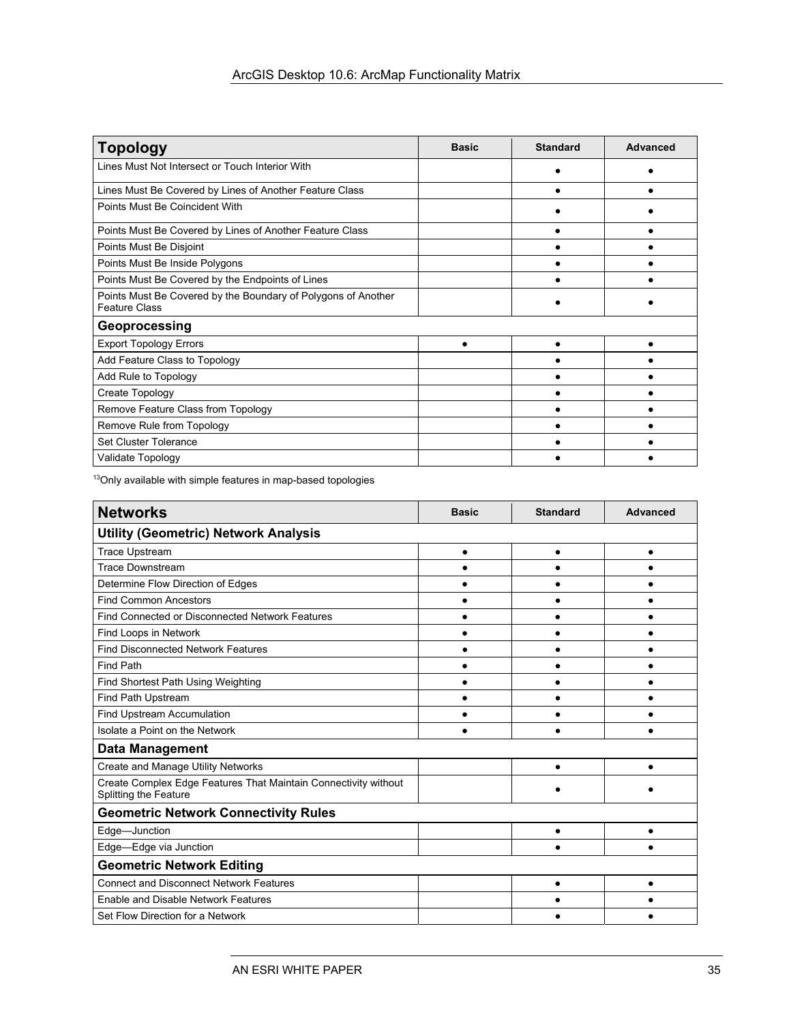| <b>Topology</b>                                                                       | <b>Basic</b> | <b>Standard</b> | Advanced |
|---------------------------------------------------------------------------------------|--------------|-----------------|----------|
| Lines Must Not Intersect or Touch Interior With                                       |              |                 |          |
| Lines Must Be Covered by Lines of Another Feature Class                               |              |                 |          |
| Points Must Be Coincident With                                                        |              |                 |          |
| Points Must Be Covered by Lines of Another Feature Class                              |              |                 |          |
| Points Must Be Disjoint                                                               |              |                 |          |
| Points Must Be Inside Polygons                                                        |              |                 |          |
| Points Must Be Covered by the Endpoints of Lines                                      |              |                 |          |
| Points Must Be Covered by the Boundary of Polygons of Another<br><b>Feature Class</b> |              |                 |          |
| Geoprocessing                                                                         |              |                 |          |
| <b>Export Topology Errors</b>                                                         |              |                 |          |
| Add Feature Class to Topology                                                         |              |                 |          |
| Add Rule to Topology                                                                  |              |                 |          |
| Create Topology                                                                       |              |                 |          |
| Remove Feature Class from Topology                                                    |              |                 |          |
| Remove Rule from Topology                                                             |              |                 |          |
| <b>Set Cluster Tolerance</b>                                                          |              |                 |          |
| Validate Topology                                                                     |              |                 |          |

<sup>13</sup>Only available with simple features in map-based topologies

| <b>Networks</b>                                                                          | <b>Basic</b> | <b>Standard</b> | <b>Advanced</b> |
|------------------------------------------------------------------------------------------|--------------|-----------------|-----------------|
| <b>Utility (Geometric) Network Analysis</b>                                              |              |                 |                 |
| <b>Trace Upstream</b>                                                                    |              | $\bullet$       |                 |
| <b>Trace Downstream</b>                                                                  |              |                 |                 |
| Determine Flow Direction of Edges                                                        |              |                 |                 |
| <b>Find Common Ancestors</b>                                                             |              |                 |                 |
| Find Connected or Disconnected Network Features                                          |              |                 |                 |
| Find Loops in Network                                                                    |              |                 |                 |
| <b>Find Disconnected Network Features</b>                                                |              |                 |                 |
| <b>Find Path</b>                                                                         |              |                 |                 |
| Find Shortest Path Using Weighting                                                       |              |                 |                 |
| Find Path Upstream                                                                       |              |                 |                 |
| <b>Find Upstream Accumulation</b>                                                        |              |                 |                 |
| Isolate a Point on the Network                                                           |              |                 |                 |
| <b>Data Management</b>                                                                   |              |                 |                 |
| Create and Manage Utility Networks                                                       |              |                 |                 |
| Create Complex Edge Features That Maintain Connectivity without<br>Splitting the Feature |              |                 |                 |
| <b>Geometric Network Connectivity Rules</b>                                              |              |                 |                 |
| Edge-Junction                                                                            |              |                 |                 |
| Edge-Edge via Junction                                                                   |              |                 |                 |
| <b>Geometric Network Editing</b>                                                         |              |                 |                 |
| <b>Connect and Disconnect Network Features</b>                                           |              | $\bullet$       |                 |
| <b>Enable and Disable Network Features</b>                                               |              |                 |                 |
| Set Flow Direction for a Network                                                         |              |                 |                 |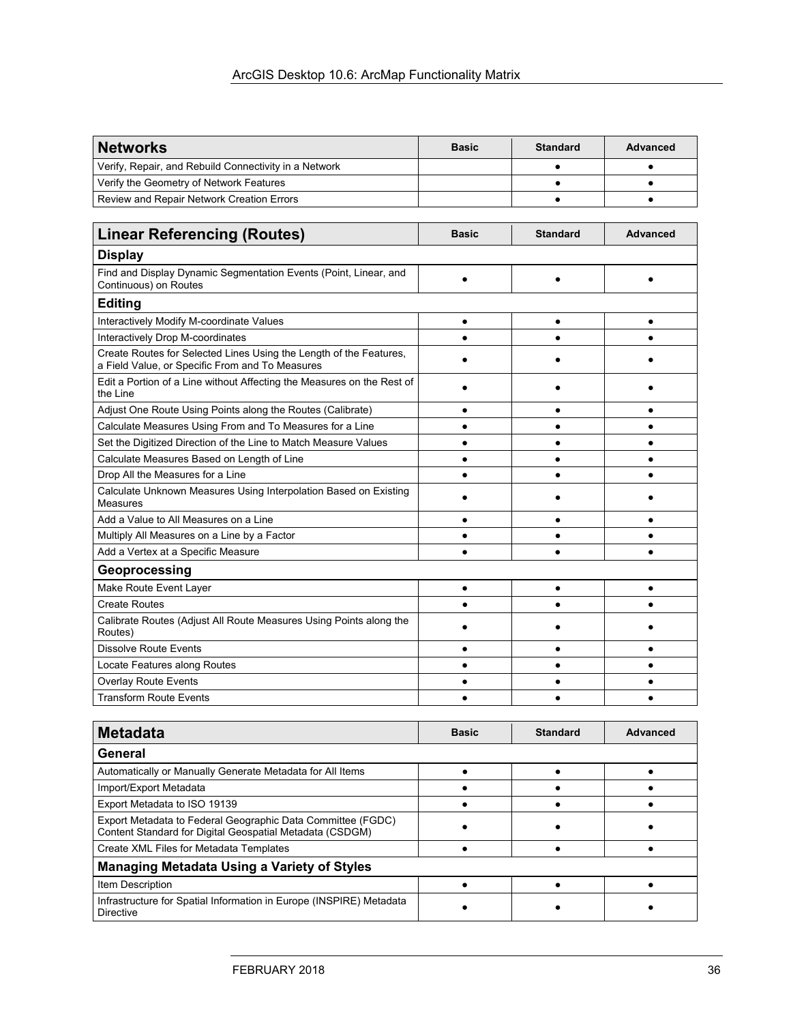| <b>Networks</b>                                       | <b>Basic</b> | <b>Standard</b> | Advanced |
|-------------------------------------------------------|--------------|-----------------|----------|
| Verify, Repair, and Rebuild Connectivity in a Network |              |                 |          |
| Verify the Geometry of Network Features               |              |                 |          |
| Review and Repair Network Creation Errors             |              |                 |          |

| <b>Linear Referencing (Routes)</b>                                                                                    | <b>Basic</b> | <b>Standard</b> | <b>Advanced</b> |
|-----------------------------------------------------------------------------------------------------------------------|--------------|-----------------|-----------------|
| <b>Display</b>                                                                                                        |              |                 |                 |
| Find and Display Dynamic Segmentation Events (Point, Linear, and<br>Continuous) on Routes                             |              |                 |                 |
| <b>Editing</b>                                                                                                        |              |                 |                 |
| Interactively Modify M-coordinate Values                                                                              |              |                 |                 |
| Interactively Drop M-coordinates                                                                                      |              |                 |                 |
| Create Routes for Selected Lines Using the Length of the Features,<br>a Field Value, or Specific From and To Measures |              |                 |                 |
| Edit a Portion of a Line without Affecting the Measures on the Rest of<br>the Line                                    |              |                 |                 |
| Adjust One Route Using Points along the Routes (Calibrate)                                                            |              |                 |                 |
| Calculate Measures Using From and To Measures for a Line                                                              |              |                 |                 |
| Set the Digitized Direction of the Line to Match Measure Values                                                       |              |                 |                 |
| Calculate Measures Based on Length of Line                                                                            |              |                 |                 |
| Drop All the Measures for a Line                                                                                      |              |                 |                 |
| Calculate Unknown Measures Using Interpolation Based on Existing<br>Measures                                          |              |                 |                 |
| Add a Value to All Measures on a Line                                                                                 |              |                 |                 |
| Multiply All Measures on a Line by a Factor                                                                           |              |                 |                 |
| Add a Vertex at a Specific Measure                                                                                    |              |                 |                 |
| Geoprocessing                                                                                                         |              |                 |                 |
| Make Route Event Layer                                                                                                | ٠            | $\bullet$       | $\bullet$       |
| <b>Create Routes</b>                                                                                                  |              |                 |                 |
| Calibrate Routes (Adjust All Route Measures Using Points along the<br>Routes)                                         |              |                 |                 |
| <b>Dissolve Route Events</b>                                                                                          |              |                 |                 |
| Locate Features along Routes                                                                                          |              |                 |                 |
| <b>Overlay Route Events</b>                                                                                           |              |                 |                 |
| <b>Transform Route Events</b>                                                                                         |              |                 |                 |

| <b>Metadata</b>                                                                                                         | <b>Basic</b> | <b>Standard</b> | <b>Advanced</b> |
|-------------------------------------------------------------------------------------------------------------------------|--------------|-----------------|-----------------|
| General                                                                                                                 |              |                 |                 |
| Automatically or Manually Generate Metadata for All Items                                                               |              |                 |                 |
| Import/Export Metadata                                                                                                  |              |                 |                 |
| Export Metadata to ISO 19139                                                                                            |              |                 |                 |
| Export Metadata to Federal Geographic Data Committee (FGDC)<br>Content Standard for Digital Geospatial Metadata (CSDGM) |              |                 |                 |
| Create XML Files for Metadata Templates                                                                                 |              |                 |                 |
| <b>Managing Metadata Using a Variety of Styles</b>                                                                      |              |                 |                 |
| Item Description                                                                                                        |              |                 |                 |
| Infrastructure for Spatial Information in Europe (INSPIRE) Metadata<br><b>Directive</b>                                 |              |                 |                 |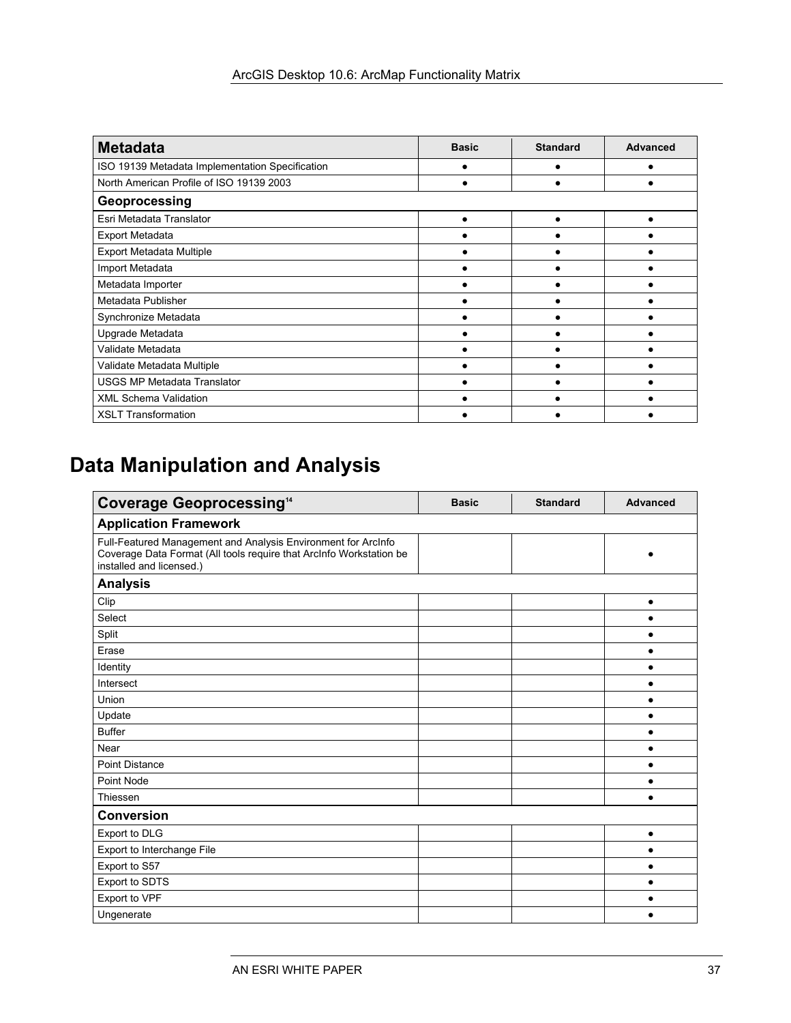| <b>Metadata</b>                                 | <b>Basic</b> | <b>Standard</b> | <b>Advanced</b> |
|-------------------------------------------------|--------------|-----------------|-----------------|
| ISO 19139 Metadata Implementation Specification |              |                 |                 |
| North American Profile of ISO 19139 2003        |              |                 |                 |
| Geoprocessing                                   |              |                 |                 |
| Esri Metadata Translator                        |              |                 |                 |
| <b>Export Metadata</b>                          |              |                 |                 |
| Export Metadata Multiple                        |              |                 |                 |
| Import Metadata                                 |              |                 |                 |
| Metadata Importer                               |              |                 |                 |
| Metadata Publisher                              |              |                 |                 |
| Synchronize Metadata                            |              |                 |                 |
| Upgrade Metadata                                |              |                 |                 |
| Validate Metadata                               |              |                 |                 |
| Validate Metadata Multiple                      |              |                 |                 |
| <b>USGS MP Metadata Translator</b>              |              |                 |                 |
| <b>XML Schema Validation</b>                    |              |                 |                 |
| <b>XSLT Transformation</b>                      |              |                 |                 |

# 5B**Data Manipulation and Analysis**

| <b>Coverage Geoprocessing<sup>14</sup></b>                                                                                                                       | <b>Basic</b> | <b>Standard</b> | <b>Advanced</b> |
|------------------------------------------------------------------------------------------------------------------------------------------------------------------|--------------|-----------------|-----------------|
| <b>Application Framework</b>                                                                                                                                     |              |                 |                 |
| Full-Featured Management and Analysis Environment for ArcInfo<br>Coverage Data Format (All tools require that ArcInfo Workstation be<br>installed and licensed.) |              |                 |                 |
| <b>Analysis</b>                                                                                                                                                  |              |                 |                 |
| Clip                                                                                                                                                             |              |                 | $\bullet$       |
| Select                                                                                                                                                           |              |                 | $\bullet$       |
| Split                                                                                                                                                            |              |                 |                 |
| Erase                                                                                                                                                            |              |                 | $\bullet$       |
| Identity                                                                                                                                                         |              |                 | $\bullet$       |
| Intersect                                                                                                                                                        |              |                 | $\bullet$       |
| Union                                                                                                                                                            |              |                 | $\bullet$       |
| Update                                                                                                                                                           |              |                 |                 |
| <b>Buffer</b>                                                                                                                                                    |              |                 |                 |
| Near                                                                                                                                                             |              |                 | $\bullet$       |
| <b>Point Distance</b>                                                                                                                                            |              |                 | $\bullet$       |
| Point Node                                                                                                                                                       |              |                 | $\bullet$       |
| Thiessen                                                                                                                                                         |              |                 |                 |
| <b>Conversion</b>                                                                                                                                                |              |                 |                 |
| Export to DLG                                                                                                                                                    |              |                 | $\bullet$       |
| Export to Interchange File                                                                                                                                       |              |                 | $\bullet$       |
| Export to S57                                                                                                                                                    |              |                 |                 |
| Export to SDTS                                                                                                                                                   |              |                 | $\bullet$       |
| Export to VPF                                                                                                                                                    |              |                 |                 |
| Ungenerate                                                                                                                                                       |              |                 |                 |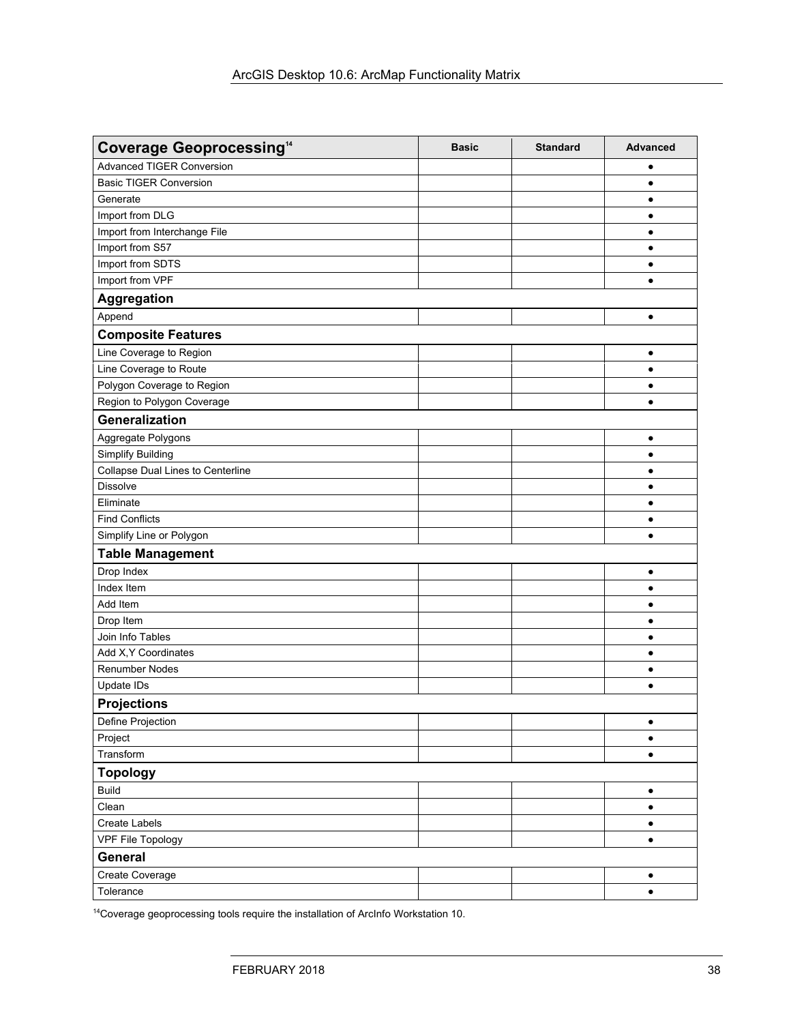| <b>Coverage Geoprocessing<sup>14</sup></b> | <b>Basic</b> | <b>Standard</b> | <b>Advanced</b> |
|--------------------------------------------|--------------|-----------------|-----------------|
| <b>Advanced TIGER Conversion</b>           |              |                 |                 |
| <b>Basic TIGER Conversion</b>              |              |                 | $\bullet$       |
| Generate                                   |              |                 | ٠               |
| Import from DLG                            |              |                 | ٠               |
| Import from Interchange File               |              |                 | ٠               |
| Import from S57                            |              |                 | ٠               |
| Import from SDTS                           |              |                 | $\bullet$       |
| Import from VPF                            |              |                 | $\bullet$       |
| Aggregation                                |              |                 |                 |
| Append                                     |              |                 | ٠               |
| <b>Composite Features</b>                  |              |                 |                 |
| Line Coverage to Region                    |              |                 | ٠               |
| Line Coverage to Route                     |              |                 | $\bullet$       |
| Polygon Coverage to Region                 |              |                 | ٠               |
| Region to Polygon Coverage                 |              |                 | $\bullet$       |
| Generalization                             |              |                 |                 |
| Aggregate Polygons                         |              |                 | $\bullet$       |
| <b>Simplify Building</b>                   |              |                 | $\bullet$       |
| Collapse Dual Lines to Centerline          |              |                 | ٠               |
| <b>Dissolve</b>                            |              |                 | ٠               |
| Eliminate                                  |              |                 | ٠               |
| <b>Find Conflicts</b>                      |              |                 | ٠               |
| Simplify Line or Polygon                   |              |                 | $\bullet$       |
| <b>Table Management</b>                    |              |                 |                 |
| Drop Index                                 |              |                 | ٠               |
| Index Item                                 |              |                 | $\bullet$       |
| Add Item                                   |              |                 | ٠               |
| Drop Item                                  |              |                 | $\bullet$       |
| Join Info Tables                           |              |                 | $\bullet$       |
| Add X, Y Coordinates                       |              |                 | $\bullet$       |
| <b>Renumber Nodes</b>                      |              |                 | $\bullet$       |
| Update IDs                                 |              |                 |                 |
| <b>Projections</b>                         |              |                 |                 |
| Define Projection                          |              |                 | $\bullet$       |
| Project                                    |              |                 | $\bullet$       |
| Transform                                  |              |                 | $\bullet$       |
| <b>Topology</b>                            |              |                 |                 |
| <b>Build</b>                               |              |                 | $\bullet$       |
| Clean                                      |              |                 | $\bullet$       |
| Create Labels                              |              |                 | $\bullet$       |
| <b>VPF File Topology</b>                   |              |                 | $\bullet$       |
| General                                    |              |                 |                 |
| Create Coverage                            |              |                 | $\bullet$       |
| Tolerance                                  |              |                 | $\bullet$       |

14Coverage geoprocessing tools require the installation of ArcInfo Workstation 10.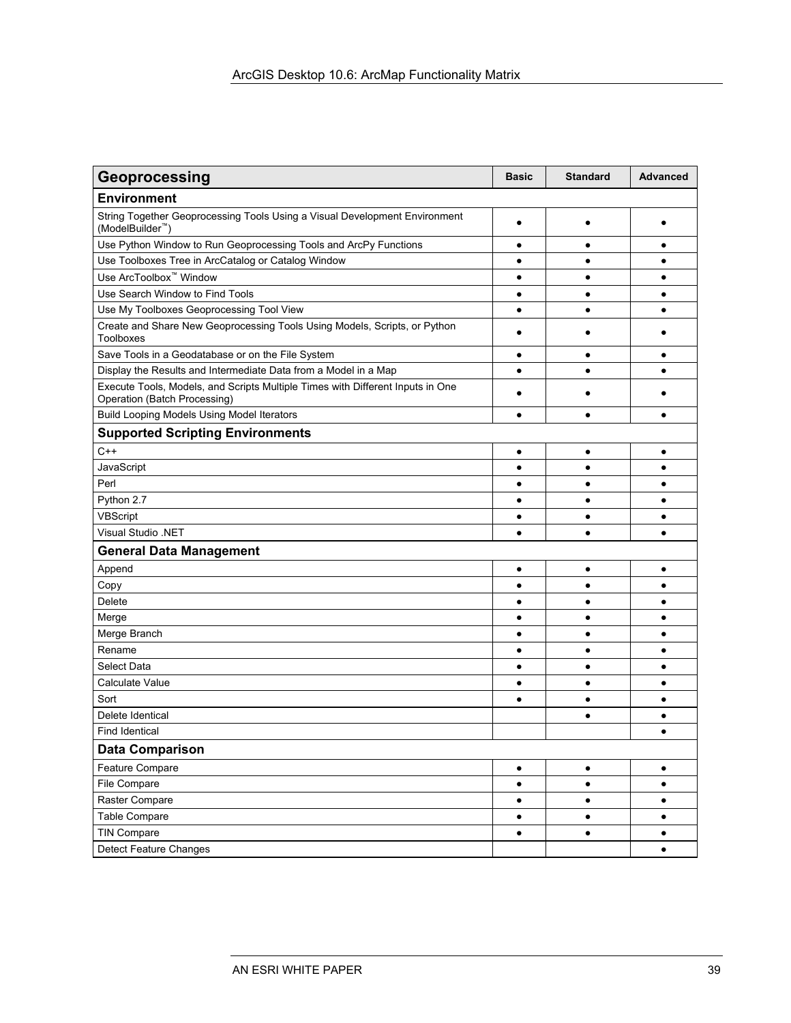| Geoprocessing                                                                                                  | <b>Basic</b> | <b>Standard</b> | <b>Advanced</b> |
|----------------------------------------------------------------------------------------------------------------|--------------|-----------------|-----------------|
| <b>Environment</b>                                                                                             |              |                 |                 |
| String Together Geoprocessing Tools Using a Visual Development Environment<br>(ModelBuilder <sup>™</sup> )     | $\bullet$    |                 |                 |
| Use Python Window to Run Geoprocessing Tools and ArcPy Functions                                               | ٠            | $\bullet$       | ٠               |
| Use Toolboxes Tree in ArcCatalog or Catalog Window                                                             | ٠            | $\bullet$       | ٠               |
| Use ArcToolbox <sup>™</sup> Window                                                                             | $\bullet$    | $\bullet$       | $\bullet$       |
| Use Search Window to Find Tools                                                                                | $\bullet$    | $\bullet$       | $\bullet$       |
| Use My Toolboxes Geoprocessing Tool View                                                                       | $\bullet$    | $\bullet$       | $\bullet$       |
| Create and Share New Geoprocessing Tools Using Models, Scripts, or Python<br><b>Toolboxes</b>                  | ٠            |                 |                 |
| Save Tools in a Geodatabase or on the File System                                                              | $\bullet$    | $\bullet$       | ٠               |
| Display the Results and Intermediate Data from a Model in a Map                                                | $\bullet$    | $\bullet$       | ٠               |
| Execute Tools, Models, and Scripts Multiple Times with Different Inputs in One<br>Operation (Batch Processing) |              |                 |                 |
| <b>Build Looping Models Using Model Iterators</b>                                                              | $\bullet$    | $\bullet$       | $\bullet$       |
| <b>Supported Scripting Environments</b>                                                                        |              |                 |                 |
| $C++$                                                                                                          | $\bullet$    | $\bullet$       | $\bullet$       |
| JavaScript                                                                                                     | ٠            | $\bullet$       | ٠               |
| Perl                                                                                                           | ٠            | $\bullet$       | $\bullet$       |
| Python 2.7                                                                                                     | ٠            | $\bullet$       | ٠               |
| VBScript                                                                                                       | ٠            | ٠               | ٠               |
| <b>Visual Studio .NET</b>                                                                                      | $\bullet$    | $\bullet$       | $\bullet$       |
| <b>General Data Management</b>                                                                                 |              |                 |                 |
| Append                                                                                                         | $\bullet$    | $\bullet$       | $\bullet$       |
| Copy                                                                                                           | $\bullet$    | $\bullet$       | $\bullet$       |
| Delete                                                                                                         | ٠            | $\bullet$       | ٠               |
| Merge                                                                                                          | ٠            | $\bullet$       | ٠               |
| Merge Branch                                                                                                   | $\bullet$    | $\bullet$       | $\bullet$       |
| Rename                                                                                                         | ٠            | $\bullet$       | $\bullet$       |
| <b>Select Data</b>                                                                                             | $\bullet$    | $\bullet$       | $\bullet$       |
| Calculate Value                                                                                                | ٠            | $\bullet$       | ٠               |
| Sort                                                                                                           |              | $\bullet$       |                 |
| Delete Identical                                                                                               |              | $\bullet$       | $\bullet$       |
| <b>Find Identical</b>                                                                                          |              |                 | ٠               |
| <b>Data Comparison</b>                                                                                         |              |                 |                 |
| Feature Compare                                                                                                | ٠            | $\bullet$       | $\bullet$       |
| File Compare                                                                                                   | ٠            | $\bullet$       | ٠               |
| Raster Compare                                                                                                 | $\bullet$    | $\bullet$       | $\bullet$       |
| Table Compare                                                                                                  | $\bullet$    | $\bullet$       | $\bullet$       |
| <b>TIN Compare</b>                                                                                             | $\bullet$    | $\bullet$       | $\bullet$       |
| Detect Feature Changes                                                                                         |              |                 | $\bullet$       |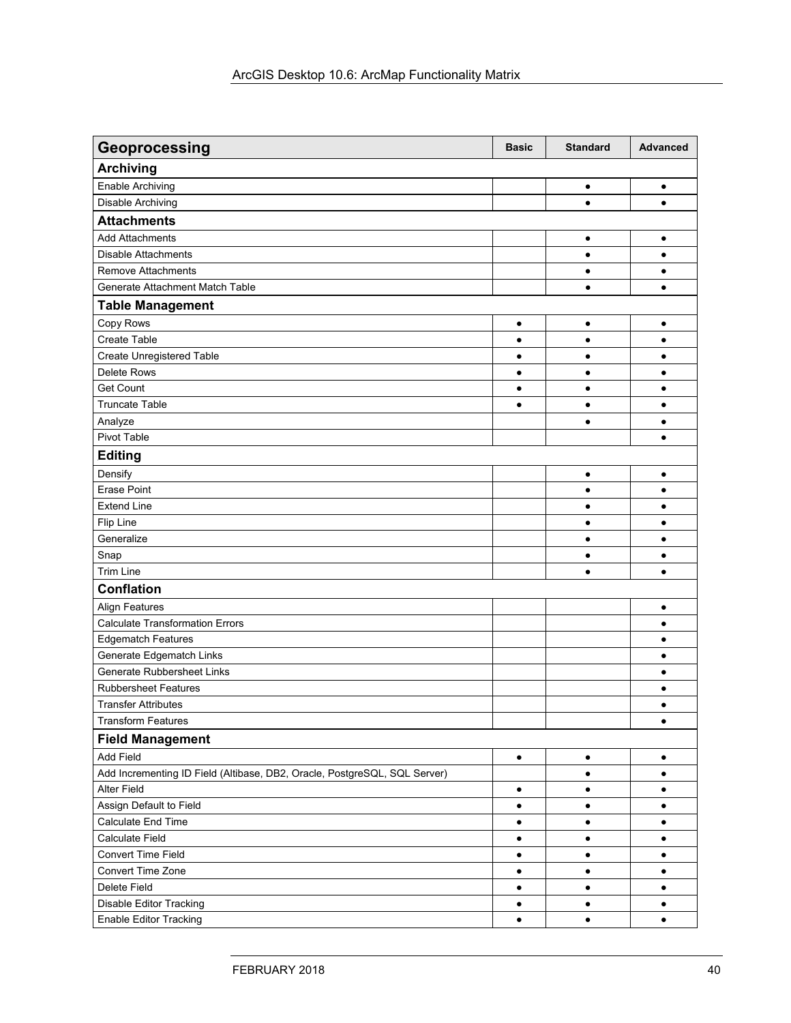| Geoprocessing                                                             | <b>Basic</b> | <b>Standard</b> | <b>Advanced</b> |
|---------------------------------------------------------------------------|--------------|-----------------|-----------------|
| <b>Archiving</b>                                                          |              |                 |                 |
| <b>Enable Archiving</b>                                                   |              | $\bullet$       | $\bullet$       |
| Disable Archiving                                                         |              | $\bullet$       | $\bullet$       |
| <b>Attachments</b>                                                        |              |                 |                 |
| <b>Add Attachments</b>                                                    |              | $\bullet$       | $\bullet$       |
| <b>Disable Attachments</b>                                                |              | $\bullet$       | ٠               |
| <b>Remove Attachments</b>                                                 |              | $\bullet$       | $\bullet$       |
| Generate Attachment Match Table                                           |              | $\bullet$       | $\bullet$       |
| <b>Table Management</b>                                                   |              |                 |                 |
| Copy Rows                                                                 | $\bullet$    | $\bullet$       | $\bullet$       |
| Create Table                                                              | $\bullet$    | $\bullet$       | $\bullet$       |
| <b>Create Unregistered Table</b>                                          | $\bullet$    | $\bullet$       | $\bullet$       |
| <b>Delete Rows</b>                                                        | $\bullet$    | $\bullet$       | $\bullet$       |
| <b>Get Count</b>                                                          | $\bullet$    | $\bullet$       | $\bullet$       |
| <b>Truncate Table</b>                                                     | $\bullet$    | $\bullet$       | $\bullet$       |
| Analyze                                                                   |              | $\bullet$       | $\bullet$       |
| Pivot Table                                                               |              |                 | $\bullet$       |
| <b>Editing</b>                                                            |              |                 |                 |
| Densify                                                                   |              | $\bullet$       | $\bullet$       |
| <b>Erase Point</b>                                                        |              | $\bullet$       | $\bullet$       |
| <b>Extend Line</b>                                                        |              | $\bullet$       | $\bullet$       |
| Flip Line                                                                 |              | $\bullet$       | $\bullet$       |
| Generalize                                                                |              | $\bullet$       | $\bullet$       |
| Snap                                                                      |              | $\bullet$       | $\bullet$       |
| <b>Trim Line</b>                                                          |              | $\bullet$       | $\bullet$       |
| <b>Conflation</b>                                                         |              |                 |                 |
| <b>Align Features</b>                                                     |              |                 | $\bullet$       |
| <b>Calculate Transformation Errors</b>                                    |              |                 | $\bullet$       |
| <b>Edgematch Features</b>                                                 |              |                 | $\bullet$       |
| Generate Edgematch Links                                                  |              |                 | ٠               |
| Generate Rubbersheet Links                                                |              |                 | ٠               |
| <b>Rubbersheet Features</b>                                               |              |                 | ٠               |
| <b>Transfer Attributes</b>                                                |              |                 | $\bullet$       |
| <b>Transform Features</b>                                                 |              |                 | $\bullet$       |
| <b>Field Management</b>                                                   |              |                 |                 |
| Add Field                                                                 | $\bullet$    | $\bullet$       | $\bullet$       |
| Add Incrementing ID Field (Altibase, DB2, Oracle, PostgreSQL, SQL Server) |              | $\bullet$       | $\bullet$       |
| Alter Field                                                               | $\bullet$    | ٠               | $\bullet$       |
| Assign Default to Field                                                   | $\bullet$    | $\bullet$       | $\bullet$       |
| Calculate End Time                                                        | $\bullet$    | $\bullet$       | $\bullet$       |
| <b>Calculate Field</b>                                                    | $\bullet$    | $\bullet$       | $\bullet$       |
| Convert Time Field                                                        | $\bullet$    | $\bullet$       | $\bullet$       |
| Convert Time Zone                                                         | $\bullet$    | $\bullet$       | $\bullet$       |
| Delete Field                                                              | $\bullet$    | $\bullet$       | $\bullet$       |
| Disable Editor Tracking                                                   | ٠            | $\bullet$       | $\bullet$       |
| <b>Enable Editor Tracking</b>                                             | $\bullet$    | $\bullet$       | $\bullet$       |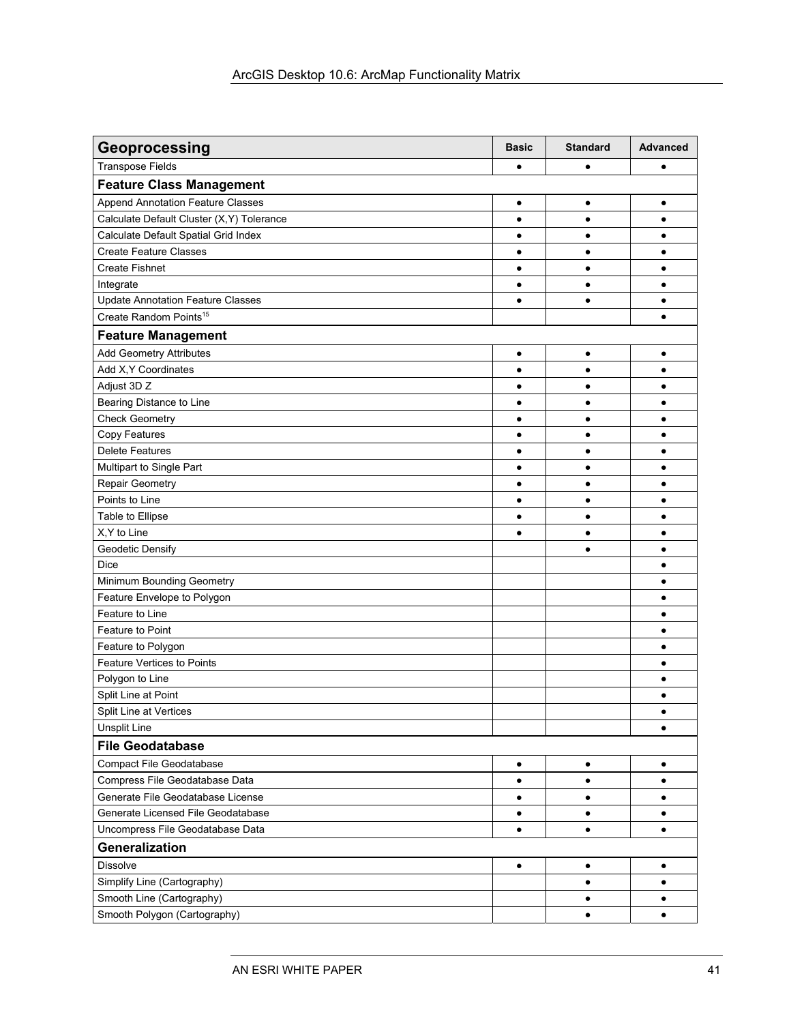| Geoprocessing                             | <b>Basic</b> | <b>Standard</b> | <b>Advanced</b> |
|-------------------------------------------|--------------|-----------------|-----------------|
| <b>Transpose Fields</b>                   | $\bullet$    | $\bullet$       | ٠               |
| <b>Feature Class Management</b>           |              |                 |                 |
| <b>Append Annotation Feature Classes</b>  | $\bullet$    | $\bullet$       | ٠               |
| Calculate Default Cluster (X,Y) Tolerance | $\bullet$    | $\bullet$       | $\bullet$       |
| Calculate Default Spatial Grid Index      | $\bullet$    | ٠               |                 |
| <b>Create Feature Classes</b>             | $\bullet$    | $\bullet$       |                 |
| <b>Create Fishnet</b>                     | $\bullet$    | $\bullet$       | ٠               |
| Integrate                                 | ٠            | $\bullet$       |                 |
| <b>Update Annotation Feature Classes</b>  | $\bullet$    | $\bullet$       |                 |
| Create Random Points <sup>15</sup>        |              |                 | ٠               |
| <b>Feature Management</b>                 |              |                 |                 |
| <b>Add Geometry Attributes</b>            | $\bullet$    | $\bullet$       | $\bullet$       |
| Add X, Y Coordinates                      | $\bullet$    | $\bullet$       | ٠               |
| Adjust 3D Z                               | $\bullet$    | $\bullet$       | ٠               |
| Bearing Distance to Line                  | ٠            | $\bullet$       | ٠               |
| <b>Check Geometry</b>                     | $\bullet$    | $\bullet$       | ٠               |
| Copy Features                             | $\bullet$    | $\bullet$       | $\bullet$       |
| <b>Delete Features</b>                    | $\bullet$    | $\bullet$       | $\bullet$       |
| Multipart to Single Part                  | ٠            | $\bullet$       |                 |
| <b>Repair Geometry</b>                    | ٠            | ٠               |                 |
| Points to Line                            | $\bullet$    | $\bullet$       |                 |
| Table to Ellipse                          | $\bullet$    | $\bullet$       | $\bullet$       |
| X, Y to Line                              | ٠            | $\bullet$       |                 |
| Geodetic Densify                          |              | $\bullet$       | ٠               |
| <b>Dice</b>                               |              |                 | ٠               |
| Minimum Bounding Geometry                 |              |                 | ٠               |
| Feature Envelope to Polygon               |              |                 | $\bullet$       |
| Feature to Line                           |              |                 | $\bullet$       |
| Feature to Point                          |              |                 | $\bullet$       |
| Feature to Polygon                        |              |                 |                 |
| <b>Feature Vertices to Points</b>         |              |                 |                 |
| Polygon to Line                           |              |                 | ٠               |
| Split Line at Point                       |              |                 |                 |
| Split Line at Vertices                    |              |                 |                 |
| <b>Unsplit Line</b>                       |              |                 | ٠               |
| <b>File Geodatabase</b>                   |              |                 |                 |
| <b>Compact File Geodatabase</b>           | $\bullet$    | $\bullet$       | $\bullet$       |
| Compress File Geodatabase Data            | $\bullet$    | $\bullet$       | $\bullet$       |
| Generate File Geodatabase License         | $\bullet$    | $\bullet$       | $\bullet$       |
| Generate Licensed File Geodatabase        | ٠            | $\bullet$       | $\bullet$       |
| Uncompress File Geodatabase Data          | $\bullet$    | $\bullet$       | $\bullet$       |
| Generalization                            |              |                 |                 |
| <b>Dissolve</b>                           | $\bullet$    | $\bullet$       | $\bullet$       |
| Simplify Line (Cartography)               |              | $\bullet$       | ٠               |
| Smooth Line (Cartography)                 |              | $\bullet$       | ٠               |
| Smooth Polygon (Cartography)              |              | $\bullet$       | $\bullet$       |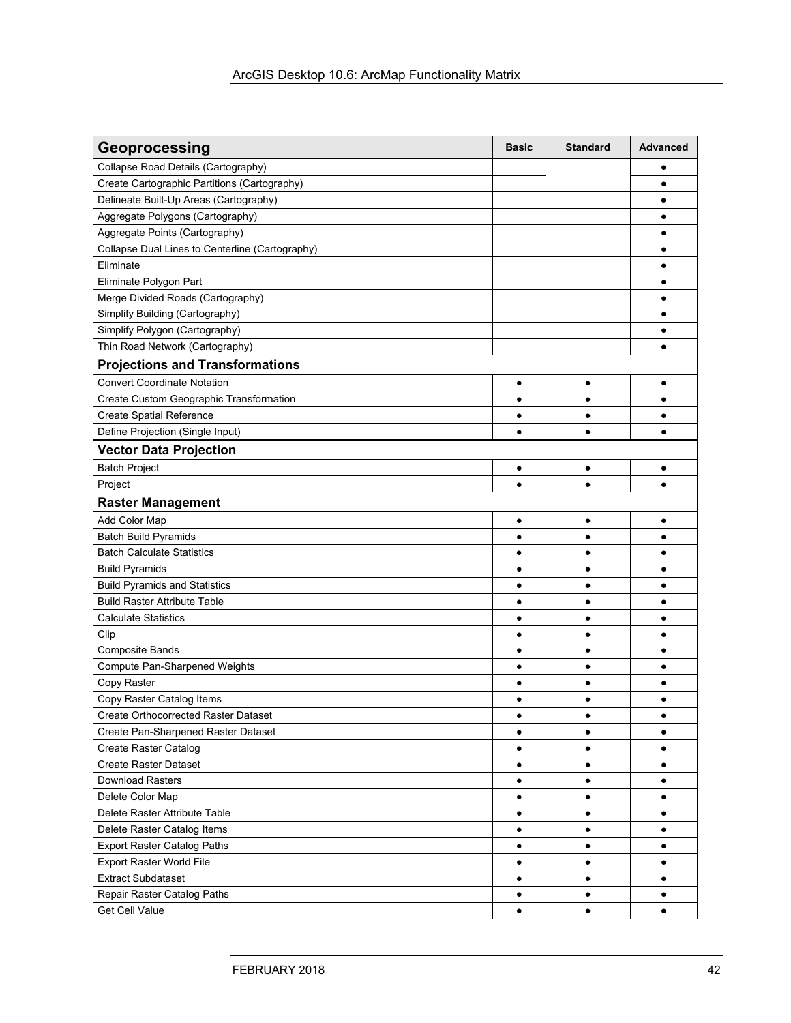| Geoprocessing                                   | <b>Basic</b> | <b>Standard</b> | Advanced  |
|-------------------------------------------------|--------------|-----------------|-----------|
| Collapse Road Details (Cartography)             |              |                 | ٠         |
| Create Cartographic Partitions (Cartography)    |              |                 | ٠         |
| Delineate Built-Up Areas (Cartography)          |              |                 |           |
| Aggregate Polygons (Cartography)                |              |                 | ٠         |
| Aggregate Points (Cartography)                  |              |                 | ٠         |
| Collapse Dual Lines to Centerline (Cartography) |              |                 | ٠         |
| Eliminate                                       |              |                 | ٠         |
| Eliminate Polygon Part                          |              |                 | ٠         |
| Merge Divided Roads (Cartography)               |              |                 | $\bullet$ |
| Simplify Building (Cartography)                 |              |                 | $\bullet$ |
| Simplify Polygon (Cartography)                  |              |                 |           |
| Thin Road Network (Cartography)                 |              |                 |           |
| <b>Projections and Transformations</b>          |              |                 |           |
| <b>Convert Coordinate Notation</b>              | $\bullet$    | ٠               | ٠         |
| Create Custom Geographic Transformation         | $\bullet$    | $\bullet$       | $\bullet$ |
| <b>Create Spatial Reference</b>                 | $\bullet$    | ٠               |           |
| Define Projection (Single Input)                | $\bullet$    | ٠               |           |
| <b>Vector Data Projection</b>                   |              |                 |           |
| <b>Batch Project</b>                            | $\bullet$    | $\bullet$       | ٠         |
| Project                                         | $\bullet$    |                 |           |
| <b>Raster Management</b>                        |              |                 |           |
| Add Color Map                                   | ٠            | ٠               | ٠         |
| <b>Batch Build Pyramids</b>                     | $\bullet$    | $\bullet$       | ٠         |
| <b>Batch Calculate Statistics</b>               | ٠            | $\bullet$       | ٠         |
| <b>Build Pyramids</b>                           | $\bullet$    | $\bullet$       | $\bullet$ |
| <b>Build Pyramids and Statistics</b>            | $\bullet$    | $\bullet$       | ٠         |
| <b>Build Raster Attribute Table</b>             | $\bullet$    | $\bullet$       | ٠         |
| <b>Calculate Statistics</b>                     | ٠            | $\bullet$       | ٠         |
| Clip                                            | ٠            | $\bullet$       | ٠         |
| <b>Composite Bands</b>                          | ٠            | $\bullet$       | ٠         |
| Compute Pan-Sharpened Weights                   | ٠            | $\bullet$       | ٠         |
| Copy Raster                                     | $\bullet$    | $\bullet$       | ٠         |
| Copy Raster Catalog Items                       | $\bullet$    | $\bullet$       | ٠         |
| Create Orthocorrected Raster Dataset            |              |                 |           |
| Create Pan-Sharpened Raster Dataset             | ٠            | $\bullet$       | ٠         |
| <b>Create Raster Catalog</b>                    | ٠            | $\bullet$       | ٠         |
| <b>Create Raster Dataset</b>                    | ٠            | $\bullet$       | ٠         |
| <b>Download Rasters</b>                         | ٠            | $\bullet$       | ٠         |
| Delete Color Map                                | ٠            | $\bullet$       | ٠         |
| Delete Raster Attribute Table                   | ٠            | $\bullet$       | ٠         |
| Delete Raster Catalog Items                     | $\bullet$    | $\bullet$       | ٠         |
| <b>Export Raster Catalog Paths</b>              | $\bullet$    | $\bullet$       | ٠         |
| Export Raster World File                        | $\bullet$    | $\bullet$       | ٠         |
| <b>Extract Subdataset</b>                       | $\bullet$    | $\bullet$       | ٠         |
| Repair Raster Catalog Paths                     | ٠            | $\bullet$       | ٠         |
| Get Cell Value                                  |              |                 |           |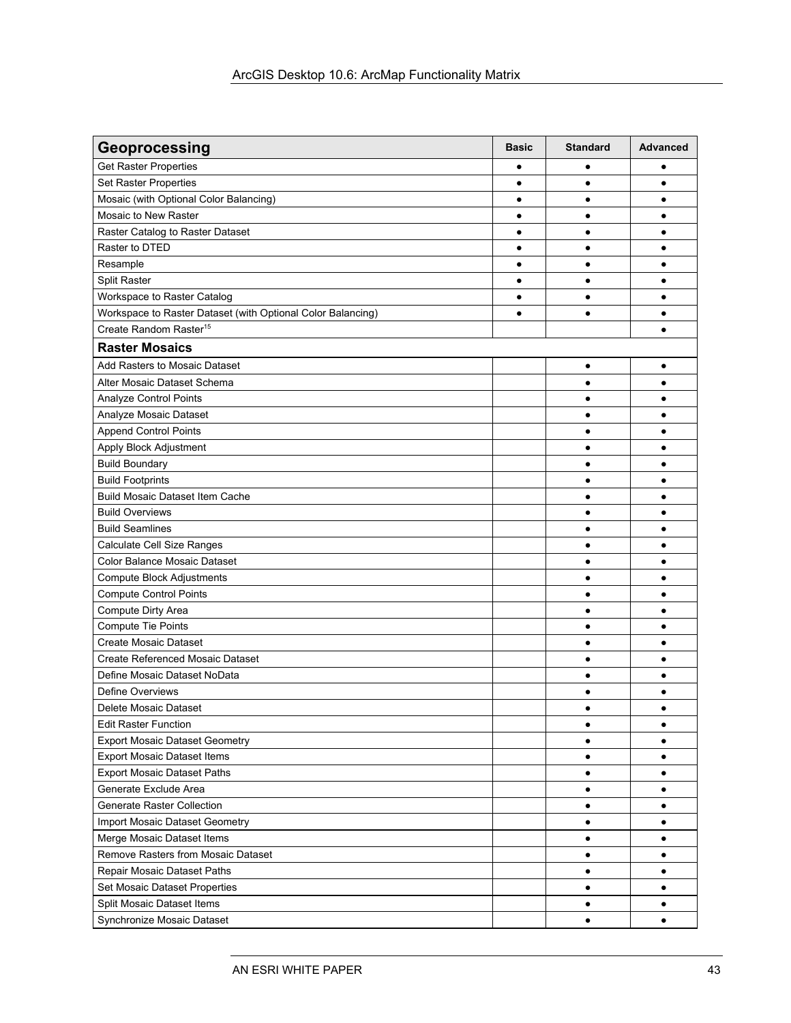| Geoprocessing                                               | <b>Basic</b> | <b>Standard</b> | <b>Advanced</b> |
|-------------------------------------------------------------|--------------|-----------------|-----------------|
| <b>Get Raster Properties</b>                                | ٠            |                 | ٠               |
| Set Raster Properties                                       | ٠            | $\bullet$       | ٠               |
| Mosaic (with Optional Color Balancing)                      | $\bullet$    | $\bullet$       | $\bullet$       |
| Mosaic to New Raster                                        | ٠            | $\bullet$       | ٠               |
| Raster Catalog to Raster Dataset                            | ٠            | $\bullet$       | ٠               |
| Raster to DTED                                              | ٠            | $\bullet$       | ٠               |
| Resample                                                    | $\bullet$    | $\bullet$       | ٠               |
| Split Raster                                                | $\bullet$    | $\bullet$       | $\bullet$       |
| Workspace to Raster Catalog                                 | $\bullet$    | $\bullet$       | $\bullet$       |
| Workspace to Raster Dataset (with Optional Color Balancing) | $\bullet$    | $\bullet$       | $\bullet$       |
| Create Random Raster <sup>15</sup>                          |              |                 |                 |
| <b>Raster Mosaics</b>                                       |              |                 |                 |
| Add Rasters to Mosaic Dataset                               |              | $\bullet$       | $\bullet$       |
| Alter Mosaic Dataset Schema                                 |              | $\bullet$       | ٠               |
| Analyze Control Points                                      |              | $\bullet$       | $\bullet$       |
| Analyze Mosaic Dataset                                      |              | $\bullet$       | $\bullet$       |
| <b>Append Control Points</b>                                |              | $\bullet$       | ٠               |
| Apply Block Adjustment                                      |              | $\bullet$       | $\bullet$       |
| <b>Build Boundary</b>                                       |              | $\bullet$       |                 |
| <b>Build Footprints</b>                                     |              | $\bullet$       | ٠               |
| <b>Build Mosaic Dataset Item Cache</b>                      |              | $\bullet$       | ٠               |
| <b>Build Overviews</b>                                      |              | $\bullet$       | ٠               |
| <b>Build Seamlines</b>                                      |              | $\bullet$       | $\bullet$       |
| Calculate Cell Size Ranges                                  |              | $\bullet$       | $\bullet$       |
| Color Balance Mosaic Dataset                                |              | $\bullet$       |                 |
| <b>Compute Block Adjustments</b>                            |              | $\bullet$       |                 |
| <b>Compute Control Points</b>                               |              | $\bullet$       |                 |
| Compute Dirty Area                                          |              | $\bullet$       | $\bullet$       |
| <b>Compute Tie Points</b>                                   |              | $\bullet$       |                 |
| <b>Create Mosaic Dataset</b>                                |              | $\bullet$       | $\bullet$       |
| Create Referenced Mosaic Dataset                            |              | $\bullet$       | ٠               |
| Define Mosaic Dataset NoData                                |              | $\bullet$       | ٠               |
| <b>Define Overviews</b>                                     |              | $\bullet$       | ٠               |
| Delete Mosaic Dataset                                       |              | $\bullet$       |                 |
| <b>Edit Raster Function</b>                                 |              | $\bullet$       |                 |
| <b>Export Mosaic Dataset Geometry</b>                       |              | $\bullet$       |                 |
| <b>Export Mosaic Dataset Items</b>                          |              | $\bullet$       | ٠               |
| <b>Export Mosaic Dataset Paths</b>                          |              | $\bullet$       | ٠               |
| Generate Exclude Area                                       |              | $\bullet$       | ٠               |
| <b>Generate Raster Collection</b>                           |              | $\bullet$       | ٠               |
| Import Mosaic Dataset Geometry                              |              | $\bullet$       | ٠               |
| Merge Mosaic Dataset Items                                  |              | $\bullet$       | $\bullet$       |
| Remove Rasters from Mosaic Dataset                          |              | $\bullet$       | ٠               |
| Repair Mosaic Dataset Paths                                 |              | $\bullet$       | $\bullet$       |
| Set Mosaic Dataset Properties                               |              | $\bullet$       | ٠               |
| Split Mosaic Dataset Items                                  |              | $\bullet$       | ٠               |
| Synchronize Mosaic Dataset                                  |              | $\bullet$       | $\bullet$       |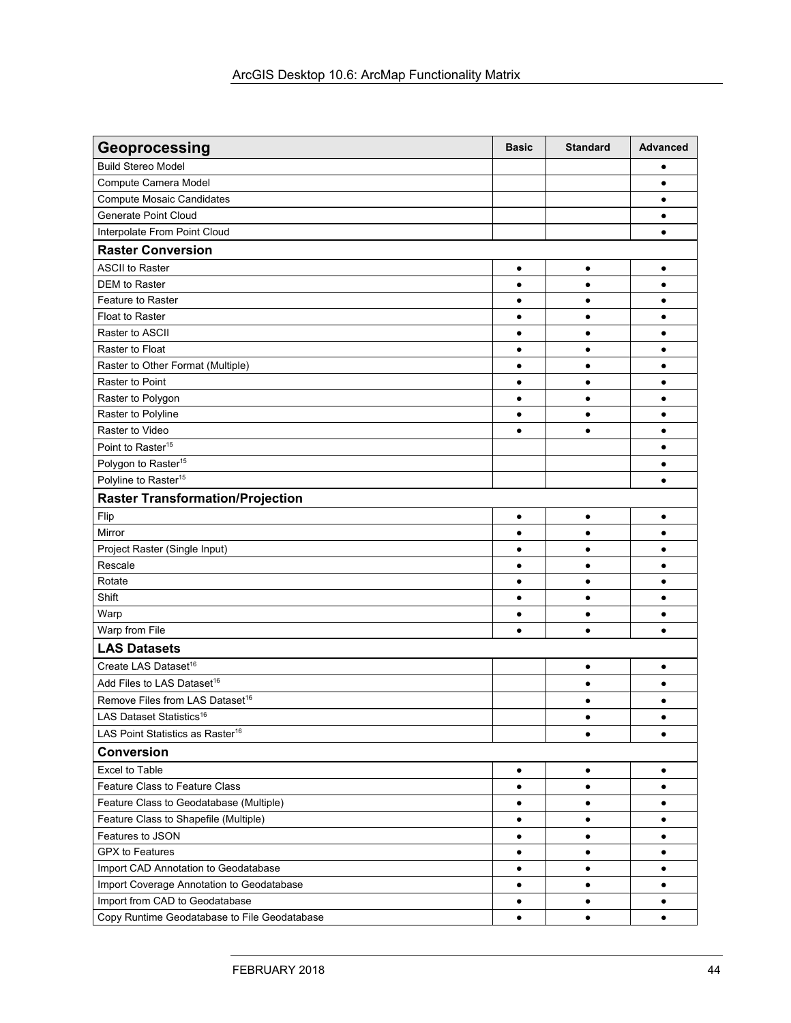| Geoprocessing                                | <b>Basic</b>           | <b>Standard</b>        | Advanced       |
|----------------------------------------------|------------------------|------------------------|----------------|
| <b>Build Stereo Model</b>                    |                        |                        | ٠              |
| Compute Camera Model                         |                        |                        | ٠              |
| <b>Compute Mosaic Candidates</b>             |                        |                        | $\bullet$      |
| <b>Generate Point Cloud</b>                  |                        |                        | ٠              |
| Interpolate From Point Cloud                 |                        |                        | $\bullet$      |
| <b>Raster Conversion</b>                     |                        |                        |                |
| <b>ASCII to Raster</b>                       | $\bullet$              | $\bullet$              | $\bullet$      |
| DEM to Raster                                | $\bullet$              | $\bullet$              | ٠              |
| <b>Feature to Raster</b>                     | ٠                      | ٠                      |                |
| Float to Raster                              | ٠                      | $\bullet$              |                |
| Raster to ASCII                              | $\bullet$              | $\bullet$              | ٠              |
| Raster to Float                              | ٠                      | $\bullet$              | ٠              |
| Raster to Other Format (Multiple)            | $\bullet$              | $\bullet$              | $\bullet$      |
| <b>Raster to Point</b>                       | ٠                      | $\bullet$              | ٠              |
| Raster to Polygon                            | $\bullet$              | $\bullet$              | $\bullet$      |
| Raster to Polyline                           | $\bullet$              | $\bullet$              | $\bullet$      |
| Raster to Video                              | $\bullet$              | $\bullet$              | ٠              |
| Point to Raster <sup>15</sup>                |                        |                        | $\bullet$      |
| Polygon to Raster <sup>15</sup>              |                        |                        | $\bullet$      |
| Polyline to Raster <sup>15</sup>             |                        |                        | ٠              |
| <b>Raster Transformation/Projection</b>      |                        |                        |                |
|                                              |                        |                        |                |
| Flip<br>Mirror                               | $\bullet$<br>$\bullet$ | $\bullet$<br>$\bullet$ | $\bullet$<br>٠ |
| Project Raster (Single Input)                | ٠                      | ٠                      |                |
| Rescale                                      | $\bullet$              | $\bullet$              | ٠              |
| Rotate                                       | ٠                      | $\bullet$              | ٠              |
| Shift                                        | $\bullet$              | $\bullet$              | ٠              |
| Warp                                         | $\bullet$              | $\bullet$              | $\bullet$      |
| Warp from File                               | $\bullet$              | $\bullet$              | $\bullet$      |
| <b>LAS Datasets</b>                          |                        |                        |                |
|                                              |                        |                        |                |
| Create LAS Dataset <sup>16</sup>             |                        | $\bullet$              | ٠              |
| Add Files to LAS Dataset <sup>16</sup>       |                        | $\bullet$              | $\bullet$      |
| Remove Files from LAS Dataset <sup>16</sup>  |                        | $\bullet$              | $\bullet$      |
| LAS Dataset Statistics <sup>16</sup>         |                        |                        |                |
| LAS Point Statistics as Raster <sup>16</sup> |                        | $\bullet$              | $\bullet$      |
| <b>Conversion</b>                            |                        |                        |                |
| Excel to Table                               | $\bullet$              | $\bullet$              | $\bullet$      |
| Feature Class to Feature Class               | ٠                      |                        | ٠              |
| Feature Class to Geodatabase (Multiple)      | $\bullet$              | ٠                      |                |
| Feature Class to Shapefile (Multiple)        | ٠                      | $\bullet$              | ٠              |
| Features to JSON                             | ٠                      | $\bullet$              | ٠              |
| <b>GPX to Features</b>                       | ٠                      | $\bullet$              | ٠              |
| Import CAD Annotation to Geodatabase         | ٠                      | $\bullet$              | ٠              |
| Import Coverage Annotation to Geodatabase    | ٠                      | $\bullet$              | $\bullet$      |
| Import from CAD to Geodatabase               | ٠                      | ٠                      | ٠              |
| Copy Runtime Geodatabase to File Geodatabase |                        | $\bullet$              | $\bullet$      |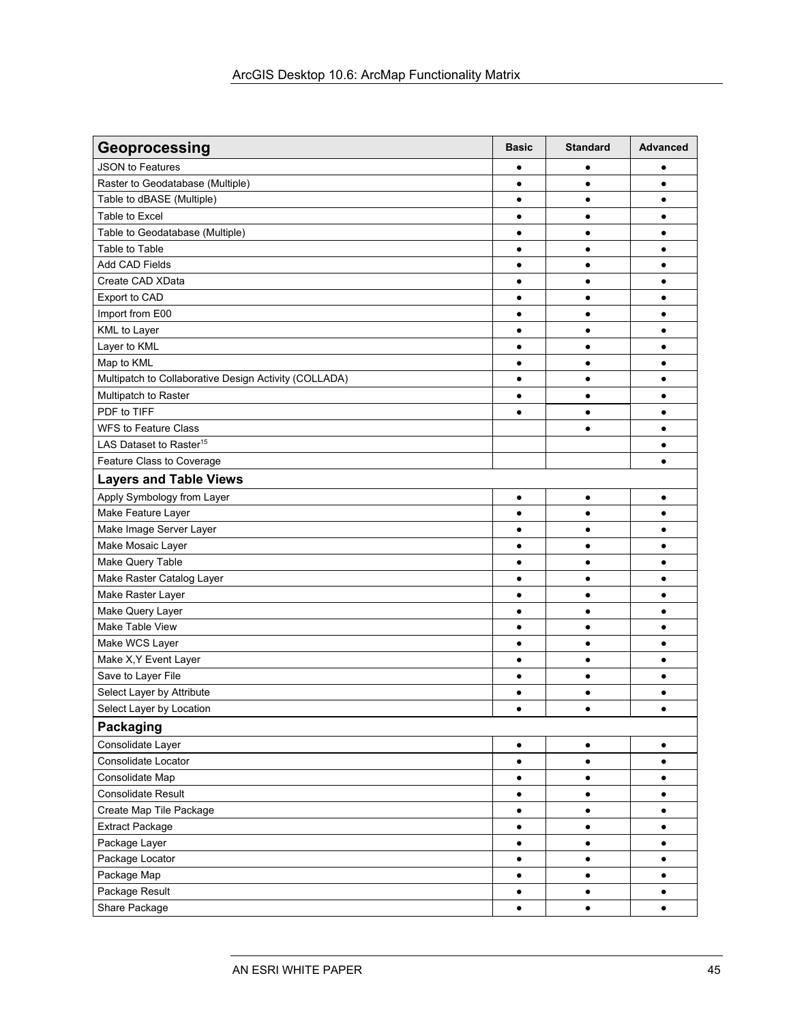| Geoprocessing                                         | <b>Basic</b> | <b>Standard</b> | <b>Advanced</b> |
|-------------------------------------------------------|--------------|-----------------|-----------------|
| <b>JSON to Features</b>                               | ٠            | ٠               | ٠               |
| Raster to Geodatabase (Multiple)                      | $\bullet$    | $\bullet$       | $\bullet$       |
| Table to dBASE (Multiple)                             | $\bullet$    | $\bullet$       | ٠               |
| Table to Excel                                        | $\bullet$    | $\bullet$       | ٠               |
| Table to Geodatabase (Multiple)                       | $\bullet$    | $\bullet$       | ٠               |
| Table to Table                                        | $\bullet$    | $\bullet$       | ٠               |
| Add CAD Fields                                        | ٠            | $\bullet$       | ٠               |
| Create CAD XData                                      | $\bullet$    | $\bullet$       | $\bullet$       |
| Export to CAD                                         | $\bullet$    | $\bullet$       |                 |
| Import from E00                                       | $\bullet$    | $\bullet$       |                 |
| <b>KML</b> to Layer                                   | $\bullet$    | $\bullet$       |                 |
| Layer to KML                                          | ٠            | $\bullet$       |                 |
| Map to KML                                            | ٠            | ٠               |                 |
| Multipatch to Collaborative Design Activity (COLLADA) | $\bullet$    | $\bullet$       | ٠               |
| Multipatch to Raster                                  | ٠            | $\bullet$       | ٠               |
| PDF to TIFF                                           | $\bullet$    | $\bullet$       | $\bullet$       |
| <b>WFS to Feature Class</b>                           |              | $\bullet$       | ٠               |
| LAS Dataset to Raster <sup>15</sup>                   |              |                 | $\bullet$       |
| Feature Class to Coverage                             |              |                 |                 |
| <b>Layers and Table Views</b>                         |              |                 |                 |
| Apply Symbology from Layer                            | $\bullet$    | $\bullet$       | $\bullet$       |
| Make Feature Layer                                    | $\bullet$    | $\bullet$       | $\bullet$       |
| Make Image Server Layer                               | $\bullet$    | $\bullet$       | $\bullet$       |
| Make Mosaic Layer                                     | ٠            | $\bullet$       |                 |
| Make Query Table                                      | $\bullet$    | ٠               |                 |
| Make Raster Catalog Layer                             | $\bullet$    | $\bullet$       | $\bullet$       |
| Make Raster Layer                                     | ٠            | $\bullet$       |                 |
| Make Query Layer                                      | ٠            | $\bullet$       |                 |
| Make Table View                                       | ٠            | $\bullet$       | ٠               |
| Make WCS Layer                                        | ٠            | ٠               | ٠               |
| Make X, Y Event Layer                                 | $\bullet$    | $\bullet$       | ٠               |
| Save to Layer File                                    | $\bullet$    | $\bullet$       | ٠               |
| Select Layer by Attribute                             | $\bullet$    | $\bullet$       |                 |
| Select Layer by Location                              | $\bullet$    | $\bullet$       |                 |
| Packaging                                             |              |                 |                 |
| Consolidate Layer                                     | $\bullet$    | $\bullet$       | $\bullet$       |
| Consolidate Locator                                   | $\bullet$    | $\bullet$       | $\bullet$       |
| Consolidate Map                                       | $\bullet$    | $\bullet$       | $\bullet$       |
| <b>Consolidate Result</b>                             | $\bullet$    | $\bullet$       | ٠               |
| Create Map Tile Package                               | $\bullet$    | $\bullet$       | $\bullet$       |
| <b>Extract Package</b>                                | $\bullet$    | $\bullet$       | $\bullet$       |
| Package Layer                                         | $\bullet$    | $\bullet$       | $\bullet$       |
| Package Locator                                       | $\bullet$    | $\bullet$       | $\bullet$       |
| Package Map                                           | $\bullet$    | $\bullet$       | $\bullet$       |
| Package Result                                        | $\bullet$    | $\bullet$       | $\bullet$       |
| Share Package                                         | $\bullet$    | $\bullet$       | $\bullet$       |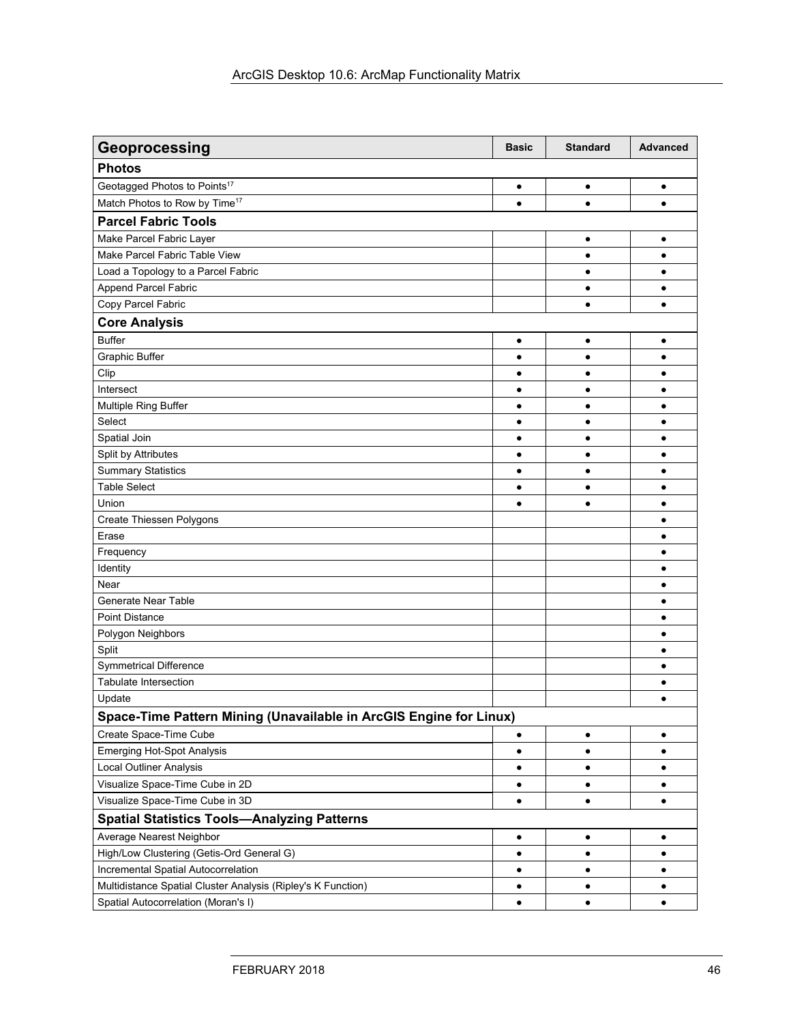| Geoprocessing                                                      | <b>Basic</b> | <b>Standard</b> | <b>Advanced</b> |
|--------------------------------------------------------------------|--------------|-----------------|-----------------|
| <b>Photos</b>                                                      |              |                 |                 |
| Geotagged Photos to Points <sup>17</sup>                           | $\bullet$    | $\bullet$       | ٠               |
| Match Photos to Row by Time <sup>17</sup>                          | $\bullet$    | ٠               | $\bullet$       |
| <b>Parcel Fabric Tools</b>                                         |              |                 |                 |
| Make Parcel Fabric Layer                                           |              | $\bullet$       | $\bullet$       |
| Make Parcel Fabric Table View                                      |              | $\bullet$       | ٠               |
| Load a Topology to a Parcel Fabric                                 |              | $\bullet$       | $\bullet$       |
| Append Parcel Fabric                                               |              | $\bullet$       | $\bullet$       |
| Copy Parcel Fabric                                                 |              | $\bullet$       | $\bullet$       |
| <b>Core Analysis</b>                                               |              |                 |                 |
| <b>Buffer</b>                                                      | $\bullet$    | $\bullet$       | $\bullet$       |
| <b>Graphic Buffer</b>                                              | $\bullet$    | $\bullet$       | $\bullet$       |
| Clip                                                               | $\bullet$    | $\bullet$       | $\bullet$       |
| Intersect                                                          | ٠            | $\bullet$       |                 |
| Multiple Ring Buffer                                               | $\bullet$    | ٠               |                 |
| Select                                                             | ٠            | ٠               | ٠               |
| Spatial Join                                                       | ٠            | ٠               |                 |
| Split by Attributes                                                | ٠            | $\bullet$       | ٠               |
| <b>Summary Statistics</b>                                          | $\bullet$    | $\bullet$       | ٠               |
| <b>Table Select</b>                                                | $\bullet$    | $\bullet$       | ٠               |
| Union                                                              | $\bullet$    | $\bullet$       | $\bullet$       |
| Create Thiessen Polygons                                           |              |                 | $\bullet$       |
| Erase                                                              |              |                 | $\bullet$       |
| Frequency                                                          |              |                 | ٠               |
| Identity                                                           |              |                 | ٠               |
| Near                                                               |              |                 | ٠               |
| <b>Generate Near Table</b>                                         |              |                 | ٠               |
| <b>Point Distance</b>                                              |              |                 | ٠               |
| Polygon Neighbors                                                  |              |                 | ٠               |
| Split                                                              |              |                 | ٠               |
| <b>Symmetrical Difference</b>                                      |              |                 | $\bullet$       |
| <b>Tabulate Intersection</b>                                       |              |                 | ٠               |
| Update                                                             |              |                 | $\bullet$       |
| Space-Time Pattern Mining (Unavailable in ArcGIS Engine for Linux) |              |                 |                 |
| Create Space-Time Cube                                             | ٠            | ٠               | $\bullet$       |
| <b>Emerging Hot-Spot Analysis</b>                                  | $\bullet$    | $\bullet$       | $\bullet$       |
| <b>Local Outliner Analysis</b>                                     | ٠            | $\bullet$       | $\bullet$       |
| Visualize Space-Time Cube in 2D                                    | ٠            | $\bullet$       | ٠               |
| Visualize Space-Time Cube in 3D                                    | $\bullet$    | $\bullet$       | $\bullet$       |
| <b>Spatial Statistics Tools-Analyzing Patterns</b>                 |              |                 |                 |
| Average Nearest Neighbor                                           | ٠            | $\bullet$       | ٠               |
| High/Low Clustering (Getis-Ord General G)                          | $\bullet$    | $\bullet$       | $\bullet$       |
| Incremental Spatial Autocorrelation                                | ٠            | ٠               | ٠               |
| Multidistance Spatial Cluster Analysis (Ripley's K Function)       | ٠            | ٠               | ٠               |
| Spatial Autocorrelation (Moran's I)                                | $\bullet$    | $\bullet$       | $\bullet$       |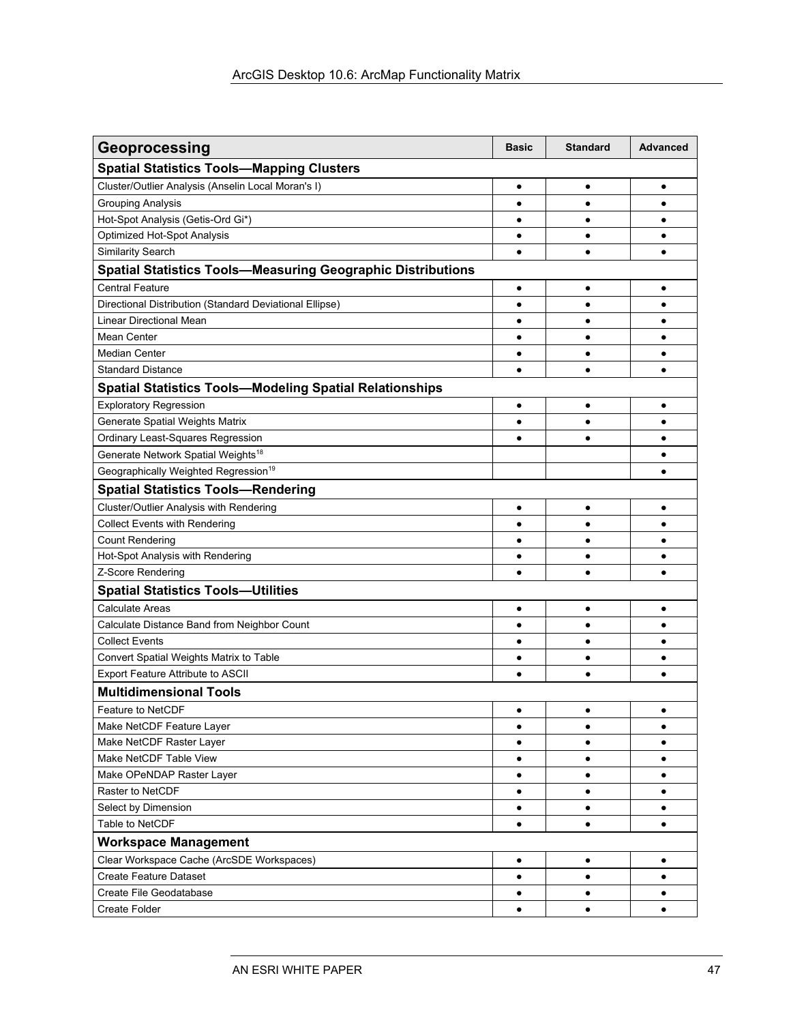| Geoprocessing                                                      | <b>Basic</b> | <b>Standard</b> | <b>Advanced</b> |
|--------------------------------------------------------------------|--------------|-----------------|-----------------|
| <b>Spatial Statistics Tools-Mapping Clusters</b>                   |              |                 |                 |
| Cluster/Outlier Analysis (Anselin Local Moran's I)                 | $\bullet$    | ٠               | ٠               |
| <b>Grouping Analysis</b>                                           | $\bullet$    | $\bullet$       | $\bullet$       |
| Hot-Spot Analysis (Getis-Ord Gi*)                                  | ٠            | $\bullet$       | ٠               |
| Optimized Hot-Spot Analysis                                        | $\bullet$    | $\bullet$       | ٠               |
| <b>Similarity Search</b>                                           | $\bullet$    | $\bullet$       | ٠               |
| <b>Spatial Statistics Tools-Measuring Geographic Distributions</b> |              |                 |                 |
| <b>Central Feature</b>                                             | ٠            | ٠               | ٠               |
| Directional Distribution (Standard Deviational Ellipse)            | ٠            | $\bullet$       | ٠               |
| Linear Directional Mean                                            | $\bullet$    | ٠               | ٠               |
| Mean Center                                                        | $\bullet$    | $\bullet$       | ٠               |
| <b>Median Center</b>                                               | $\bullet$    | ٠               | ٠               |
| <b>Standard Distance</b>                                           | $\bullet$    | $\bullet$       | ٠               |
| <b>Spatial Statistics Tools-Modeling Spatial Relationships</b>     |              |                 |                 |
| <b>Exploratory Regression</b>                                      | $\bullet$    | $\bullet$       | $\bullet$       |
| Generate Spatial Weights Matrix                                    | $\bullet$    | ٠               | ٠               |
| Ordinary Least-Squares Regression                                  | $\bullet$    | $\bullet$       | ٠               |
| Generate Network Spatial Weights <sup>18</sup>                     |              |                 | ٠               |
| Geographically Weighted Regression <sup>19</sup>                   |              |                 | ٠               |
| <b>Spatial Statistics Tools-Rendering</b>                          |              |                 |                 |
| <b>Cluster/Outlier Analysis with Rendering</b>                     | $\bullet$    | $\bullet$       | ٠               |
| <b>Collect Events with Rendering</b>                               | $\bullet$    | ٠               | ٠               |
| <b>Count Rendering</b>                                             | $\bullet$    | $\bullet$       | $\bullet$       |
| Hot-Spot Analysis with Rendering                                   | ٠            | ٠               | ٠               |
| Z-Score Rendering                                                  | ٠            | $\bullet$       | ٠               |
| <b>Spatial Statistics Tools-Utilities</b>                          |              |                 |                 |
| <b>Calculate Areas</b>                                             | ٠            | ٠               | ٠               |
| Calculate Distance Band from Neighbor Count                        | $\bullet$    | $\bullet$       | ٠               |
| <b>Collect Events</b>                                              | $\bullet$    | $\bullet$       | $\bullet$       |
| Convert Spatial Weights Matrix to Table                            | ٠            | ٠               | ٠               |
| Export Feature Attribute to ASCII                                  | $\bullet$    | $\bullet$       | ٠               |
| <b>Multidimensional Tools</b>                                      |              |                 |                 |
| <b>Feature to NetCDF</b>                                           | $\bullet$    | $\bullet$       | $\bullet$       |
| Make NetCDF Feature Layer                                          | $\bullet$    | $\bullet$       | $\bullet$       |
| Make NetCDF Raster Layer                                           | ٠            | ٠               | ٠               |
| Make NetCDF Table View                                             | ٠            | ٠               | ٠               |
| Make OPeNDAP Raster Layer                                          | ٠            | ٠               | ٠               |
| Raster to NetCDF                                                   | ٠            | ٠               | ٠               |
| Select by Dimension                                                | $\bullet$    | $\bullet$       | $\bullet$       |
| Table to NetCDF                                                    | $\bullet$    | $\bullet$       | $\bullet$       |
| <b>Workspace Management</b>                                        |              |                 |                 |
| Clear Workspace Cache (ArcSDE Workspaces)                          | $\bullet$    | $\bullet$       | $\bullet$       |
| <b>Create Feature Dataset</b>                                      | ٠            | $\bullet$       | ٠               |
| Create File Geodatabase                                            | ٠            | $\bullet$       | ٠               |
| Create Folder                                                      | $\bullet$    | $\bullet$       | $\bullet$       |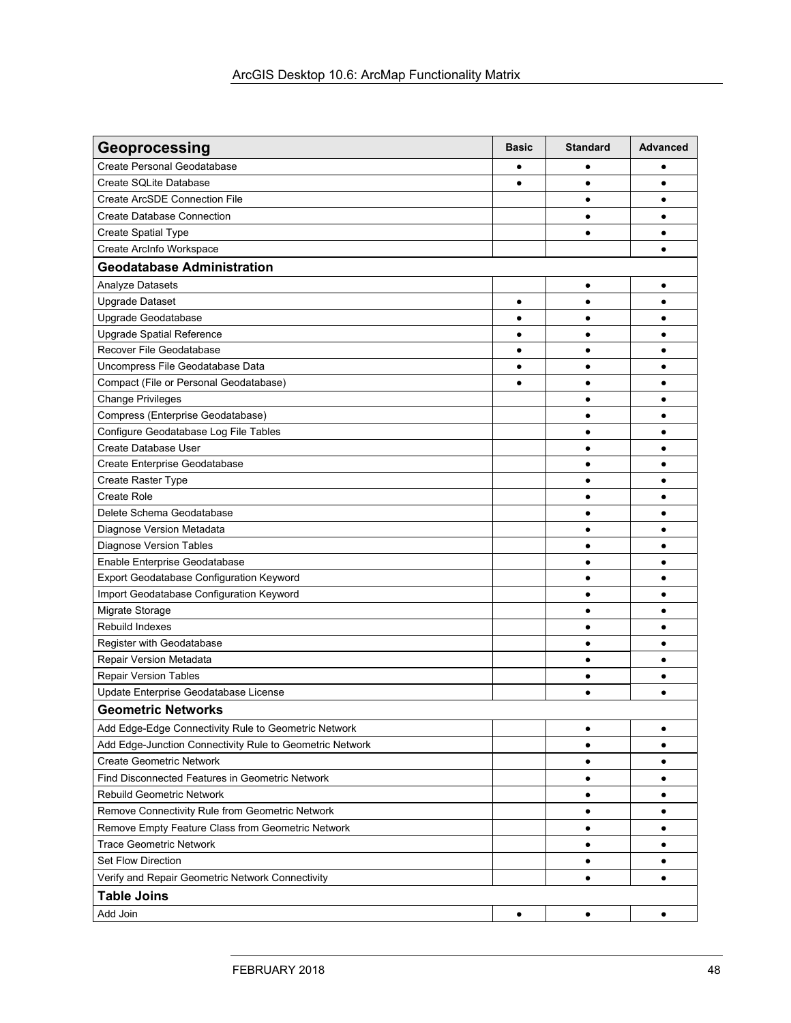| Geoprocessing                                            | <b>Basic</b> | <b>Standard</b> | Advanced  |
|----------------------------------------------------------|--------------|-----------------|-----------|
| Create Personal Geodatabase                              | ٠            | ٠               | ٠         |
| Create SQLite Database                                   | $\bullet$    | $\bullet$       | $\bullet$ |
| <b>Create ArcSDE Connection File</b>                     |              | $\bullet$       | $\bullet$ |
| <b>Create Database Connection</b>                        |              | $\bullet$       |           |
| Create Spatial Type                                      |              | $\bullet$       | ٠         |
| Create ArcInfo Workspace                                 |              |                 | $\bullet$ |
| <b>Geodatabase Administration</b>                        |              |                 |           |
| Analyze Datasets                                         |              | $\bullet$       | $\bullet$ |
| <b>Upgrade Dataset</b>                                   | ٠            | ٠               | ٠         |
| Upgrade Geodatabase                                      | $\bullet$    | $\bullet$       | $\bullet$ |
| Upgrade Spatial Reference                                | ٠            | $\bullet$       | ٠         |
| Recover File Geodatabase                                 | $\bullet$    | $\bullet$       | ٠         |
| Uncompress File Geodatabase Data                         | $\bullet$    | $\bullet$       | $\bullet$ |
| Compact (File or Personal Geodatabase)                   | $\bullet$    | $\bullet$       | ٠         |
| <b>Change Privileges</b>                                 |              | $\bullet$       | $\bullet$ |
| Compress (Enterprise Geodatabase)                        |              | ٠               |           |
| Configure Geodatabase Log File Tables                    |              | $\bullet$       |           |
| Create Database User                                     |              | $\bullet$       | $\bullet$ |
| Create Enterprise Geodatabase                            |              | ٠               |           |
| Create Raster Type                                       |              | $\bullet$       | $\bullet$ |
| Create Role                                              |              | $\bullet$       | ٠         |
| Delete Schema Geodatabase                                |              | $\bullet$       | ٠         |
| Diagnose Version Metadata                                |              | $\bullet$       | ٠         |
| Diagnose Version Tables                                  |              | $\bullet$       | ٠         |
| Enable Enterprise Geodatabase                            |              | $\bullet$       |           |
| Export Geodatabase Configuration Keyword                 |              | ٠               |           |
| Import Geodatabase Configuration Keyword                 |              | $\bullet$       |           |
| Migrate Storage                                          |              | $\bullet$       | ٠         |
| Rebuild Indexes                                          |              | ٠               |           |
| Register with Geodatabase                                |              | $\bullet$       | $\bullet$ |
| Repair Version Metadata                                  |              | $\bullet$       | ٠         |
| <b>Repair Version Tables</b>                             |              | $\bullet$       | ٠         |
| Update Enterprise Geodatabase License                    |              | $\bullet$       | $\bullet$ |
| <b>Geometric Networks</b>                                |              |                 |           |
| Add Edge-Edge Connectivity Rule to Geometric Network     |              | $\bullet$       | $\bullet$ |
| Add Edge-Junction Connectivity Rule to Geometric Network |              | $\bullet$       | ٠         |
| <b>Create Geometric Network</b>                          |              | $\bullet$       | $\bullet$ |
| Find Disconnected Features in Geometric Network          |              | $\bullet$       | ٠         |
| <b>Rebuild Geometric Network</b>                         |              | $\bullet$       | ٠         |
| Remove Connectivity Rule from Geometric Network          |              | ٠               | ٠         |
| Remove Empty Feature Class from Geometric Network        |              | $\bullet$       | ٠         |
| <b>Trace Geometric Network</b>                           |              | $\bullet$       | ٠         |
| <b>Set Flow Direction</b>                                |              | $\bullet$       | ٠         |
| Verify and Repair Geometric Network Connectivity         |              | $\bullet$       | $\bullet$ |
| <b>Table Joins</b>                                       |              |                 |           |
| Add Join                                                 | ٠            | $\bullet$       | ٠         |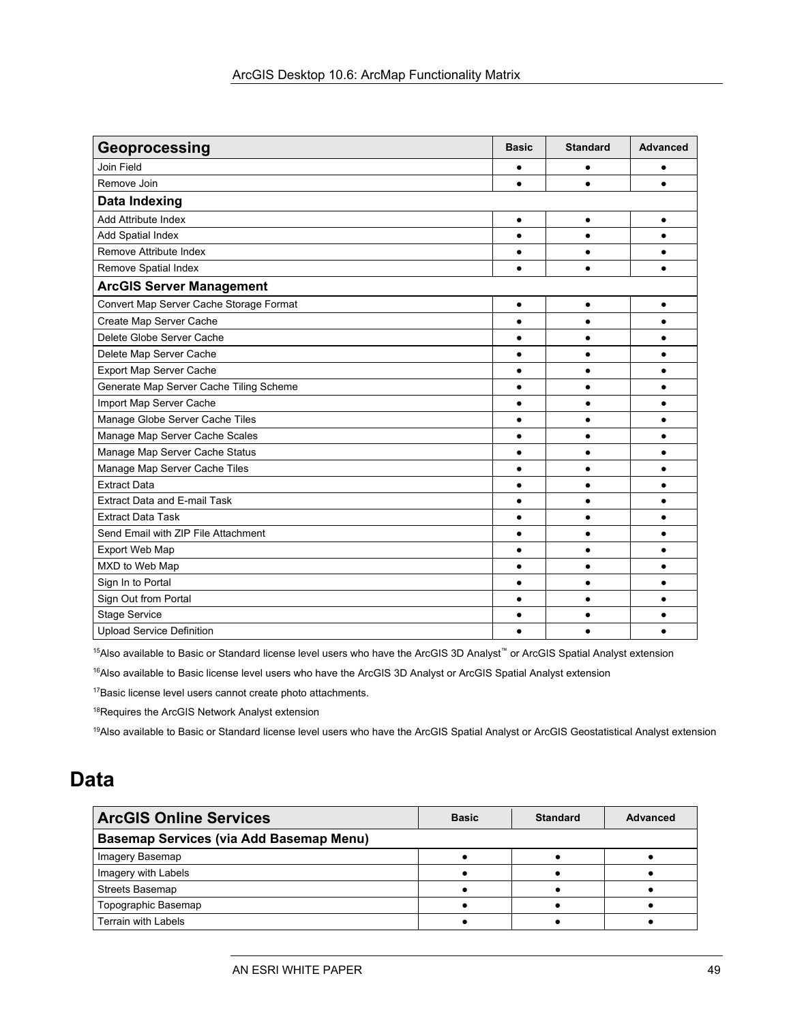| Geoprocessing                           | <b>Basic</b> | <b>Standard</b> | <b>Advanced</b> |
|-----------------------------------------|--------------|-----------------|-----------------|
| Join Field                              | ٠            | $\bullet$       | $\bullet$       |
| Remove Join                             | $\bullet$    | ٠               |                 |
| <b>Data Indexing</b>                    |              |                 |                 |
| Add Attribute Index                     | $\bullet$    | $\bullet$       | $\bullet$       |
| <b>Add Spatial Index</b>                | $\bullet$    | $\bullet$       | $\bullet$       |
| Remove Attribute Index                  | $\bullet$    | $\bullet$       |                 |
| Remove Spatial Index                    | $\bullet$    | $\bullet$       | $\bullet$       |
| <b>ArcGIS Server Management</b>         |              |                 |                 |
| Convert Map Server Cache Storage Format | $\bullet$    | $\bullet$       | $\bullet$       |
| Create Map Server Cache                 | ٠            | $\bullet$       |                 |
| Delete Globe Server Cache               | $\bullet$    | $\bullet$       |                 |
| Delete Map Server Cache                 | $\bullet$    | $\bullet$       | $\bullet$       |
| Export Map Server Cache                 | $\bullet$    | $\bullet$       | $\bullet$       |
| Generate Map Server Cache Tiling Scheme | $\bullet$    | $\bullet$       | $\bullet$       |
| Import Map Server Cache                 | $\bullet$    | $\bullet$       | $\bullet$       |
| Manage Globe Server Cache Tiles         | ٠            | $\bullet$       | $\bullet$       |
| Manage Map Server Cache Scales          | $\bullet$    | $\bullet$       | $\bullet$       |
| Manage Map Server Cache Status          | $\bullet$    | $\bullet$       | $\bullet$       |
| Manage Map Server Cache Tiles           | $\bullet$    | $\bullet$       | $\bullet$       |
| <b>Extract Data</b>                     | $\bullet$    | $\bullet$       | $\bullet$       |
| <b>Extract Data and E-mail Task</b>     | $\bullet$    | $\bullet$       | $\bullet$       |
| <b>Extract Data Task</b>                | $\bullet$    | $\bullet$       | $\bullet$       |
| Send Email with ZIP File Attachment     | $\bullet$    | $\bullet$       | $\bullet$       |
| Export Web Map                          | $\bullet$    | $\bullet$       | ٠               |
| MXD to Web Map                          | $\bullet$    | $\bullet$       | $\bullet$       |
| Sign In to Portal                       | $\bullet$    | $\bullet$       | $\bullet$       |
| Sign Out from Portal                    | $\bullet$    | $\bullet$       |                 |
| <b>Stage Service</b>                    | ٠            | ٠               |                 |
| <b>Upload Service Definition</b>        |              |                 |                 |

15Also available to Basic or Standard license level users who have the ArcGIS 3D Analyst™ or ArcGIS Spatial Analyst extension

<sup>16</sup>Also available to Basic license level users who have the ArcGIS 3D Analyst or ArcGIS Spatial Analyst extension

17Basic license level users cannot create photo attachments.

18Requires the ArcGIS Network Analyst extension

<sup>19</sup>Also available to Basic or Standard license level users who have the ArcGIS Spatial Analyst or ArcGIS Geostatistical Analyst extension

### 6B**Data**

| <b>ArcGIS Online Services</b>                  | <b>Basic</b> | <b>Standard</b> | Advanced |
|------------------------------------------------|--------------|-----------------|----------|
| <b>Basemap Services (via Add Basemap Menu)</b> |              |                 |          |
| Imagery Basemap                                |              |                 |          |
| Imagery with Labels                            |              |                 |          |
| Streets Basemap                                |              |                 |          |
| Topographic Basemap                            |              |                 |          |
| <b>Terrain with Labels</b>                     |              |                 |          |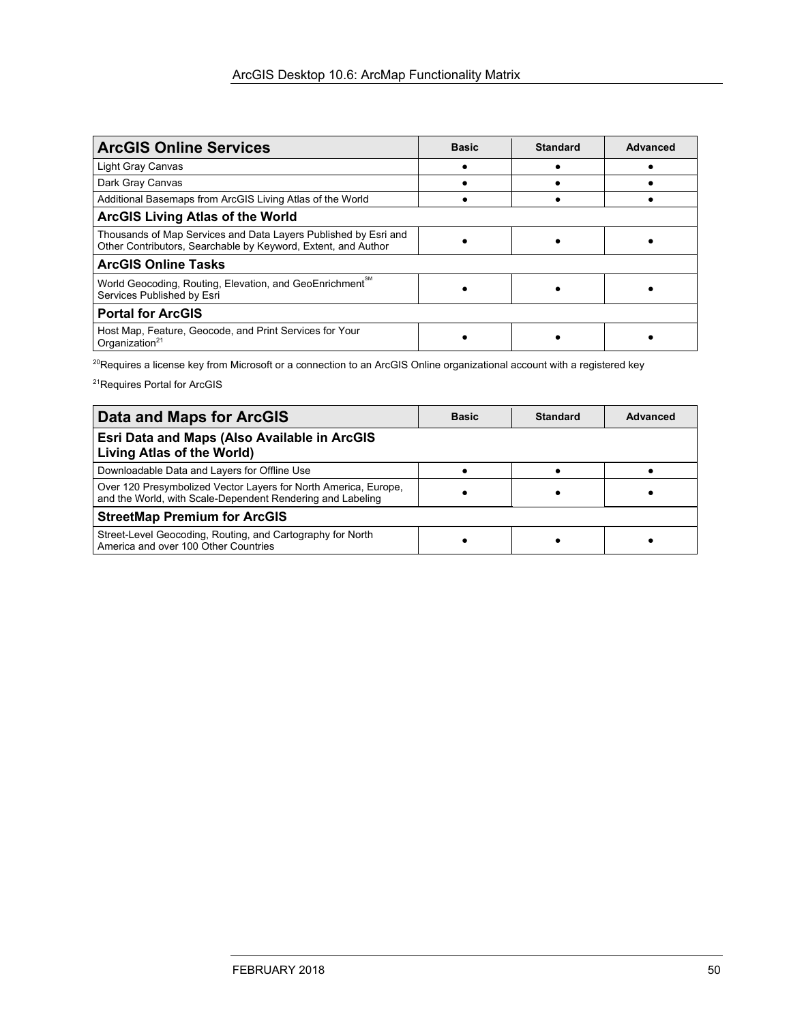| <b>ArcGIS Online Services</b>                                                                                                    | <b>Basic</b> | <b>Standard</b> | Advanced |
|----------------------------------------------------------------------------------------------------------------------------------|--------------|-----------------|----------|
| Light Gray Canvas                                                                                                                |              |                 |          |
| Dark Gray Canvas                                                                                                                 |              |                 |          |
| Additional Basemaps from ArcGIS Living Atlas of the World                                                                        |              |                 |          |
| <b>ArcGIS Living Atlas of the World</b>                                                                                          |              |                 |          |
| Thousands of Map Services and Data Layers Published by Esri and<br>Other Contributors, Searchable by Keyword, Extent, and Author |              |                 |          |
| <b>ArcGIS Online Tasks</b>                                                                                                       |              |                 |          |
| World Geocoding, Routing, Elevation, and GeoEnrichment <sup>™</sup><br>Services Published by Esri                                |              |                 |          |
| <b>Portal for ArcGIS</b>                                                                                                         |              |                 |          |
| Host Map, Feature, Geocode, and Print Services for Your<br>Organization <sup>21</sup>                                            |              |                 |          |

<sup>20</sup>Requires a license key from Microsoft or a connection to an ArcGIS Online organizational account with a registered key

21Requires Portal for ArcGIS

| <b>Data and Maps for ArcGIS</b>                                                                                               | <b>Basic</b> | <b>Standard</b> | Advanced |
|-------------------------------------------------------------------------------------------------------------------------------|--------------|-----------------|----------|
| Esri Data and Maps (Also Available in ArcGIS<br>Living Atlas of the World)                                                    |              |                 |          |
| Downloadable Data and Layers for Offline Use                                                                                  |              |                 |          |
| Over 120 Presymbolized Vector Layers for North America, Europe,<br>and the World, with Scale-Dependent Rendering and Labeling |              |                 |          |
| <b>StreetMap Premium for ArcGIS</b>                                                                                           |              |                 |          |
| Street-Level Geocoding, Routing, and Cartography for North<br>America and over 100 Other Countries                            |              |                 |          |